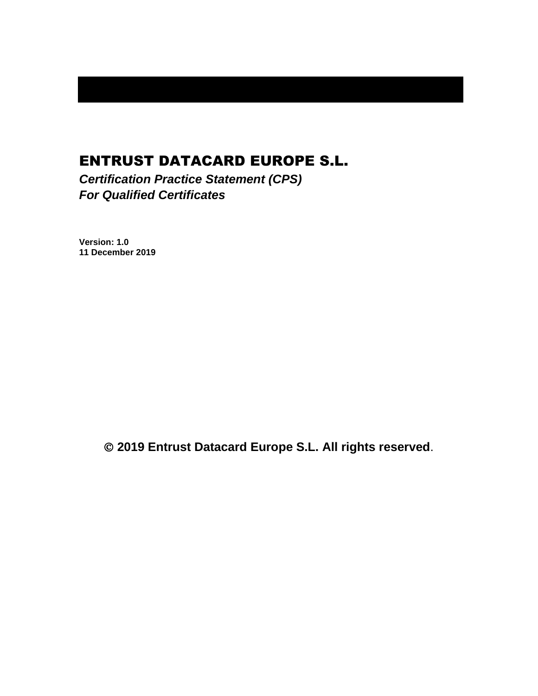# ENTRUST DATACARD EUROPE S.L.

*Certification Practice Statement (CPS) For Qualified Certificates*

**Version: 1.0 11 December 2019**

© **2019 Entrust Datacard Europe S.L. All rights reserved**.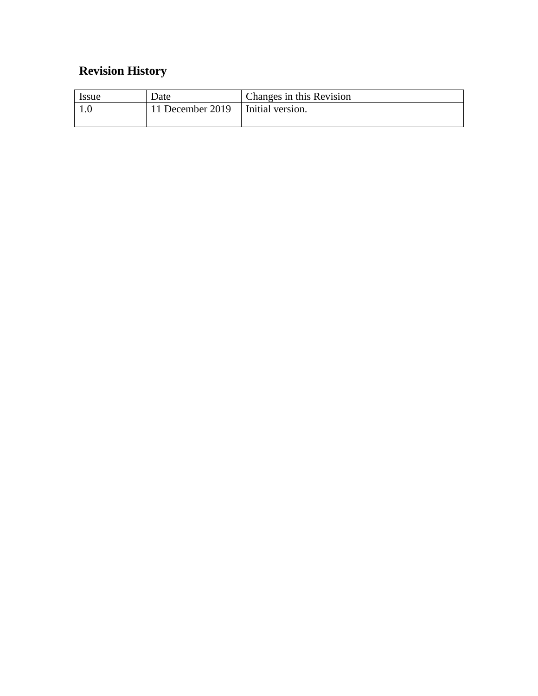# **Revision History**

| <i>Issue</i> | Date                                | Changes in this Revision |
|--------------|-------------------------------------|--------------------------|
|              | 11 December 2019   Initial version. |                          |
|              |                                     |                          |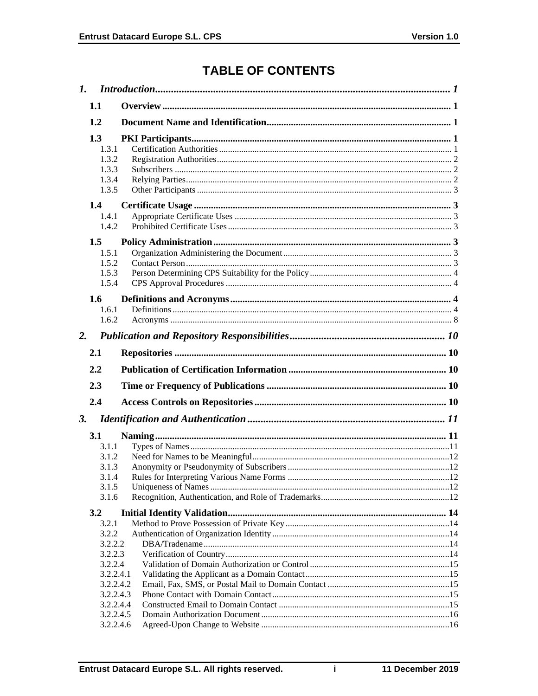# **TABLE OF CONTENTS**

| 1.                                                                        |                                     |  |
|---------------------------------------------------------------------------|-------------------------------------|--|
| 1.1                                                                       |                                     |  |
| 1.2                                                                       |                                     |  |
| 1.3<br>1.3.1<br>1.3.2<br>1.3.3<br>1.3.4<br>1.3.5<br>1.4<br>1.4.1<br>1.4.2 |                                     |  |
| 1.5<br>1.5.1<br>1.5.2<br>1.5.3<br>1.5.4                                   |                                     |  |
| 1.6<br>1.6.1<br>1.6.2                                                     |                                     |  |
| 2.                                                                        |                                     |  |
| 2.1                                                                       |                                     |  |
| 2.2                                                                       |                                     |  |
|                                                                           |                                     |  |
| 2.3                                                                       |                                     |  |
| 2.4                                                                       |                                     |  |
| 3.                                                                        |                                     |  |
| 3.1<br>3.1.1<br>3.1.2<br>3.1.3<br>3.1.5<br>3.1.6                          | 3.1.4                               |  |
| 3.2                                                                       |                                     |  |
| 3.2.1<br>3.2.2<br>3.2.2.2<br>3.2.2.3<br>3.2.2.4                           | 3.2.2.4.1<br>3.2.2.4.2<br>3.2.2.4.3 |  |
|                                                                           | 3.2.2.4.4                           |  |
|                                                                           | 3.2.2.4.5<br>3.2.2.4.6              |  |

 $\mathbf{i}$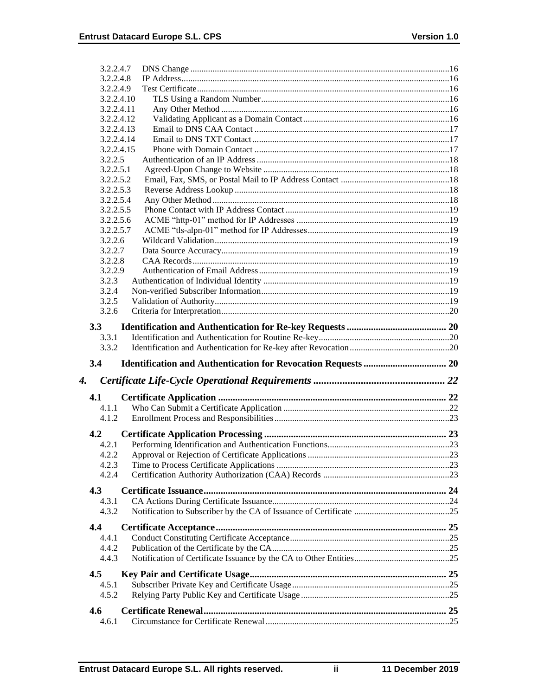|    | 3.2.2.4.7        |  |
|----|------------------|--|
|    | 3.2.2.4.8        |  |
|    | 3.2.2.4.9        |  |
|    | 3.2.2.4.10       |  |
|    | 3.2.2.4.11       |  |
|    | 3.2.2.4.12       |  |
|    | 3.2.2.4.13       |  |
|    | 3.2.2.4.14       |  |
|    | 3.2.2.4.15       |  |
|    | 3.2.2.5          |  |
|    | 3.2.2.5.1        |  |
|    | 3.2.2.5.2        |  |
|    | 3.2.2.5.3        |  |
|    | 3.2.2.5.4        |  |
|    | 3.2.2.5.5        |  |
|    | 3.2.2.5.6        |  |
|    | 3.2.2.5.7        |  |
|    | 3.2.2.6          |  |
|    | 3.2.2.7          |  |
|    | 3.2.2.8          |  |
|    | 3.2.2.9<br>3.2.3 |  |
|    | 3.2.4            |  |
|    | 3.2.5            |  |
|    | 3.2.6            |  |
|    |                  |  |
|    | 3.3              |  |
|    | 3.3.1            |  |
|    |                  |  |
|    | 3.3.2            |  |
|    | 3.4              |  |
|    |                  |  |
|    |                  |  |
| 4. | 4.1              |  |
|    | 4.1.1            |  |
|    | 4.1.2            |  |
|    |                  |  |
|    | 4.2              |  |
|    | 4.2.1            |  |
|    |                  |  |
|    | 4.2.3<br>4.2.4   |  |
|    |                  |  |
|    | 4.3              |  |
|    | 4.3.1            |  |
|    | 4.3.2            |  |
|    |                  |  |
|    | 4.4              |  |
|    | 4.4.1            |  |
|    | 4.4.2<br>4.4.3   |  |
|    |                  |  |
|    | 4.5              |  |
|    | 4.5.1            |  |
|    | 4.5.2            |  |
|    |                  |  |
|    | 4.6<br>4.6.1     |  |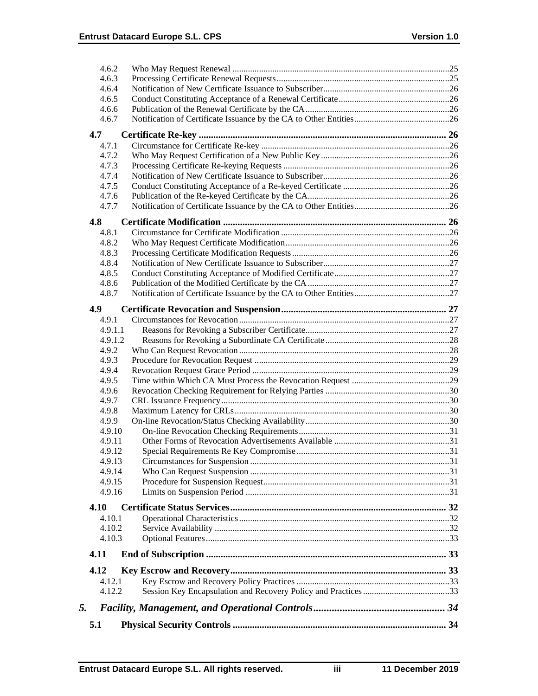| 4.6.2          |  |
|----------------|--|
| 4.6.3          |  |
| 4.6.4          |  |
| 4.6.5          |  |
| 4.6.6          |  |
| 4.6.7          |  |
| 4.7            |  |
| 4.7.1          |  |
| 4.7.2          |  |
| 4.7.3          |  |
| 4.7.4          |  |
| 4.7.5          |  |
| 4.7.6          |  |
| 4.7.7          |  |
| 4.8            |  |
| 4.8.1          |  |
| 4.8.2          |  |
| 4.8.3          |  |
| 4.8.4          |  |
| 4.8.5          |  |
| 4.8.6          |  |
| 4.8.7          |  |
| 4.9            |  |
| 4.9.1          |  |
| 4.9.1.1        |  |
| 4.9.1.2        |  |
| 4.9.2          |  |
| 4.9.3          |  |
| 4.9.4<br>4.9.5 |  |
| 4.9.6          |  |
| 4.9.7          |  |
| 4.9.8          |  |
| 4.9.9          |  |
| 4.9.10         |  |
| 4.9.11         |  |
| 4.9.12         |  |
| 4.9.13         |  |
| 4.9.14         |  |
| 4.9.15         |  |
| 4.9.16         |  |
| 4.10           |  |
| 4.10.1         |  |
| 4.10.2         |  |
| 4.10.3         |  |
| 4.11           |  |
| 4.12           |  |
| 4.12.1         |  |
| 4.12.2         |  |
|                |  |
| 5.             |  |
| 5.1            |  |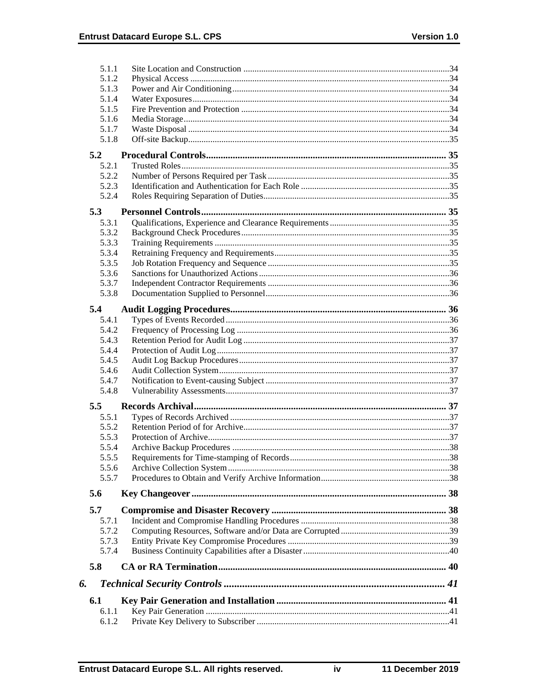| 5.1.1 |  |
|-------|--|
| 5.1.2 |  |
| 5.1.3 |  |
| 5.1.4 |  |
| 5.1.5 |  |
| 5.1.6 |  |
| 5.1.7 |  |
| 5.1.8 |  |
| 5.2   |  |
| 5.2.1 |  |
| 5.2.2 |  |
| 5.2.3 |  |
| 5.2.4 |  |
| 5.3   |  |
| 5.3.1 |  |
| 5.3.2 |  |
| 5.3.3 |  |
| 5.3.4 |  |
| 5.3.5 |  |
| 5.3.6 |  |
| 5.3.7 |  |
| 5.3.8 |  |
| 5.4   |  |
| 5.4.1 |  |
| 5.4.2 |  |
| 5.4.3 |  |
| 5.4.4 |  |
| 5.4.5 |  |
| 5.4.6 |  |
| 5.4.7 |  |
| 5.4.8 |  |
| 5.5   |  |
| 5.5.1 |  |
| 5.5.2 |  |
| 5.5.3 |  |
| 5.5.4 |  |
| 5.5.5 |  |
| 5.5.6 |  |
| 5.5.7 |  |
| 5.6   |  |
| 5.7   |  |
| 5.7.1 |  |
| 5.7.2 |  |
| 5.7.3 |  |
| 5.7.4 |  |
| 5.8   |  |
| 6.    |  |
|       |  |
| 6.1   |  |
| 6.1.1 |  |
| 6.1.2 |  |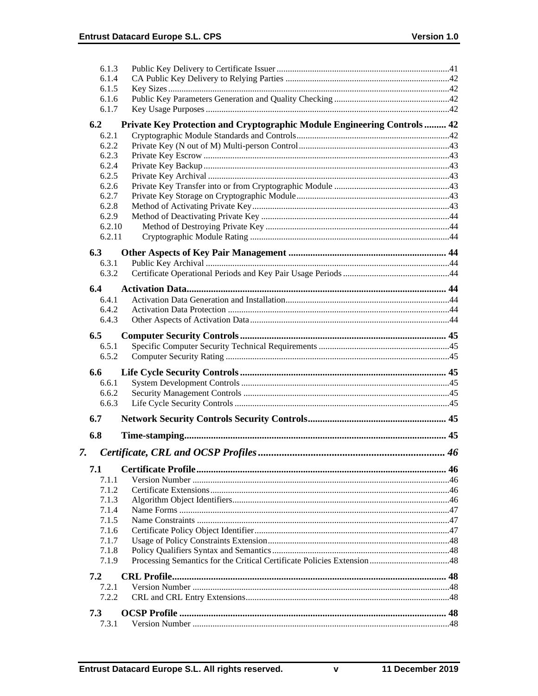|    | 6.1.3          |                                                                          |  |
|----|----------------|--------------------------------------------------------------------------|--|
|    | 6.1.4          |                                                                          |  |
|    | 6.1.5          |                                                                          |  |
|    | 6.1.6          |                                                                          |  |
|    | 6.1.7          |                                                                          |  |
|    | 6.2            | Private Key Protection and Cryptographic Module Engineering Controls  42 |  |
|    | 6.2.1          |                                                                          |  |
|    | 6.2.2          |                                                                          |  |
|    | 6.2.3          |                                                                          |  |
|    | 6.2.4          |                                                                          |  |
|    | 6.2.5          |                                                                          |  |
|    | 6.2.6          |                                                                          |  |
|    | 6.2.7          |                                                                          |  |
|    | 6.2.8          |                                                                          |  |
|    | 6.2.9          |                                                                          |  |
|    | 6.2.10         |                                                                          |  |
|    | 6.2.11         |                                                                          |  |
|    | 6.3            |                                                                          |  |
|    | 6.3.1          |                                                                          |  |
|    | 6.3.2          |                                                                          |  |
|    |                |                                                                          |  |
|    | 6.4            |                                                                          |  |
|    | 6.4.1          |                                                                          |  |
|    | 6.4.2          |                                                                          |  |
|    | 6.4.3          |                                                                          |  |
|    | 6.5            |                                                                          |  |
|    | 6.5.1          |                                                                          |  |
|    | 6.5.2          |                                                                          |  |
|    |                |                                                                          |  |
|    | 6.6            |                                                                          |  |
|    | 6.6.1<br>6.6.2 |                                                                          |  |
|    | 6.6.3          |                                                                          |  |
|    |                |                                                                          |  |
|    | 6.7            |                                                                          |  |
|    | 6.8            |                                                                          |  |
|    |                |                                                                          |  |
| 7. |                |                                                                          |  |
|    | 7.1            |                                                                          |  |
|    | 7.1.1          |                                                                          |  |
|    | 7.1.2          |                                                                          |  |
|    | 7.1.3          |                                                                          |  |
|    | 7.1.4          |                                                                          |  |
|    | 7.1.5          |                                                                          |  |
|    |                |                                                                          |  |
|    | 7.1.6          |                                                                          |  |
|    | 7.1.7          |                                                                          |  |
|    | 7.1.8          |                                                                          |  |
|    | 7.1.9          |                                                                          |  |
|    | 7.2            |                                                                          |  |
|    | 7.2.1          |                                                                          |  |
|    | 7.2.2          |                                                                          |  |
|    | 7.3            |                                                                          |  |
|    | 7.3.1          |                                                                          |  |

 $\mathbf v$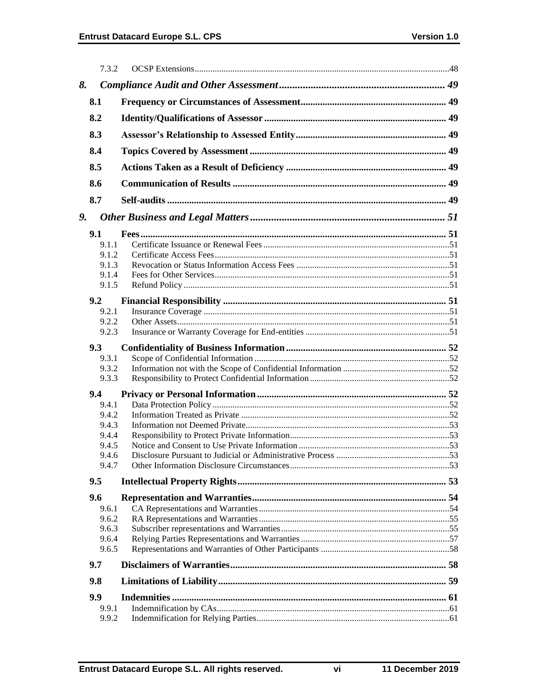|    | 7.3.2          |  |
|----|----------------|--|
| 8. |                |  |
|    | 8.1            |  |
|    | 8.2            |  |
|    | 8.3            |  |
|    | 8.4            |  |
|    | 8.5            |  |
|    | 8.6            |  |
|    | 8.7            |  |
| 9. |                |  |
|    |                |  |
|    | 9.1            |  |
|    | 9.1.1          |  |
|    | 9.1.2<br>9.1.3 |  |
|    | 9.1.4          |  |
|    | 9.1.5          |  |
|    |                |  |
|    | 9.2            |  |
|    | 9.2.1          |  |
|    | 9.2.2<br>9.2.3 |  |
|    |                |  |
|    | 9.3            |  |
|    | 9.3.1          |  |
|    | 9.3.2          |  |
|    | 9.3.3          |  |
|    | 9.4            |  |
|    | 9.4.1          |  |
|    | 9.4.2          |  |
|    | 9.4.3          |  |
|    | 9.4.4          |  |
|    | 9.4.5<br>9.4.6 |  |
|    | 9.4.7          |  |
|    |                |  |
|    | 9.5            |  |
|    | 9.6            |  |
|    | 9.6.1          |  |
|    | 9.6.2          |  |
|    | 9.6.3          |  |
|    | 9.6.4<br>9.6.5 |  |
|    | 9.7            |  |
|    | 9.8            |  |
|    |                |  |
|    | 9.9            |  |
|    | 9.9.1<br>9.9.2 |  |
|    |                |  |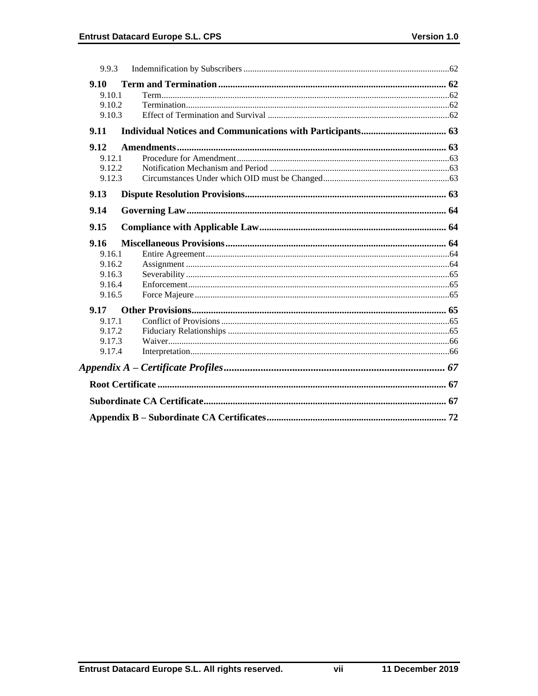| 9.9.3  |  |
|--------|--|
| 9.10   |  |
| 9.10.1 |  |
| 9.10.2 |  |
| 9.10.3 |  |
| 9.11   |  |
| 9.12   |  |
| 9.12.1 |  |
| 9.12.2 |  |
| 9.12.3 |  |
| 9.13   |  |
| 9.14   |  |
| 9.15   |  |
| 9.16   |  |
| 9.16.1 |  |
| 9.16.2 |  |
| 9.16.3 |  |
| 9.16.4 |  |
| 9.16.5 |  |
| 9.17   |  |
| 9.17.1 |  |
| 9.17.2 |  |
| 9.17.3 |  |
| 9.17.4 |  |
|        |  |
|        |  |
|        |  |
|        |  |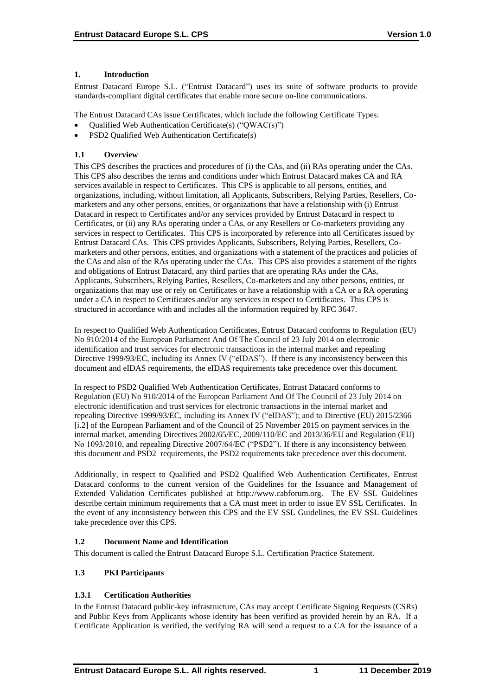### **1. Introduction**

Entrust Datacard Europe S.L. ("Entrust Datacard") uses its suite of software products to provide standards-compliant digital certificates that enable more secure on-line communications.

The Entrust Datacard CAs issue Certificates, which include the following Certificate Types:

- Qualified Web Authentication Certificate(s) ("QWAC(s)")
- PSD2 Qualified Web Authentication Certificate(s)

# **1.1 Overview**

This CPS describes the practices and procedures of (i) the CAs, and (ii) RAs operating under the CAs. This CPS also describes the terms and conditions under which Entrust Datacard makes CA and RA services available in respect to Certificates. This CPS is applicable to all persons, entities, and organizations, including, without limitation, all Applicants, Subscribers, Relying Parties, Resellers, Comarketers and any other persons, entities, or organizations that have a relationship with (i) Entrust Datacard in respect to Certificates and/or any services provided by Entrust Datacard in respect to Certificates, or (ii) any RAs operating under a CAs, or any Resellers or Co-marketers providing any services in respect to Certificates. This CPS is incorporated by reference into all Certificates issued by Entrust Datacard CAs. This CPS provides Applicants, Subscribers, Relying Parties, Resellers, Comarketers and other persons, entities, and organizations with a statement of the practices and policies of the CAs and also of the RAs operating under the CAs. This CPS also provides a statement of the rights and obligations of Entrust Datacard, any third parties that are operating RAs under the CAs, Applicants, Subscribers, Relying Parties, Resellers, Co-marketers and any other persons, entities, or organizations that may use or rely on Certificates or have a relationship with a CA or a RA operating under a CA in respect to Certificates and/or any services in respect to Certificates. This CPS is structured in accordance with and includes all the information required by RFC 3647.

In respect to Qualified Web Authentication Certificates, Entrust Datacard conforms to Regulation (EU) No 910/2014 of the European Parliament And Of The Council of 23 July 2014 on electronic identification and trust services for electronic transactions in the internal market and repealing Directive 1999/93/EC, including its Annex IV ("eIDAS"). If there is any inconsistency between this document and eIDAS requirements, the eIDAS requirements take precedence over this document.

In respect to PSD2 Qualified Web Authentication Certificates, Entrust Datacard conforms to Regulation (EU) No 910/2014 of the European Parliament And Of The Council of 23 July 2014 on electronic identification and trust services for electronic transactions in the internal market and repealing Directive 1999/93/EC, including its Annex IV ("eIDAS"); and to Directive (EU) 2015/2366 [i.2] of the European Parliament and of the Council of 25 November 2015 on payment services in the internal market, amending Directives 2002/65/EC, 2009/110/EC and 2013/36/EU and Regulation (EU) No 1093/2010, and repealing Directive 2007/64/EC ("PSD2"). If there is any inconsistency between this document and PSD2 requirements, the PSD2 requirements take precedence over this document.

Additionally, in respect to Qualified and PSD2 Qualified Web Authentication Certificates, Entrust Datacard conforms to the current version of the Guidelines for the Issuance and Management of Extended Validation Certificates published at http://www.cabforum.org. The EV SSL Guidelines describe certain minimum requirements that a CA must meet in order to issue EV SSL Certificates. In the event of any inconsistency between this CPS and the EV SSL Guidelines, the EV SSL Guidelines take precedence over this CPS.

# **1.2 Document Name and Identification**

This document is called the Entrust Datacard Europe S.L. Certification Practice Statement.

# **1.3 PKI Participants**

# **1.3.1 Certification Authorities**

In the Entrust Datacard public-key infrastructure, CAs may accept Certificate Signing Requests (CSRs) and Public Keys from Applicants whose identity has been verified as provided herein by an RA. If a Certificate Application is verified, the verifying RA will send a request to a CA for the issuance of a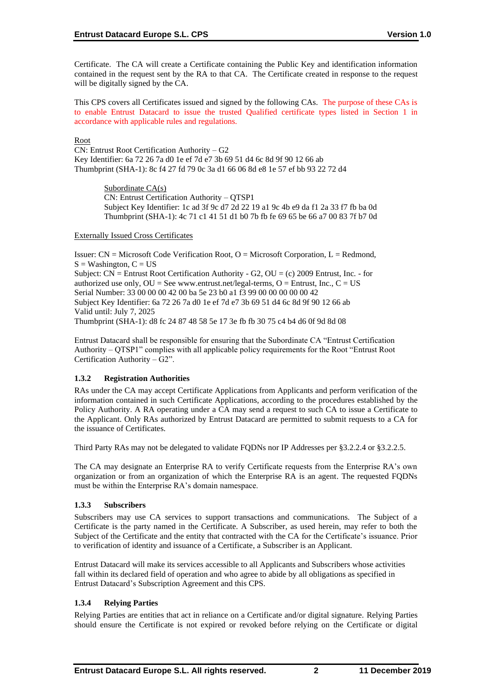Certificate. The CA will create a Certificate containing the Public Key and identification information contained in the request sent by the RA to that CA. The Certificate created in response to the request will be digitally signed by the CA.

This CPS covers all Certificates issued and signed by the following CAs. The purpose of these CAs is to enable Entrust Datacard to issue the trusted Qualified certificate types listed in Section 1 in accordance with applicable rules and regulations.

Root

CN: Entrust Root Certification Authority – G2 Key Identifier: 6a 72 26 7a d0 1e ef 7d e7 3b 69 51 d4 6c 8d 9f 90 12 66 ab Thumbprint (SHA-1): 8c f4 27 fd 79 0c 3a d1 66 06 8d e8 1e 57 ef bb 93 22 72 d4

> Subordinate CA(s) CN: Entrust Certification Authority – QTSP1 Subject Key Identifier: 1c ad 3f 9c d7 2d 22 19 a1 9c 4b e9 da f1 2a 33 f7 fb ba 0d Thumbprint (SHA-1): 4c 71 c1 41 51 d1 b0 7b fb fe 69 65 be 66 a7 00 83 7f b7 0d

### Externally Issued Cross Certificates

Issuer:  $CN = Microsoft Code Verification Root, O = Microsoft Corporation, L = Redmond,$  $S = Washington, C = US$ Subject:  $CN =$  Entrust Root Certification Authority - G2,  $OU = (c)$  2009 Entrust, Inc. - for authorized use only,  $OU = See$  www.entrust.net/legal-terms,  $O =$  Entrust, Inc.,  $C = US$ Serial Number: 33 00 00 00 42 00 ba 5e 23 b0 a1 f3 99 00 00 00 00 00 42 Subject Key Identifier: 6a 72 26 7a d0 1e ef 7d e7 3b 69 51 d4 6c 8d 9f 90 12 66 ab Valid until: July 7, 2025 Thumbprint (SHA-1): d8 fc 24 87 48 58 5e 17 3e fb fb 30 75 c4 b4 d6 0f 9d 8d 08

Entrust Datacard shall be responsible for ensuring that the Subordinate CA "Entrust Certification Authority – QTSP1" complies with all applicable policy requirements for the Root "Entrust Root Certification Authority – G2".

# **1.3.2 Registration Authorities**

RAs under the CA may accept Certificate Applications from Applicants and perform verification of the information contained in such Certificate Applications, according to the procedures established by the Policy Authority. A RA operating under a CA may send a request to such CA to issue a Certificate to the Applicant. Only RAs authorized by Entrust Datacard are permitted to submit requests to a CA for the issuance of Certificates.

Third Party RAs may not be delegated to validate FQDNs nor IP Addresses per §3.2.2.4 or §3.2.2.5.

The CA may designate an Enterprise RA to verify Certificate requests from the Enterprise RA's own organization or from an organization of which the Enterprise RA is an agent. The requested FQDNs must be within the Enterprise RA's domain namespace.

# **1.3.3 Subscribers**

Subscribers may use CA services to support transactions and communications. The Subject of a Certificate is the party named in the Certificate. A Subscriber, as used herein, may refer to both the Subject of the Certificate and the entity that contracted with the CA for the Certificate's issuance. Prior to verification of identity and issuance of a Certificate, a Subscriber is an Applicant.

Entrust Datacard will make its services accessible to all Applicants and Subscribers whose activities fall within its declared field of operation and who agree to abide by all obligations as specified in Entrust Datacard's Subscription Agreement and this CPS.

# **1.3.4 Relying Parties**

Relying Parties are entities that act in reliance on a Certificate and/or digital signature. Relying Parties should ensure the Certificate is not expired or revoked before relying on the Certificate or digital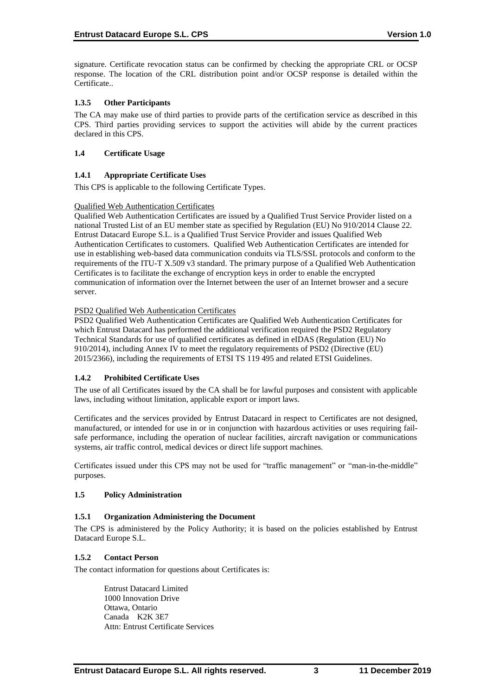signature. Certificate revocation status can be confirmed by checking the appropriate CRL or OCSP response. The location of the CRL distribution point and/or OCSP response is detailed within the Certificate..

### **1.3.5 Other Participants**

The CA may make use of third parties to provide parts of the certification service as described in this CPS. Third parties providing services to support the activities will abide by the current practices declared in this CPS.

### **1.4 Certificate Usage**

### **1.4.1 Appropriate Certificate Uses**

This CPS is applicable to the following Certificate Types.

### Qualified Web Authentication Certificates

Qualified Web Authentication Certificates are issued by a Qualified Trust Service Provider listed on a national Trusted List of an EU member state as specified by Regulation (EU) No 910/2014 Clause 22. Entrust Datacard Europe S.L. is a Qualified Trust Service Provider and issues Qualified Web Authentication Certificates to customers. Qualified Web Authentication Certificates are intended for use in establishing web-based data communication conduits via TLS/SSL protocols and conform to the requirements of the ITU-T X.509 v3 standard. The primary purpose of a Qualified Web Authentication Certificates is to facilitate the exchange of encryption keys in order to enable the encrypted communication of information over the Internet between the user of an Internet browser and a secure server.

### PSD2 Qualified Web Authentication Certificates

PSD2 Qualified Web Authentication Certificates are Qualified Web Authentication Certificates for which Entrust Datacard has performed the additional verification required the PSD2 Regulatory Technical Standards for use of qualified certificates as defined in eIDAS (Regulation (EU) No 910/2014), including Annex IV to meet the regulatory requirements of PSD2 (Directive (EU) 2015/2366), including the requirements of ETSI TS 119 495 and related ETSI Guidelines.

### **1.4.2 Prohibited Certificate Uses**

The use of all Certificates issued by the CA shall be for lawful purposes and consistent with applicable laws, including without limitation, applicable export or import laws.

Certificates and the services provided by Entrust Datacard in respect to Certificates are not designed, manufactured, or intended for use in or in conjunction with hazardous activities or uses requiring failsafe performance, including the operation of nuclear facilities, aircraft navigation or communications systems, air traffic control, medical devices or direct life support machines.

Certificates issued under this CPS may not be used for "traffic management" or "man-in-the-middle" purposes.

### **1.5 Policy Administration**

### **1.5.1 Organization Administering the Document**

The CPS is administered by the Policy Authority; it is based on the policies established by Entrust Datacard Europe S.L.

### **1.5.2 Contact Person**

The contact information for questions about Certificates is:

Entrust Datacard Limited 1000 Innovation Drive Ottawa, Ontario Canada K2K 3E7 Attn: Entrust Certificate Services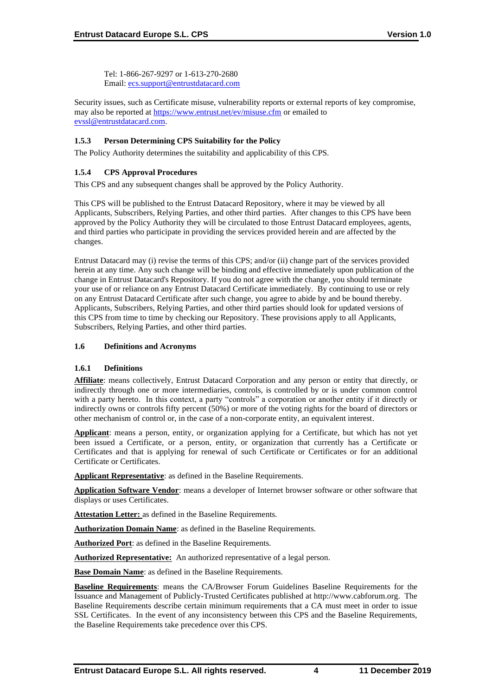Tel: 1-866-267-9297 or 1-613-270-2680 Email: [ecs.support@entrustdatacard.com](mailto:ecs.support@entrustdatacard.com)

Security issues, such as Certificate misuse, vulnerability reports or external reports of key compromise, may also be reported at<https://www.entrust.net/ev/misuse.cfm> or emailed to [evssl@entrustdatacard.com.](mailto:evssl@entrustdatacard.com)

# **1.5.3 Person Determining CPS Suitability for the Policy**

The Policy Authority determines the suitability and applicability of this CPS.

### **1.5.4 CPS Approval Procedures**

This CPS and any subsequent changes shall be approved by the Policy Authority.

This CPS will be published to the Entrust Datacard Repository, where it may be viewed by all Applicants, Subscribers, Relying Parties, and other third parties. After changes to this CPS have been approved by the Policy Authority they will be circulated to those Entrust Datacard employees, agents, and third parties who participate in providing the services provided herein and are affected by the changes.

Entrust Datacard may (i) revise the terms of this CPS; and/or (ii) change part of the services provided herein at any time. Any such change will be binding and effective immediately upon publication of the change in Entrust Datacard's Repository. If you do not agree with the change, you should terminate your use of or reliance on any Entrust Datacard Certificate immediately. By continuing to use or rely on any Entrust Datacard Certificate after such change, you agree to abide by and be bound thereby. Applicants, Subscribers, Relying Parties, and other third parties should look for updated versions of this CPS from time to time by checking our Repository. These provisions apply to all Applicants, Subscribers, Relying Parties, and other third parties.

### **1.6 Definitions and Acronyms**

### **1.6.1 Definitions**

**Affiliate**: means collectively, Entrust Datacard Corporation and any person or entity that directly, or indirectly through one or more intermediaries, controls, is controlled by or is under common control with a party hereto. In this context, a party "controls" a corporation or another entity if it directly or indirectly owns or controls fifty percent (50%) or more of the voting rights for the board of directors or other mechanism of control or, in the case of a non-corporate entity, an equivalent interest.

**Applicant**: means a person, entity, or organization applying for a Certificate, but which has not yet been issued a Certificate, or a person, entity, or organization that currently has a Certificate or Certificates and that is applying for renewal of such Certificate or Certificates or for an additional Certificate or Certificates.

**Applicant Representative**: as defined in the Baseline Requirements.

**Application Software Vendor**: means a developer of Internet browser software or other software that displays or uses Certificates.

**Attestation Letter:** as defined in the Baseline Requirements.

**Authorization Domain Name**: as defined in the Baseline Requirements.

**Authorized Port**: as defined in the Baseline Requirements.

**Authorized Representative:** An authorized representative of a legal person.

**Base Domain Name**: as defined in the Baseline Requirements.

**Baseline Requirements**: means the CA/Browser Forum Guidelines Baseline Requirements for the Issuance and Management of Publicly-Trusted Certificates published at http://www.cabforum.org. The Baseline Requirements describe certain minimum requirements that a CA must meet in order to issue SSL Certificates. In the event of any inconsistency between this CPS and the Baseline Requirements, the Baseline Requirements take precedence over this CPS.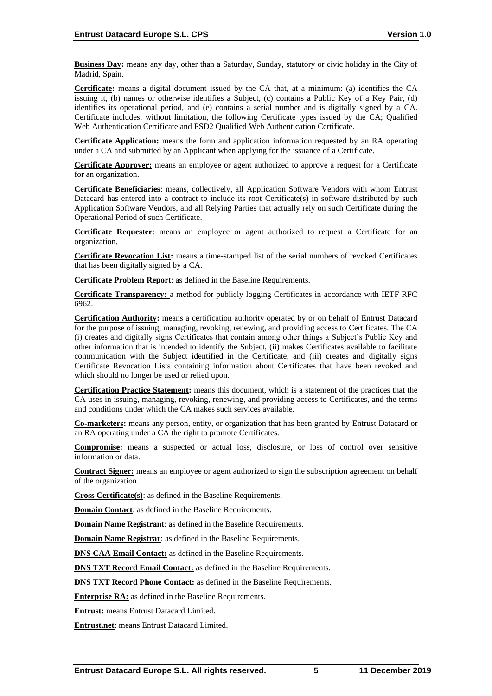**Business Day:** means any day, other than a Saturday, Sunday, statutory or civic holiday in the City of Madrid, Spain.

**Certificate:** means a digital document issued by the CA that, at a minimum: (a) identifies the CA issuing it, (b) names or otherwise identifies a Subject, (c) contains a Public Key of a Key Pair, (d) identifies its operational period, and (e) contains a serial number and is digitally signed by a CA. Certificate includes, without limitation, the following Certificate types issued by the CA; Qualified Web Authentication Certificate and PSD2 Qualified Web Authentication Certificate.

**Certificate Application:** means the form and application information requested by an RA operating under a CA and submitted by an Applicant when applying for the issuance of a Certificate.

**Certificate Approver:** means an employee or agent authorized to approve a request for a Certificate for an organization.

**Certificate Beneficiaries**: means, collectively, all Application Software Vendors with whom Entrust Datacard has entered into a contract to include its root Certificate(s) in software distributed by such Application Software Vendors, and all Relying Parties that actually rely on such Certificate during the Operational Period of such Certificate.

**Certificate Requester**: means an employee or agent authorized to request a Certificate for an organization.

**Certificate Revocation List:** means a time-stamped list of the serial numbers of revoked Certificates that has been digitally signed by a CA.

**Certificate Problem Report**: as defined in the Baseline Requirements.

**Certificate Transparency:** a method for publicly logging Certificates in accordance with IETF RFC 6962.

**Certification Authority:** means a certification authority operated by or on behalf of Entrust Datacard for the purpose of issuing, managing, revoking, renewing, and providing access to Certificates. The CA (i) creates and digitally signs Certificates that contain among other things a Subject's Public Key and other information that is intended to identify the Subject, (ii) makes Certificates available to facilitate communication with the Subject identified in the Certificate, and (iii) creates and digitally signs Certificate Revocation Lists containing information about Certificates that have been revoked and which should no longer be used or relied upon.

**Certification Practice Statement:** means this document, which is a statement of the practices that the CA uses in issuing, managing, revoking, renewing, and providing access to Certificates, and the terms and conditions under which the CA makes such services available.

**Co-marketers:** means any person, entity, or organization that has been granted by Entrust Datacard or an RA operating under a CA the right to promote Certificates.

**Compromise:** means a suspected or actual loss, disclosure, or loss of control over sensitive information or data.

**Contract Signer:** means an employee or agent authorized to sign the subscription agreement on behalf of the organization.

**Cross Certificate(s)**: as defined in the Baseline Requirements.

**Domain Contact**: as defined in the Baseline Requirements.

**Domain Name Registrant**: as defined in the Baseline Requirements.

**Domain Name Registrar**: as defined in the Baseline Requirements.

**DNS CAA Email Contact:** as defined in the Baseline Requirements.

**DNS TXT Record Email Contact:** as defined in the Baseline Requirements.

**DNS TXT Record Phone Contact:** as defined in the Baseline Requirements.

**Enterprise RA:** as defined in the Baseline Requirements.

**Entrust:** means Entrust Datacard Limited.

**Entrust.net**: means Entrust Datacard Limited.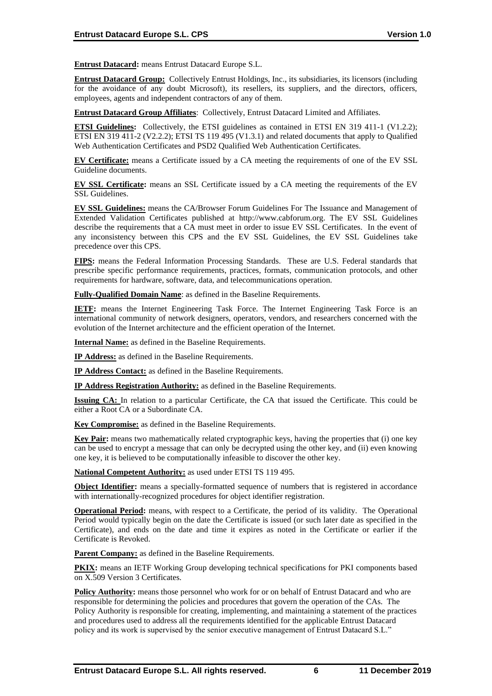**Entrust Datacard:** means Entrust Datacard Europe S.L.

**Entrust Datacard Group:** Collectively Entrust Holdings, Inc., its subsidiaries, its licensors (including for the avoidance of any doubt Microsoft), its resellers, its suppliers, and the directors, officers, employees, agents and independent contractors of any of them.

**Entrust Datacard Group Affiliates**: Collectively, Entrust Datacard Limited and Affiliates.

**ETSI Guidelines:** Collectively, the ETSI guidelines as contained in ETSI EN 319 411-1 (V1.2.2); ETSI EN 319 411-2 (V2.2.2); ETSI TS 119 495 (V1.3.1) and related documents that apply to Qualified Web Authentication Certificates and PSD2 Qualified Web Authentication Certificates.

**EV Certificate:** means a Certificate issued by a CA meeting the requirements of one of the EV SSL Guideline documents.

**EV SSL Certificate:** means an SSL Certificate issued by a CA meeting the requirements of the EV SSL Guidelines.

**EV SSL Guidelines:** means the CA/Browser Forum Guidelines For The Issuance and Management of Extended Validation Certificates published at http://www.cabforum.org. The EV SSL Guidelines describe the requirements that a CA must meet in order to issue EV SSL Certificates. In the event of any inconsistency between this CPS and the EV SSL Guidelines, the EV SSL Guidelines take precedence over this CPS.

**FIPS:** means the Federal Information Processing Standards. These are U.S. Federal standards that prescribe specific performance requirements, practices, formats, communication protocols, and other requirements for hardware, software, data, and telecommunications operation.

**Fully-Qualified Domain Name**: as defined in the Baseline Requirements.

**IETF:** means the Internet Engineering Task Force. The Internet Engineering Task Force is an international community of network designers, operators, vendors, and researchers concerned with the evolution of the Internet architecture and the efficient operation of the Internet.

**Internal Name:** as defined in the Baseline Requirements.

**IP Address:** as defined in the Baseline Requirements.

**IP Address Contact:** as defined in the Baseline Requirements.

**IP Address Registration Authority:** as defined in the Baseline Requirements.

**Issuing CA:** In relation to a particular Certificate, the CA that issued the Certificate. This could be either a Root CA or a Subordinate CA.

**Key Compromise:** as defined in the Baseline Requirements.

**Key Pair:** means two mathematically related cryptographic keys, having the properties that (i) one key can be used to encrypt a message that can only be decrypted using the other key, and (ii) even knowing one key, it is believed to be computationally infeasible to discover the other key.

**National Competent Authority:** as used under ETSI TS 119 495.

**Object Identifier:** means a specially-formatted sequence of numbers that is registered in accordance with internationally-recognized procedures for object identifier registration.

**Operational Period:** means, with respect to a Certificate, the period of its validity. The Operational Period would typically begin on the date the Certificate is issued (or such later date as specified in the Certificate), and ends on the date and time it expires as noted in the Certificate or earlier if the Certificate is Revoked.

**Parent Company:** as defined in the Baseline Requirements.

**PKIX:** means an IETF Working Group developing technical specifications for PKI components based on X.509 Version 3 Certificates.

**Policy Authority:** means those personnel who work for or on behalf of Entrust Datacard and who are responsible for determining the policies and procedures that govern the operation of the CAs. The Policy Authority is responsible for creating, implementing, and maintaining a statement of the practices and procedures used to address all the requirements identified for the applicable Entrust Datacard policy and its work is supervised by the senior executive management of Entrust Datacard S.L."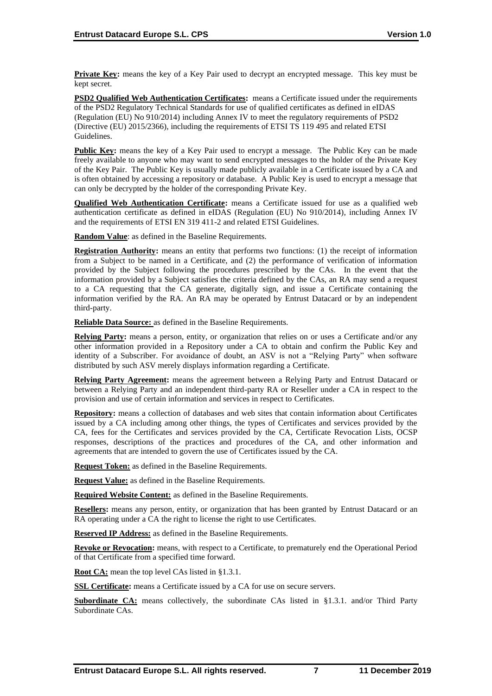**Private Key:** means the key of a Key Pair used to decrypt an encrypted message. This key must be kept secret.

**PSD2 Qualified Web Authentication Certificates:** means a Certificate issued under the requirements of the PSD2 Regulatory Technical Standards for use of qualified certificates as defined in eIDAS (Regulation (EU) No 910/2014) including Annex IV to meet the regulatory requirements of PSD2 (Directive (EU) 2015/2366), including the requirements of ETSI TS 119 495 and related ETSI Guidelines.

**Public Key:** means the key of a Key Pair used to encrypt a message. The Public Key can be made freely available to anyone who may want to send encrypted messages to the holder of the Private Key of the Key Pair. The Public Key is usually made publicly available in a Certificate issued by a CA and is often obtained by accessing a repository or database. A Public Key is used to encrypt a message that can only be decrypted by the holder of the corresponding Private Key.

**Qualified Web Authentication Certificate:** means a Certificate issued for use as a qualified web authentication certificate as defined in eIDAS (Regulation (EU) No 910/2014), including Annex IV and the requirements of ETSI EN 319 411-2 and related ETSI Guidelines.

**Random Value**: as defined in the Baseline Requirements.

**Registration Authority:** means an entity that performs two functions: (1) the receipt of information from a Subject to be named in a Certificate, and (2) the performance of verification of information provided by the Subject following the procedures prescribed by the CAs. In the event that the information provided by a Subject satisfies the criteria defined by the CAs, an RA may send a request to a CA requesting that the CA generate, digitally sign, and issue a Certificate containing the information verified by the RA. An RA may be operated by Entrust Datacard or by an independent third-party.

**Reliable Data Source:** as defined in the Baseline Requirements.

**Relying Party:** means a person, entity, or organization that relies on or uses a Certificate and/or any other information provided in a Repository under a CA to obtain and confirm the Public Key and identity of a Subscriber. For avoidance of doubt, an ASV is not a "Relying Party" when software distributed by such ASV merely displays information regarding a Certificate.

**Relying Party Agreement:** means the agreement between a Relying Party and Entrust Datacard or between a Relying Party and an independent third-party RA or Reseller under a CA in respect to the provision and use of certain information and services in respect to Certificates.

**Repository:** means a collection of databases and web sites that contain information about Certificates issued by a CA including among other things, the types of Certificates and services provided by the CA, fees for the Certificates and services provided by the CA, Certificate Revocation Lists, OCSP responses, descriptions of the practices and procedures of the CA, and other information and agreements that are intended to govern the use of Certificates issued by the CA.

**Request Token:** as defined in the Baseline Requirements.

**Request Value:** as defined in the Baseline Requirements.

**Required Website Content:** as defined in the Baseline Requirements.

**Resellers:** means any person, entity, or organization that has been granted by Entrust Datacard or an RA operating under a CA the right to license the right to use Certificates.

**Reserved IP Address:** as defined in the Baseline Requirements.

**Revoke or Revocation:** means, with respect to a Certificate, to prematurely end the Operational Period of that Certificate from a specified time forward.

**Root CA:** mean the top level CAs listed in §1.3.1.

**SSL Certificate:** means a Certificate issued by a CA for use on secure servers.

Subordinate CA: means collectively, the subordinate CAs listed in §1.3.1. and/or Third Party Subordinate CAs.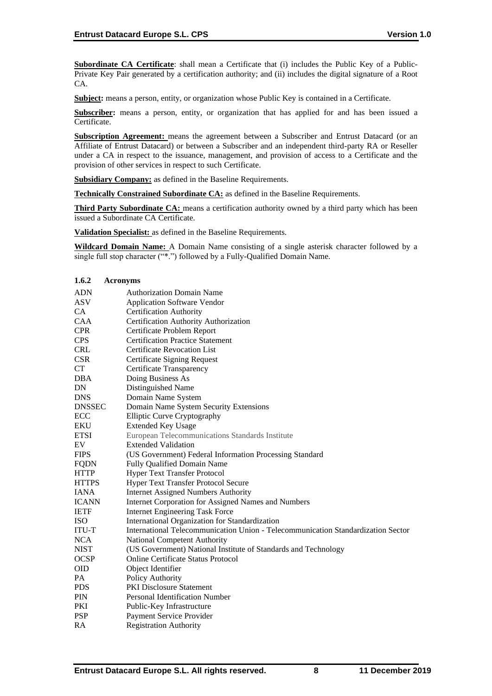**Subordinate CA Certificate**: shall mean a Certificate that (i) includes the Public Key of a Public-Private Key Pair generated by a certification authority; and (ii) includes the digital signature of a Root CA.

**Subject:** means a person, entity, or organization whose Public Key is contained in a Certificate.

**Subscriber:** means a person, entity, or organization that has applied for and has been issued a Certificate.

**Subscription Agreement:** means the agreement between a Subscriber and Entrust Datacard (or an Affiliate of Entrust Datacard) or between a Subscriber and an independent third-party RA or Reseller under a CA in respect to the issuance, management, and provision of access to a Certificate and the provision of other services in respect to such Certificate.

**Subsidiary Company:** as defined in the Baseline Requirements.

**Technically Constrained Subordinate CA:** as defined in the Baseline Requirements.

**Third Party Subordinate CA:** means a certification authority owned by a third party which has been issued a Subordinate CA Certificate.

**Validation Specialist:** as defined in the Baseline Requirements.

**Wildcard Domain Name:** A Domain Name consisting of a single asterisk character followed by a single full stop character ("\*.") followed by a Fully-Qualified Domain Name.

### **1.6.2 Acronyms**

| <b>ADN</b>    | <b>Authorization Domain Name</b>                                                 |
|---------------|----------------------------------------------------------------------------------|
| <b>ASV</b>    | <b>Application Software Vendor</b>                                               |
| CA            | <b>Certification Authority</b>                                                   |
| CAA           | Certification Authority Authorization                                            |
| <b>CPR</b>    | Certificate Problem Report                                                       |
| <b>CPS</b>    | <b>Certification Practice Statement</b>                                          |
| <b>CRL</b>    | <b>Certificate Revocation List</b>                                               |
| <b>CSR</b>    | <b>Certificate Signing Request</b>                                               |
| <b>CT</b>     | Certificate Transparency                                                         |
| <b>DBA</b>    | Doing Business As                                                                |
| DN            | Distinguished Name                                                               |
| <b>DNS</b>    | Domain Name System                                                               |
| <b>DNSSEC</b> | Domain Name System Security Extensions                                           |
| ECC           | <b>Elliptic Curve Cryptography</b>                                               |
| EKU           | <b>Extended Key Usage</b>                                                        |
| <b>ETSI</b>   | European Telecommunications Standards Institute                                  |
| EV            | <b>Extended Validation</b>                                                       |
| <b>FIPS</b>   | (US Government) Federal Information Processing Standard                          |
| <b>FQDN</b>   | Fully Qualified Domain Name                                                      |
| <b>HTTP</b>   | <b>Hyper Text Transfer Protocol</b>                                              |
| <b>HTTPS</b>  | <b>Hyper Text Transfer Protocol Secure</b>                                       |
| <b>IANA</b>   | <b>Internet Assigned Numbers Authority</b>                                       |
| <b>ICANN</b>  | Internet Corporation for Assigned Names and Numbers                              |
| <b>IETF</b>   | <b>Internet Engineering Task Force</b>                                           |
| <b>ISO</b>    | International Organization for Standardization                                   |
| <b>ITU-T</b>  | International Telecommunication Union - Telecommunication Standardization Sector |
| <b>NCA</b>    | National Competent Authority                                                     |
| <b>NIST</b>   | (US Government) National Institute of Standards and Technology                   |
| <b>OCSP</b>   | <b>Online Certificate Status Protocol</b>                                        |
| <b>OID</b>    | Object Identifier                                                                |
| PA            | Policy Authority                                                                 |
| <b>PDS</b>    | <b>PKI Disclosure Statement</b>                                                  |
| PIN           | <b>Personal Identification Number</b>                                            |
| PKI           | Public-Key Infrastructure                                                        |
| <b>PSP</b>    | Payment Service Provider                                                         |
| RA            | <b>Registration Authority</b>                                                    |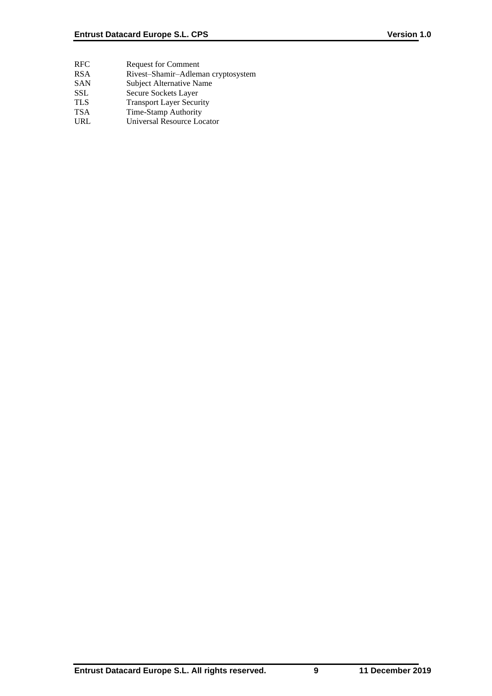- RFC Request for Comment
- RSA Rivest–Shamir–Adleman cryptosystem
- SAN Subject Alternative Name
- SSL Secure Sockets Layer
- TLS Transport Layer Security
- TSA Time-Stamp Authority
- URL Universal Resource Locator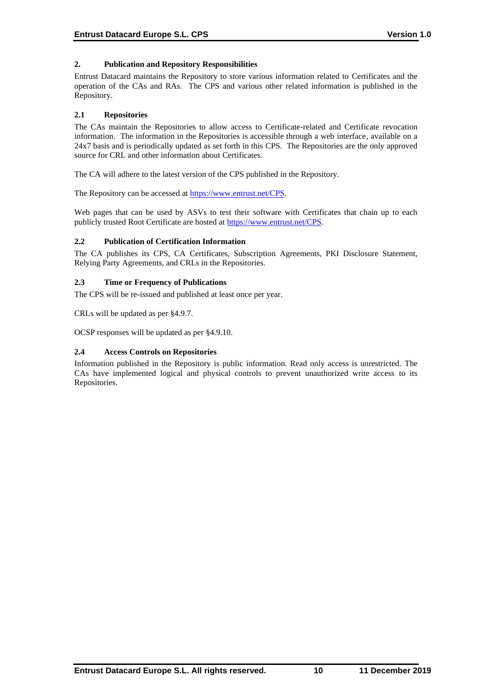# **2. Publication and Repository Responsibilities**

Entrust Datacard maintains the Repository to store various information related to Certificates and the operation of the CAs and RAs. The CPS and various other related information is published in the Repository.

# **2.1 Repositories**

The CAs maintain the Repositories to allow access to Certificate-related and Certificate revocation information. The information in the Repositories is accessible through a web interface, available on a 24x7 basis and is periodically updated as set forth in this CPS. The Repositories are the only approved source for CRL and other information about Certificates.

The CA will adhere to the latest version of the CPS published in the Repository.

The Repository can be accessed at [https://www.entrust.net/CPS.](https://www.entrust.net/CPS)

Web pages that can be used by ASVs to test their software with Certificates that chain up to each publicly trusted Root Certificate are hosted a[t https://www.entrust.net/CPS.](https://www.entrust.net/CPS)

# **2.2 Publication of Certification Information**

The CA publishes its CPS, CA Certificates, Subscription Agreements, PKI Disclosure Statement, Relying Party Agreements, and CRLs in the Repositories.

# **2.3 Time or Frequency of Publications**

The CPS will be re-issued and published at least once per year.

CRLs will be updated as per §4.9.7.

OCSP responses will be updated as per §4.9.10.

# **2.4 Access Controls on Repositories**

Information published in the Repository is public information. Read only access is unrestricted. The CAs have implemented logical and physical controls to prevent unauthorized write access to its Repositories.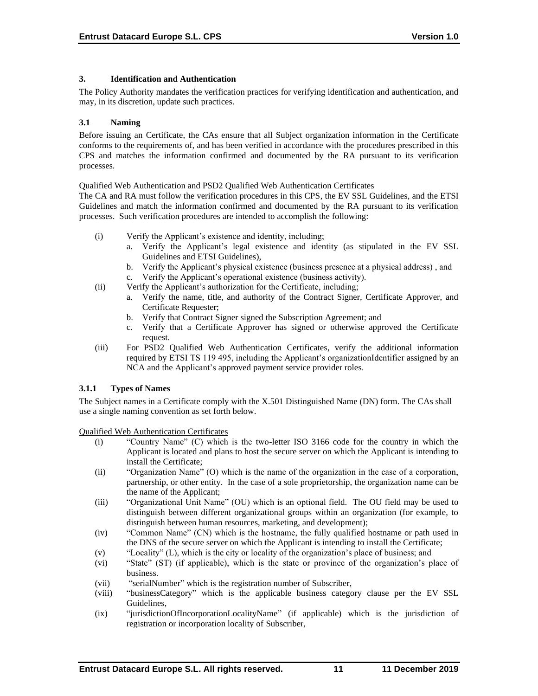### **3. Identification and Authentication**

The Policy Authority mandates the verification practices for verifying identification and authentication, and may, in its discretion, update such practices.

### **3.1 Naming**

Before issuing an Certificate, the CAs ensure that all Subject organization information in the Certificate conforms to the requirements of, and has been verified in accordance with the procedures prescribed in this CPS and matches the information confirmed and documented by the RA pursuant to its verification processes.

### Qualified Web Authentication and PSD2 Qualified Web Authentication Certificates

The CA and RA must follow the verification procedures in this CPS, the EV SSL Guidelines, and the ETSI Guidelines and match the information confirmed and documented by the RA pursuant to its verification processes. Such verification procedures are intended to accomplish the following:

- (i) Verify the Applicant's existence and identity, including;
	- a. Verify the Applicant's legal existence and identity (as stipulated in the EV SSL Guidelines and ETSI Guidelines),
	- b. Verify the Applicant's physical existence (business presence at a physical address) , and
- c. Verify the Applicant's operational existence (business activity). (ii) Verify the Applicant's authorization for the Certificate, including;
	- a. Verify the name, title, and authority of the Contract Signer, Certificate Approver, and Certificate Requester;
	- b. Verify that Contract Signer signed the Subscription Agreement; and
	- c. Verify that a Certificate Approver has signed or otherwise approved the Certificate request.
- (iii) For PSD2 Qualified Web Authentication Certificates, verify the additional information required by ETSI TS 119 495, including the Applicant's organizationIdentifier assigned by an NCA and the Applicant's approved payment service provider roles.

# **3.1.1 Types of Names**

The Subject names in a Certificate comply with the X.501 Distinguished Name (DN) form. The CAs shall use a single naming convention as set forth below.

Qualified Web Authentication Certificates

- (i) "Country Name" (C) which is the two-letter ISO 3166 code for the country in which the Applicant is located and plans to host the secure server on which the Applicant is intending to install the Certificate;
- (ii) "Organization Name" (O) which is the name of the organization in the case of a corporation, partnership, or other entity. In the case of a sole proprietorship, the organization name can be the name of the Applicant;
- (iii) "Organizational Unit Name" (OU) which is an optional field. The OU field may be used to distinguish between different organizational groups within an organization (for example, to distinguish between human resources, marketing, and development);
- (iv) "Common Name" (CN) which is the hostname, the fully qualified hostname or path used in the DNS of the secure server on which the Applicant is intending to install the Certificate;
- (v) "Locality" (L), which is the city or locality of the organization's place of business; and
- (vi) "State" (ST) (if applicable), which is the state or province of the organization's place of business.
- (vii) "serialNumber" which is the registration number of Subscriber,
- (viii) "businessCategory" which is the applicable business category clause per the EV SSL Guidelines,
- (ix) "jurisdictionOfIncorporationLocalityName" (if applicable) which is the jurisdiction of registration or incorporation locality of Subscriber,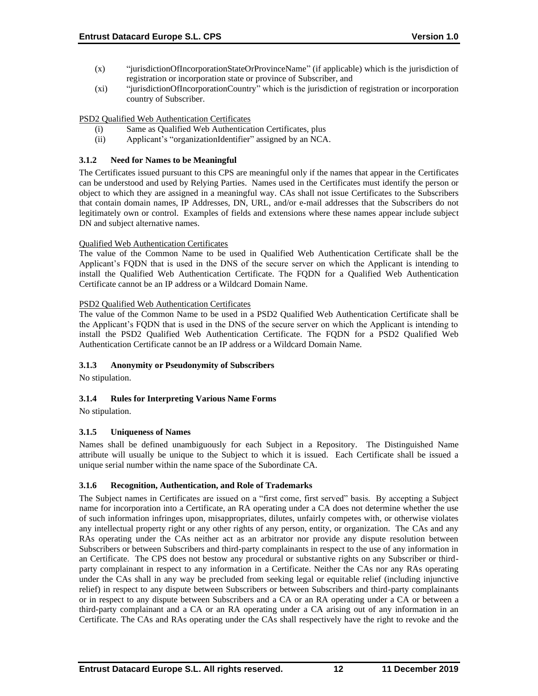- (x) "jurisdictionOfIncorporationStateOrProvinceName" (if applicable) which is the jurisdiction of registration or incorporation state or province of Subscriber, and
- (xi) "jurisdictionOfIncorporationCountry" which is the jurisdiction of registration or incorporation country of Subscriber.

### PSD2 Qualified Web Authentication Certificates

- (i) Same as Qualified Web Authentication Certificates, plus
- (ii) Applicant's "organizationIdentifier" assigned by an NCA.

# **3.1.2 Need for Names to be Meaningful**

The Certificates issued pursuant to this CPS are meaningful only if the names that appear in the Certificates can be understood and used by Relying Parties. Names used in the Certificates must identify the person or object to which they are assigned in a meaningful way. CAs shall not issue Certificates to the Subscribers that contain domain names, IP Addresses, DN, URL, and/or e-mail addresses that the Subscribers do not legitimately own or control. Examples of fields and extensions where these names appear include subject DN and subject alternative names.

# Qualified Web Authentication Certificates

The value of the Common Name to be used in Qualified Web Authentication Certificate shall be the Applicant's FQDN that is used in the DNS of the secure server on which the Applicant is intending to install the Qualified Web Authentication Certificate. The FQDN for a Qualified Web Authentication Certificate cannot be an IP address or a Wildcard Domain Name.

# PSD2 Qualified Web Authentication Certificates

The value of the Common Name to be used in a PSD2 Qualified Web Authentication Certificate shall be the Applicant's FQDN that is used in the DNS of the secure server on which the Applicant is intending to install the PSD2 Qualified Web Authentication Certificate. The FQDN for a PSD2 Qualified Web Authentication Certificate cannot be an IP address or a Wildcard Domain Name.

# **3.1.3 Anonymity or Pseudonymity of Subscribers**

No stipulation.

# **3.1.4 Rules for Interpreting Various Name Forms**

No stipulation.

# **3.1.5 Uniqueness of Names**

Names shall be defined unambiguously for each Subject in a Repository. The Distinguished Name attribute will usually be unique to the Subject to which it is issued. Each Certificate shall be issued a unique serial number within the name space of the Subordinate CA.

# **3.1.6 Recognition, Authentication, and Role of Trademarks**

The Subject names in Certificates are issued on a "first come, first served" basis. By accepting a Subject name for incorporation into a Certificate, an RA operating under a CA does not determine whether the use of such information infringes upon, misappropriates, dilutes, unfairly competes with, or otherwise violates any intellectual property right or any other rights of any person, entity, or organization. The CAs and any RAs operating under the CAs neither act as an arbitrator nor provide any dispute resolution between Subscribers or between Subscribers and third-party complainants in respect to the use of any information in an Certificate. The CPS does not bestow any procedural or substantive rights on any Subscriber or thirdparty complainant in respect to any information in a Certificate. Neither the CAs nor any RAs operating under the CAs shall in any way be precluded from seeking legal or equitable relief (including injunctive relief) in respect to any dispute between Subscribers or between Subscribers and third-party complainants or in respect to any dispute between Subscribers and a CA or an RA operating under a CA or between a third-party complainant and a CA or an RA operating under a CA arising out of any information in an Certificate. The CAs and RAs operating under the CAs shall respectively have the right to revoke and the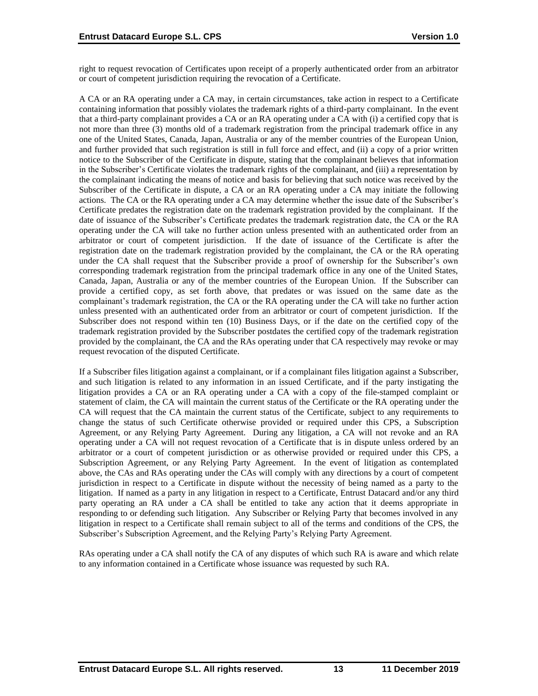right to request revocation of Certificates upon receipt of a properly authenticated order from an arbitrator or court of competent jurisdiction requiring the revocation of a Certificate.

A CA or an RA operating under a CA may, in certain circumstances, take action in respect to a Certificate containing information that possibly violates the trademark rights of a third-party complainant. In the event that a third-party complainant provides a CA or an RA operating under a CA with (i) a certified copy that is not more than three (3) months old of a trademark registration from the principal trademark office in any one of the United States, Canada, Japan, Australia or any of the member countries of the European Union, and further provided that such registration is still in full force and effect, and (ii) a copy of a prior written notice to the Subscriber of the Certificate in dispute, stating that the complainant believes that information in the Subscriber's Certificate violates the trademark rights of the complainant, and (iii) a representation by the complainant indicating the means of notice and basis for believing that such notice was received by the Subscriber of the Certificate in dispute, a CA or an RA operating under a CA may initiate the following actions. The CA or the RA operating under a CA may determine whether the issue date of the Subscriber's Certificate predates the registration date on the trademark registration provided by the complainant. If the date of issuance of the Subscriber's Certificate predates the trademark registration date, the CA or the RA operating under the CA will take no further action unless presented with an authenticated order from an arbitrator or court of competent jurisdiction. If the date of issuance of the Certificate is after the registration date on the trademark registration provided by the complainant, the CA or the RA operating under the CA shall request that the Subscriber provide a proof of ownership for the Subscriber's own corresponding trademark registration from the principal trademark office in any one of the United States, Canada, Japan, Australia or any of the member countries of the European Union. If the Subscriber can provide a certified copy, as set forth above, that predates or was issued on the same date as the complainant's trademark registration, the CA or the RA operating under the CA will take no further action unless presented with an authenticated order from an arbitrator or court of competent jurisdiction. If the Subscriber does not respond within ten (10) Business Days, or if the date on the certified copy of the trademark registration provided by the Subscriber postdates the certified copy of the trademark registration provided by the complainant, the CA and the RAs operating under that CA respectively may revoke or may request revocation of the disputed Certificate.

If a Subscriber files litigation against a complainant, or if a complainant files litigation against a Subscriber, and such litigation is related to any information in an issued Certificate, and if the party instigating the litigation provides a CA or an RA operating under a CA with a copy of the file-stamped complaint or statement of claim, the CA will maintain the current status of the Certificate or the RA operating under the CA will request that the CA maintain the current status of the Certificate, subject to any requirements to change the status of such Certificate otherwise provided or required under this CPS, a Subscription Agreement, or any Relying Party Agreement. During any litigation, a CA will not revoke and an RA operating under a CA will not request revocation of a Certificate that is in dispute unless ordered by an arbitrator or a court of competent jurisdiction or as otherwise provided or required under this CPS, a Subscription Agreement, or any Relying Party Agreement. In the event of litigation as contemplated above, the CAs and RAs operating under the CAs will comply with any directions by a court of competent jurisdiction in respect to a Certificate in dispute without the necessity of being named as a party to the litigation. If named as a party in any litigation in respect to a Certificate, Entrust Datacard and/or any third party operating an RA under a CA shall be entitled to take any action that it deems appropriate in responding to or defending such litigation. Any Subscriber or Relying Party that becomes involved in any litigation in respect to a Certificate shall remain subject to all of the terms and conditions of the CPS, the Subscriber's Subscription Agreement, and the Relying Party's Relying Party Agreement.

RAs operating under a CA shall notify the CA of any disputes of which such RA is aware and which relate to any information contained in a Certificate whose issuance was requested by such RA.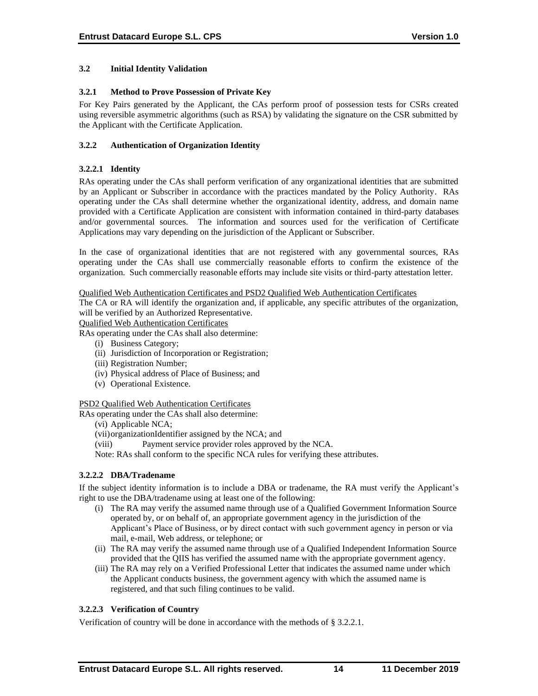### **3.2 Initial Identity Validation**

### **3.2.1 Method to Prove Possession of Private Key**

For Key Pairs generated by the Applicant, the CAs perform proof of possession tests for CSRs created using reversible asymmetric algorithms (such as RSA) by validating the signature on the CSR submitted by the Applicant with the Certificate Application.

### **3.2.2 Authentication of Organization Identity**

### **3.2.2.1 Identity**

RAs operating under the CAs shall perform verification of any organizational identities that are submitted by an Applicant or Subscriber in accordance with the practices mandated by the Policy Authority. RAs operating under the CAs shall determine whether the organizational identity, address, and domain name provided with a Certificate Application are consistent with information contained in third-party databases and/or governmental sources. The information and sources used for the verification of Certificate Applications may vary depending on the jurisdiction of the Applicant or Subscriber.

In the case of organizational identities that are not registered with any governmental sources, RAs operating under the CAs shall use commercially reasonable efforts to confirm the existence of the organization. Such commercially reasonable efforts may include site visits or third-party attestation letter.

#### Qualified Web Authentication Certificates and PSD2 Qualified Web Authentication Certificates

The CA or RA will identify the organization and, if applicable, any specific attributes of the organization, will be verified by an Authorized Representative.

Qualified Web Authentication Certificates

RAs operating under the CAs shall also determine:

- (i) Business Category;
- (ii) Jurisdiction of Incorporation or Registration;
- (iii) Registration Number;
- (iv) Physical address of Place of Business; and
- (v) Operational Existence.

### PSD2 Qualified Web Authentication Certificates

RAs operating under the CAs shall also determine:

(vi) Applicable NCA;

(vii)organizationIdentifier assigned by the NCA; and

(viii) Payment service provider roles approved by the NCA.

Note: RAs shall conform to the specific NCA rules for verifying these attributes.

# **3.2.2.2 DBA/Tradename**

If the subject identity information is to include a DBA or tradename, the RA must verify the Applicant's right to use the DBA/tradename using at least one of the following:

- (i) The RA may verify the assumed name through use of a Qualified Government Information Source operated by, or on behalf of, an appropriate government agency in the jurisdiction of the Applicant's Place of Business, or by direct contact with such government agency in person or via mail, e-mail, Web address, or telephone; or
- (ii) The RA may verify the assumed name through use of a Qualified Independent Information Source provided that the QIIS has verified the assumed name with the appropriate government agency.
- (iii) The RA may rely on a Verified Professional Letter that indicates the assumed name under which the Applicant conducts business, the government agency with which the assumed name is registered, and that such filing continues to be valid.

# **3.2.2.3 Verification of Country**

Verification of country will be done in accordance with the methods of § 3.2.2.1.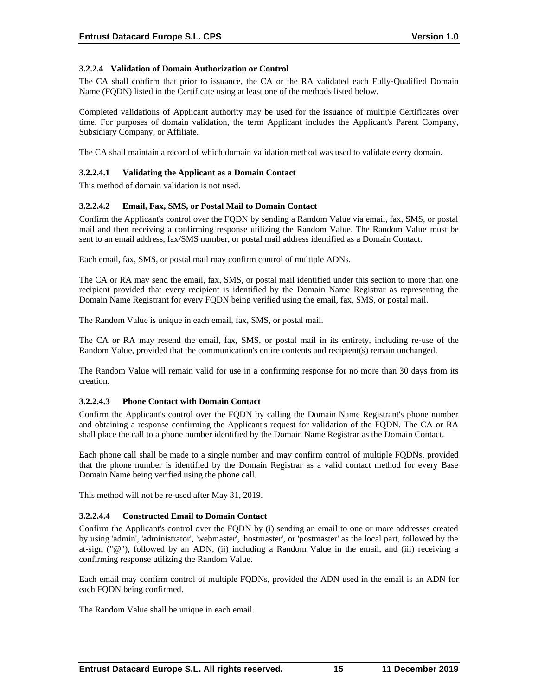# **3.2.2.4 Validation of Domain Authorization or Control**

The CA shall confirm that prior to issuance, the CA or the RA validated each Fully‐Qualified Domain Name (FQDN) listed in the Certificate using at least one of the methods listed below.

Completed validations of Applicant authority may be used for the issuance of multiple Certificates over time. For purposes of domain validation, the term Applicant includes the Applicant's Parent Company, Subsidiary Company, or Affiliate.

The CA shall maintain a record of which domain validation method was used to validate every domain.

### **3.2.2.4.1 Validating the Applicant as a Domain Contact**

This method of domain validation is not used.

### **3.2.2.4.2 Email, Fax, SMS, or Postal Mail to Domain Contact**

Confirm the Applicant's control over the FQDN by sending a Random Value via email, fax, SMS, or postal mail and then receiving a confirming response utilizing the Random Value. The Random Value must be sent to an email address, fax/SMS number, or postal mail address identified as a Domain Contact.

Each email, fax, SMS, or postal mail may confirm control of multiple ADNs.

The CA or RA may send the email, fax, SMS, or postal mail identified under this section to more than one recipient provided that every recipient is identified by the Domain Name Registrar as representing the Domain Name Registrant for every FQDN being verified using the email, fax, SMS, or postal mail.

The Random Value is unique in each email, fax, SMS, or postal mail.

The CA or RA may resend the email, fax, SMS, or postal mail in its entirety, including re‐use of the Random Value, provided that the communication's entire contents and recipient(s) remain unchanged.

The Random Value will remain valid for use in a confirming response for no more than 30 days from its creation.

### **3.2.2.4.3 Phone Contact with Domain Contact**

Confirm the Applicant's control over the FQDN by calling the Domain Name Registrant's phone number and obtaining a response confirming the Applicant's request for validation of the FQDN. The CA or RA shall place the call to a phone number identified by the Domain Name Registrar as the Domain Contact.

Each phone call shall be made to a single number and may confirm control of multiple FQDNs, provided that the phone number is identified by the Domain Registrar as a valid contact method for every Base Domain Name being verified using the phone call.

This method will not be re-used after May 31, 2019.

### **3.2.2.4.4 Constructed Email to Domain Contact**

Confirm the Applicant's control over the FQDN by (i) sending an email to one or more addresses created by using 'admin', 'administrator', 'webmaster', 'hostmaster', or 'postmaster' as the local part, followed by the at-sign ("@"), followed by an ADN, (ii) including a Random Value in the email, and (iii) receiving a confirming response utilizing the Random Value.

Each email may confirm control of multiple FQDNs, provided the ADN used in the email is an ADN for each FQDN being confirmed.

The Random Value shall be unique in each email.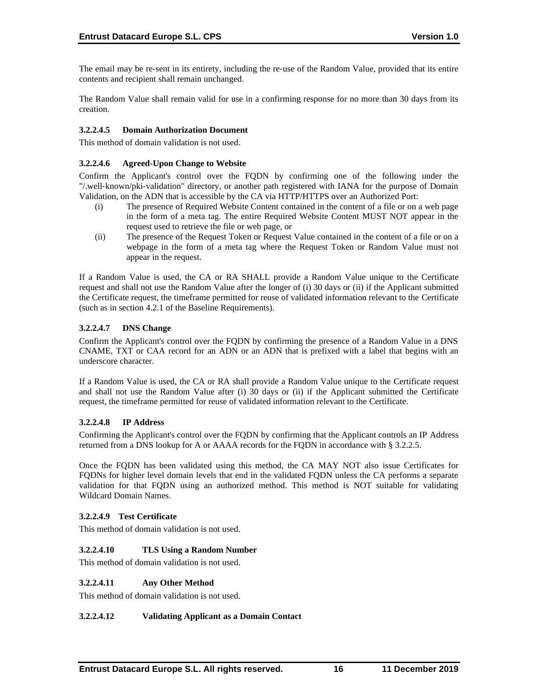The email may be re-sent in its entirety, including the re-use of the Random Value, provided that its entire contents and recipient shall remain unchanged.

The Random Value shall remain valid for use in a confirming response for no more than 30 days from its creation.

### **3.2.2.4.5 Domain Authorization Document**

This method of domain validation is not used.

#### **3.2.2.4.6 Agreed-Upon Change to Website**

Confirm the Applicant's control over the FQDN by confirming one of the following under the "/.well‐known/pki‐validation" directory, or another path registered with IANA for the purpose of Domain Validation, on the ADN that is accessible by the CA via HTTP/HTTPS over an Authorized Port:

- (i) The presence of Required Website Content contained in the content of a file or on a web page in the form of a meta tag. The entire Required Website Content MUST NOT appear in the request used to retrieve the file or web page, or
- (ii) The presence of the Request Token or Request Value contained in the content of a file or on a webpage in the form of a meta tag where the Request Token or Random Value must not appear in the request.

If a Random Value is used, the CA or RA SHALL provide a Random Value unique to the Certificate request and shall not use the Random Value after the longer of (i) 30 days or (ii) if the Applicant submitted the Certificate request, the timeframe permitted for reuse of validated information relevant to the Certificate (such as in section 4.2.1 of the Baseline Requirements).

### **3.2.2.4.7 DNS Change**

Confirm the Applicant's control over the FQDN by confirming the presence of a Random Value in a DNS CNAME, TXT or CAA record for an ADN or an ADN that is prefixed with a label that begins with an underscore character.

If a Random Value is used, the CA or RA shall provide a Random Value unique to the Certificate request and shall not use the Random Value after (i) 30 days or (ii) if the Applicant submitted the Certificate request, the timeframe permitted for reuse of validated information relevant to the Certificate.

### **3.2.2.4.8 IP Address**

Confirming the Applicant's control over the FQDN by confirming that the Applicant controls an IP Address returned from a DNS lookup for A or AAAA records for the FQDN in accordance with § 3.2.2.5.

Once the FQDN has been validated using this method, the CA MAY NOT also issue Certificates for FQDNs for higher level domain levels that end in the validated FQDN unless the CA performs a separate validation for that FQDN using an authorized method. This method is NOT suitable for validating Wildcard Domain Names.

### **3.2.2.4.9 Test Certificate**

This method of domain validation is not used.

### **3.2.2.4.10 TLS Using a Random Number**

This method of domain validation is not used.

### **3.2.2.4.11 Any Other Method**

This method of domain validation is not used.

### **3.2.2.4.12 Validating Applicant as a Domain Contact**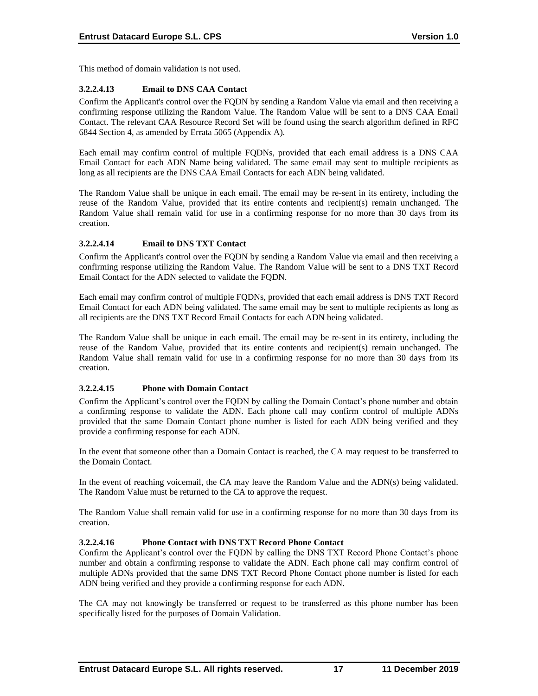This method of domain validation is not used.

# **3.2.2.4.13 Email to DNS CAA Contact**

Confirm the Applicant's control over the FQDN by sending a Random Value via email and then receiving a confirming response utilizing the Random Value. The Random Value will be sent to a DNS CAA Email Contact. The relevant CAA Resource Record Set will be found using the search algorithm defined in RFC 6844 Section 4, as amended by Errata 5065 (Appendix A).

Each email may confirm control of multiple FQDNs, provided that each email address is a DNS CAA Email Contact for each ADN Name being validated. The same email may sent to multiple recipients as long as all recipients are the DNS CAA Email Contacts for each ADN being validated.

The Random Value shall be unique in each email. The email may be re-sent in its entirety, including the reuse of the Random Value, provided that its entire contents and recipient(s) remain unchanged. The Random Value shall remain valid for use in a confirming response for no more than 30 days from its creation.

# **3.2.2.4.14 Email to DNS TXT Contact**

Confirm the Applicant's control over the FQDN by sending a Random Value via email and then receiving a confirming response utilizing the Random Value. The Random Value will be sent to a DNS TXT Record Email Contact for the ADN selected to validate the FQDN.

Each email may confirm control of multiple FQDNs, provided that each email address is DNS TXT Record Email Contact for each ADN being validated. The same email may be sent to multiple recipients as long as all recipients are the DNS TXT Record Email Contacts for each ADN being validated.

The Random Value shall be unique in each email. The email may be re-sent in its entirety, including the reuse of the Random Value, provided that its entire contents and recipient(s) remain unchanged. The Random Value shall remain valid for use in a confirming response for no more than 30 days from its creation.

# **3.2.2.4.15 Phone with Domain Contact**

Confirm the Applicant's control over the FQDN by calling the Domain Contact's phone number and obtain a confirming response to validate the ADN. Each phone call may confirm control of multiple ADNs provided that the same Domain Contact phone number is listed for each ADN being verified and they provide a confirming response for each ADN.

In the event that someone other than a Domain Contact is reached, the CA may request to be transferred to the Domain Contact.

In the event of reaching voicemail, the CA may leave the Random Value and the ADN(s) being validated. The Random Value must be returned to the CA to approve the request.

The Random Value shall remain valid for use in a confirming response for no more than 30 days from its creation.

# **3.2.2.4.16 Phone Contact with DNS TXT Record Phone Contact**

Confirm the Applicant's control over the FQDN by calling the DNS TXT Record Phone Contact's phone number and obtain a confirming response to validate the ADN. Each phone call may confirm control of multiple ADNs provided that the same DNS TXT Record Phone Contact phone number is listed for each ADN being verified and they provide a confirming response for each ADN.

The CA may not knowingly be transferred or request to be transferred as this phone number has been specifically listed for the purposes of Domain Validation.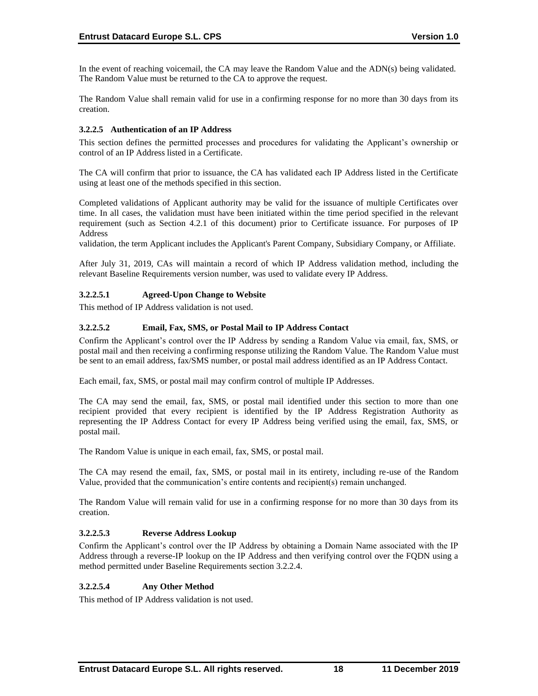In the event of reaching voicemail, the CA may leave the Random Value and the ADN(s) being validated. The Random Value must be returned to the CA to approve the request.

The Random Value shall remain valid for use in a confirming response for no more than 30 days from its creation.

### **3.2.2.5 Authentication of an IP Address**

This section defines the permitted processes and procedures for validating the Applicant's ownership or control of an IP Address listed in a Certificate.

The CA will confirm that prior to issuance, the CA has validated each IP Address listed in the Certificate using at least one of the methods specified in this section.

Completed validations of Applicant authority may be valid for the issuance of multiple Certificates over time. In all cases, the validation must have been initiated within the time period specified in the relevant requirement (such as Section 4.2.1 of this document) prior to Certificate issuance. For purposes of IP Address

validation, the term Applicant includes the Applicant's Parent Company, Subsidiary Company, or Affiliate.

After July 31, 2019, CAs will maintain a record of which IP Address validation method, including the relevant Baseline Requirements version number, was used to validate every IP Address.

# **3.2.2.5.1 Agreed-Upon Change to Website**

This method of IP Address validation is not used.

### **3.2.2.5.2 Email, Fax, SMS, or Postal Mail to IP Address Contact**

Confirm the Applicant's control over the IP Address by sending a Random Value via email, fax, SMS, or postal mail and then receiving a confirming response utilizing the Random Value. The Random Value must be sent to an email address, fax/SMS number, or postal mail address identified as an IP Address Contact.

Each email, fax, SMS, or postal mail may confirm control of multiple IP Addresses.

The CA may send the email, fax, SMS, or postal mail identified under this section to more than one recipient provided that every recipient is identified by the IP Address Registration Authority as representing the IP Address Contact for every IP Address being verified using the email, fax, SMS, or postal mail.

The Random Value is unique in each email, fax, SMS, or postal mail.

The CA may resend the email, fax, SMS, or postal mail in its entirety, including re-use of the Random Value, provided that the communication's entire contents and recipient(s) remain unchanged.

The Random Value will remain valid for use in a confirming response for no more than 30 days from its creation.

### **3.2.2.5.3 Reverse Address Lookup**

Confirm the Applicant's control over the IP Address by obtaining a Domain Name associated with the IP Address through a reverse-IP lookup on the IP Address and then verifying control over the FQDN using a method permitted under Baseline Requirements section 3.2.2.4.

# **3.2.2.5.4 Any Other Method**

This method of IP Address validation is not used.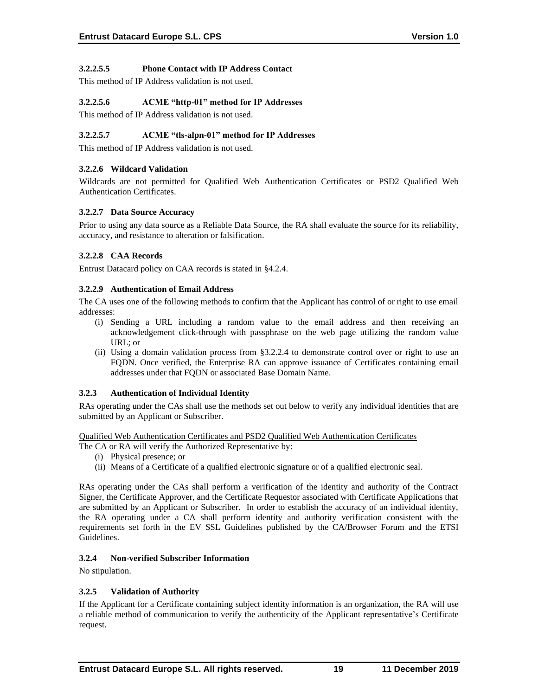# **3.2.2.5.5 Phone Contact with IP Address Contact**

This method of IP Address validation is not used.

# **3.2.2.5.6 ACME "http-01" method for IP Addresses**

This method of IP Address validation is not used.

# **3.2.2.5.7 ACME "tls-alpn-01" method for IP Addresses**

This method of IP Address validation is not used.

# **3.2.2.6 Wildcard Validation**

Wildcards are not permitted for Qualified Web Authentication Certificates or PSD2 Qualified Web Authentication Certificates.

# **3.2.2.7 Data Source Accuracy**

Prior to using any data source as a Reliable Data Source, the RA shall evaluate the source for its reliability, accuracy, and resistance to alteration or falsification.

# **3.2.2.8 CAA Records**

Entrust Datacard policy on CAA records is stated in §4.2.4.

# **3.2.2.9 Authentication of Email Address**

The CA uses one of the following methods to confirm that the Applicant has control of or right to use email addresses:

- (i) Sending a URL including a random value to the email address and then receiving an acknowledgement click-through with passphrase on the web page utilizing the random value URL; or
- (ii) Using a domain validation process from §3.2.2.4 to demonstrate control over or right to use an FQDN. Once verified, the Enterprise RA can approve issuance of Certificates containing email addresses under that FQDN or associated Base Domain Name.

# **3.2.3 Authentication of Individual Identity**

RAs operating under the CAs shall use the methods set out below to verify any individual identities that are submitted by an Applicant or Subscriber.

Qualified Web Authentication Certificates and PSD2 Qualified Web Authentication Certificates

- The CA or RA will verify the Authorized Representative by:
	- (i) Physical presence; or
	- (ii) Means of a Certificate of a qualified electronic signature or of a qualified electronic seal.

RAs operating under the CAs shall perform a verification of the identity and authority of the Contract Signer, the Certificate Approver, and the Certificate Requestor associated with Certificate Applications that are submitted by an Applicant or Subscriber. In order to establish the accuracy of an individual identity, the RA operating under a CA shall perform identity and authority verification consistent with the requirements set forth in the EV SSL Guidelines published by the CA/Browser Forum and the ETSI Guidelines.

# **3.2.4 Non-verified Subscriber Information**

No stipulation.

# **3.2.5 Validation of Authority**

If the Applicant for a Certificate containing subject identity information is an organization, the RA will use a reliable method of communication to verify the authenticity of the Applicant representative's Certificate request.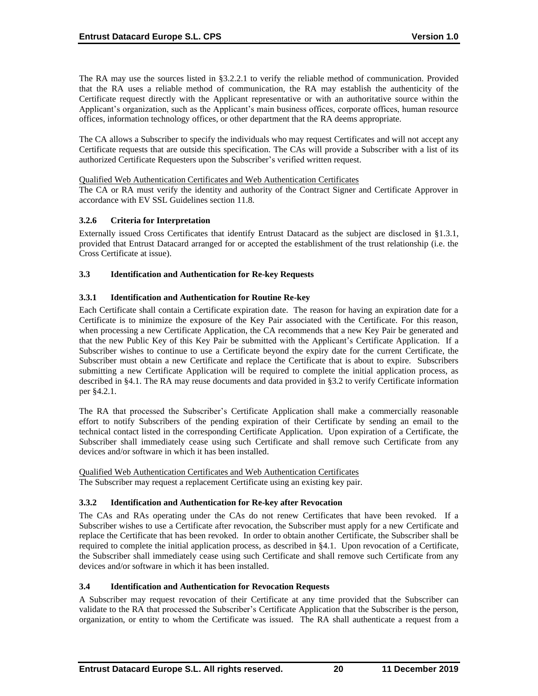The RA may use the sources listed in §3.2.2.1 to verify the reliable method of communication. Provided that the RA uses a reliable method of communication, the RA may establish the authenticity of the Certificate request directly with the Applicant representative or with an authoritative source within the Applicant's organization, such as the Applicant's main business offices, corporate offices, human resource offices, information technology offices, or other department that the RA deems appropriate.

The CA allows a Subscriber to specify the individuals who may request Certificates and will not accept any Certificate requests that are outside this specification. The CAs will provide a Subscriber with a list of its authorized Certificate Requesters upon the Subscriber's verified written request.

Qualified Web Authentication Certificates and Web Authentication Certificates

The CA or RA must verify the identity and authority of the Contract Signer and Certificate Approver in accordance with EV SSL Guidelines section 11.8.

# **3.2.6 Criteria for Interpretation**

Externally issued Cross Certificates that identify Entrust Datacard as the subject are disclosed in §1.3.1, provided that Entrust Datacard arranged for or accepted the establishment of the trust relationship (i.e. the Cross Certificate at issue).

# **3.3 Identification and Authentication for Re-key Requests**

# **3.3.1 Identification and Authentication for Routine Re-key**

Each Certificate shall contain a Certificate expiration date. The reason for having an expiration date for a Certificate is to minimize the exposure of the Key Pair associated with the Certificate. For this reason, when processing a new Certificate Application, the CA recommends that a new Key Pair be generated and that the new Public Key of this Key Pair be submitted with the Applicant's Certificate Application. If a Subscriber wishes to continue to use a Certificate beyond the expiry date for the current Certificate, the Subscriber must obtain a new Certificate and replace the Certificate that is about to expire. Subscribers submitting a new Certificate Application will be required to complete the initial application process, as described in §4.1. The RA may reuse documents and data provided in §3.2 to verify Certificate information per §4.2.1.

The RA that processed the Subscriber's Certificate Application shall make a commercially reasonable effort to notify Subscribers of the pending expiration of their Certificate by sending an email to the technical contact listed in the corresponding Certificate Application. Upon expiration of a Certificate, the Subscriber shall immediately cease using such Certificate and shall remove such Certificate from any devices and/or software in which it has been installed.

Qualified Web Authentication Certificates and Web Authentication Certificates The Subscriber may request a replacement Certificate using an existing key pair.

# **3.3.2 Identification and Authentication for Re-key after Revocation**

The CAs and RAs operating under the CAs do not renew Certificates that have been revoked. If a Subscriber wishes to use a Certificate after revocation, the Subscriber must apply for a new Certificate and replace the Certificate that has been revoked. In order to obtain another Certificate, the Subscriber shall be required to complete the initial application process, as described in §4.1. Upon revocation of a Certificate, the Subscriber shall immediately cease using such Certificate and shall remove such Certificate from any devices and/or software in which it has been installed.

### **3.4 Identification and Authentication for Revocation Requests**

A Subscriber may request revocation of their Certificate at any time provided that the Subscriber can validate to the RA that processed the Subscriber's Certificate Application that the Subscriber is the person, organization, or entity to whom the Certificate was issued. The RA shall authenticate a request from a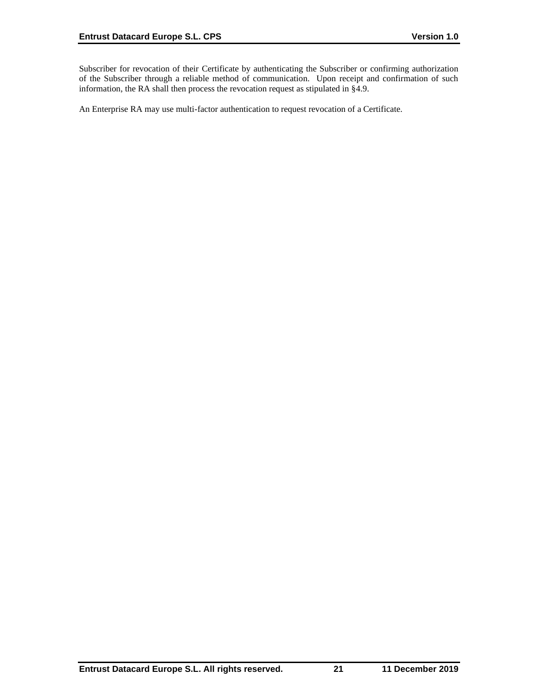Subscriber for revocation of their Certificate by authenticating the Subscriber or confirming authorization of the Subscriber through a reliable method of communication. Upon receipt and confirmation of such information, the RA shall then process the revocation request as stipulated in §4.9.

An Enterprise RA may use multi-factor authentication to request revocation of a Certificate.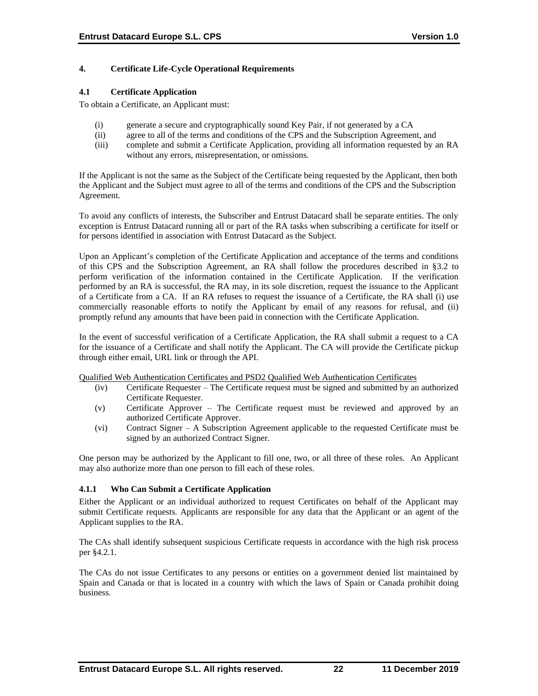# **4. Certificate Life-Cycle Operational Requirements**

### **4.1 Certificate Application**

To obtain a Certificate, an Applicant must:

- (i) generate a secure and cryptographically sound Key Pair, if not generated by a CA
- (ii) agree to all of the terms and conditions of the CPS and the Subscription Agreement, and
- (iii) complete and submit a Certificate Application, providing all information requested by an RA without any errors, misrepresentation, or omissions.

If the Applicant is not the same as the Subject of the Certificate being requested by the Applicant, then both the Applicant and the Subject must agree to all of the terms and conditions of the CPS and the Subscription Agreement.

To avoid any conflicts of interests, the Subscriber and Entrust Datacard shall be separate entities. The only exception is Entrust Datacard running all or part of the RA tasks when subscribing a certificate for itself or for persons identified in association with Entrust Datacard as the Subject.

Upon an Applicant's completion of the Certificate Application and acceptance of the terms and conditions of this CPS and the Subscription Agreement, an RA shall follow the procedures described in §3.2 to perform verification of the information contained in the Certificate Application. If the verification performed by an RA is successful, the RA may, in its sole discretion, request the issuance to the Applicant of a Certificate from a CA. If an RA refuses to request the issuance of a Certificate, the RA shall (i) use commercially reasonable efforts to notify the Applicant by email of any reasons for refusal, and (ii) promptly refund any amounts that have been paid in connection with the Certificate Application.

In the event of successful verification of a Certificate Application, the RA shall submit a request to a CA for the issuance of a Certificate and shall notify the Applicant. The CA will provide the Certificate pickup through either email, URL link or through the API.

Qualified Web Authentication Certificates and PSD2 Qualified Web Authentication Certificates

- (iv) Certificate Requester The Certificate request must be signed and submitted by an authorized Certificate Requester.
- (v) Certificate Approver The Certificate request must be reviewed and approved by an authorized Certificate Approver.
- (vi) Contract Signer A Subscription Agreement applicable to the requested Certificate must be signed by an authorized Contract Signer.

One person may be authorized by the Applicant to fill one, two, or all three of these roles. An Applicant may also authorize more than one person to fill each of these roles.

# **4.1.1 Who Can Submit a Certificate Application**

Either the Applicant or an individual authorized to request Certificates on behalf of the Applicant may submit Certificate requests. Applicants are responsible for any data that the Applicant or an agent of the Applicant supplies to the RA.

The CAs shall identify subsequent suspicious Certificate requests in accordance with the high risk process per §4.2.1.

The CAs do not issue Certificates to any persons or entities on a government denied list maintained by Spain and Canada or that is located in a country with which the laws of Spain or Canada prohibit doing business.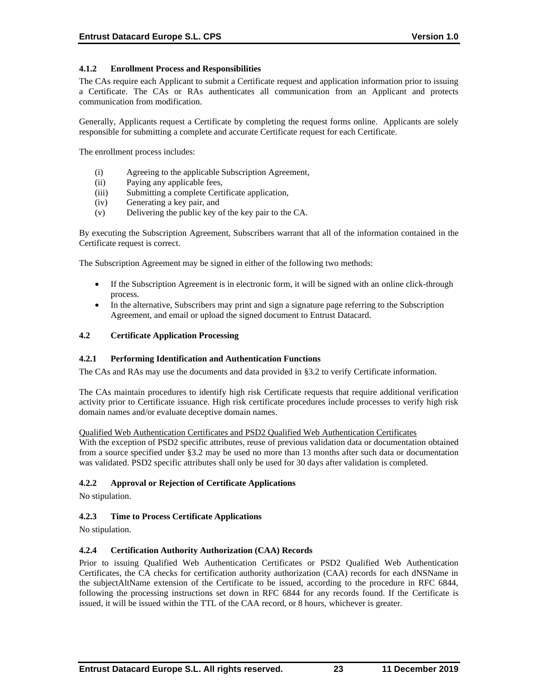# **4.1.2 Enrollment Process and Responsibilities**

The CAs require each Applicant to submit a Certificate request and application information prior to issuing a Certificate. The CAs or RAs authenticates all communication from an Applicant and protects communication from modification.

Generally, Applicants request a Certificate by completing the request forms online. Applicants are solely responsible for submitting a complete and accurate Certificate request for each Certificate.

The enrollment process includes:

- (i) Agreeing to the applicable Subscription Agreement,
- (ii) Paying any applicable fees,
- (iii) Submitting a complete Certificate application,
- (iv) Generating a key pair, and
- (v) Delivering the public key of the key pair to the CA.

By executing the Subscription Agreement, Subscribers warrant that all of the information contained in the Certificate request is correct.

The Subscription Agreement may be signed in either of the following two methods:

- If the Subscription Agreement is in electronic form, it will be signed with an online click-through process.
- In the alternative, Subscribers may print and sign a signature page referring to the Subscription Agreement, and email or upload the signed document to Entrust Datacard.

### **4.2 Certificate Application Processing**

#### **4.2.1 Performing Identification and Authentication Functions**

The CAs and RAs may use the documents and data provided in §3.2 to verify Certificate information.

The CAs maintain procedures to identify high risk Certificate requests that require additional verification activity prior to Certificate issuance. High risk certificate procedures include processes to verify high risk domain names and/or evaluate deceptive domain names.

#### Qualified Web Authentication Certificates and PSD2 Qualified Web Authentication Certificates

With the exception of PSD2 specific attributes, reuse of previous validation data or documentation obtained from a source specified under §3.2 may be used no more than 13 months after such data or documentation was validated. PSD2 specific attributes shall only be used for 30 days after validation is completed.

### **4.2.2 Approval or Rejection of Certificate Applications**

No stipulation.

### **4.2.3 Time to Process Certificate Applications**

No stipulation.

### **4.2.4 Certification Authority Authorization (CAA) Records**

Prior to issuing Qualified Web Authentication Certificates or PSD2 Qualified Web Authentication Certificates, the CA checks for certification authority authorization (CAA) records for each dNSName in the subjectAltName extension of the Certificate to be issued, according to the procedure in RFC 6844, following the processing instructions set down in RFC 6844 for any records found. If the Certificate is issued, it will be issued within the TTL of the CAA record, or 8 hours, whichever is greater.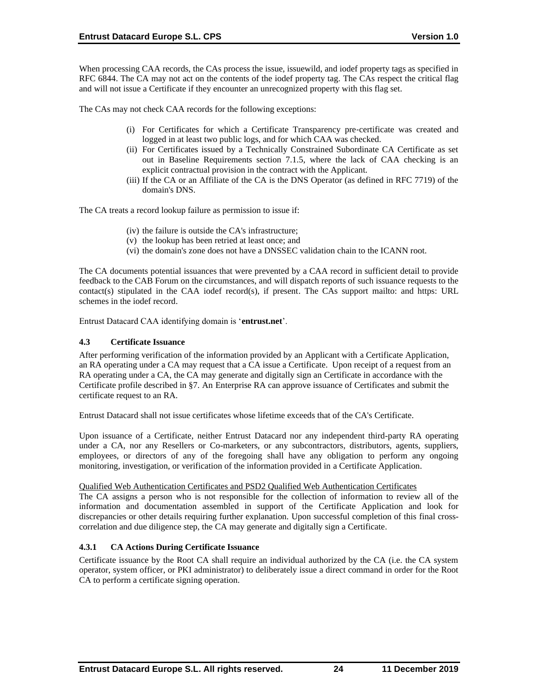When processing CAA records, the CAs process the issue, issuewild, and iodef property tags as specified in RFC 6844. The CA may not act on the contents of the iodef property tag. The CAs respect the critical flag and will not issue a Certificate if they encounter an unrecognized property with this flag set.

The CAs may not check CAA records for the following exceptions:

- (i) For Certificates for which a Certificate Transparency pre‐certificate was created and logged in at least two public logs, and for which CAA was checked.
- (ii) For Certificates issued by a Technically Constrained Subordinate CA Certificate as set out in Baseline Requirements section 7.1.5, where the lack of CAA checking is an explicit contractual provision in the contract with the Applicant.
- (iii) If the CA or an Affiliate of the CA is the DNS Operator (as defined in RFC 7719) of the domain's DNS.

The CA treats a record lookup failure as permission to issue if:

- (iv) the failure is outside the CA's infrastructure;
- (v) the lookup has been retried at least once; and
- (vi) the domain's zone does not have a DNSSEC validation chain to the ICANN root.

The CA documents potential issuances that were prevented by a CAA record in sufficient detail to provide feedback to the CAB Forum on the circumstances, and will dispatch reports of such issuance requests to the contact(s) stipulated in the CAA iodef record(s), if present. The CAs support mailto: and https: URL schemes in the iodef record.

Entrust Datacard CAA identifying domain is '**entrust.net**'.

### **4.3 Certificate Issuance**

After performing verification of the information provided by an Applicant with a Certificate Application, an RA operating under a CA may request that a CA issue a Certificate. Upon receipt of a request from an RA operating under a CA, the CA may generate and digitally sign an Certificate in accordance with the Certificate profile described in §7. An Enterprise RA can approve issuance of Certificates and submit the certificate request to an RA.

Entrust Datacard shall not issue certificates whose lifetime exceeds that of the CA's Certificate.

Upon issuance of a Certificate, neither Entrust Datacard nor any independent third-party RA operating under a CA, nor any Resellers or Co-marketers, or any subcontractors, distributors, agents, suppliers, employees, or directors of any of the foregoing shall have any obligation to perform any ongoing monitoring, investigation, or verification of the information provided in a Certificate Application.

### Qualified Web Authentication Certificates and PSD2 Qualified Web Authentication Certificates

The CA assigns a person who is not responsible for the collection of information to review all of the information and documentation assembled in support of the Certificate Application and look for discrepancies or other details requiring further explanation. Upon successful completion of this final crosscorrelation and due diligence step, the CA may generate and digitally sign a Certificate.

# **4.3.1 CA Actions During Certificate Issuance**

Certificate issuance by the Root CA shall require an individual authorized by the CA (i.e. the CA system operator, system officer, or PKI administrator) to deliberately issue a direct command in order for the Root CA to perform a certificate signing operation.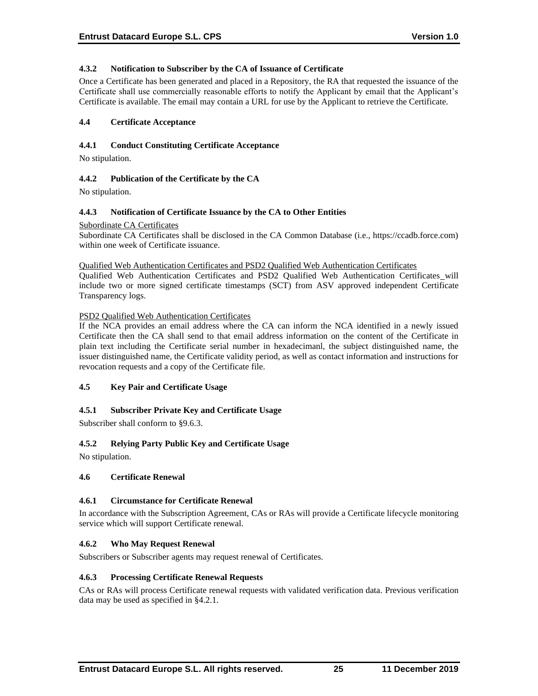### **4.3.2 Notification to Subscriber by the CA of Issuance of Certificate**

Once a Certificate has been generated and placed in a Repository, the RA that requested the issuance of the Certificate shall use commercially reasonable efforts to notify the Applicant by email that the Applicant's Certificate is available. The email may contain a URL for use by the Applicant to retrieve the Certificate.

### **4.4 Certificate Acceptance**

### **4.4.1 Conduct Constituting Certificate Acceptance**

No stipulation.

### **4.4.2 Publication of the Certificate by the CA**

No stipulation.

### **4.4.3 Notification of Certificate Issuance by the CA to Other Entities**

### Subordinate CA Certificates

Subordinate CA Certificates shall be disclosed in the CA Common Database (i.e., https://ccadb.force.com) within one week of Certificate issuance.

Qualified Web Authentication Certificates and PSD2 Qualified Web Authentication Certificates

Qualified Web Authentication Certificates and PSD2 Qualified Web Authentication Certificates will include two or more signed certificate timestamps (SCT) from ASV approved independent Certificate Transparency logs.

### PSD2 Qualified Web Authentication Certificates

If the NCA provides an email address where the CA can inform the NCA identified in a newly issued Certificate then the CA shall send to that email address information on the content of the Certificate in plain text including the Certificate serial number in hexadecimanl, the subject distinguished name, the issuer distinguished name, the Certificate validity period, as well as contact information and instructions for revocation requests and a copy of the Certificate file.

### **4.5 Key Pair and Certificate Usage**

# **4.5.1 Subscriber Private Key and Certificate Usage**

Subscriber shall conform to §9.6.3.

# **4.5.2 Relying Party Public Key and Certificate Usage**

No stipulation.

### **4.6 Certificate Renewal**

### **4.6.1 Circumstance for Certificate Renewal**

In accordance with the Subscription Agreement, CAs or RAs will provide a Certificate lifecycle monitoring service which will support Certificate renewal.

# **4.6.2 Who May Request Renewal**

Subscribers or Subscriber agents may request renewal of Certificates.

### **4.6.3 Processing Certificate Renewal Requests**

CAs or RAs will process Certificate renewal requests with validated verification data. Previous verification data may be used as specified in §4.2.1.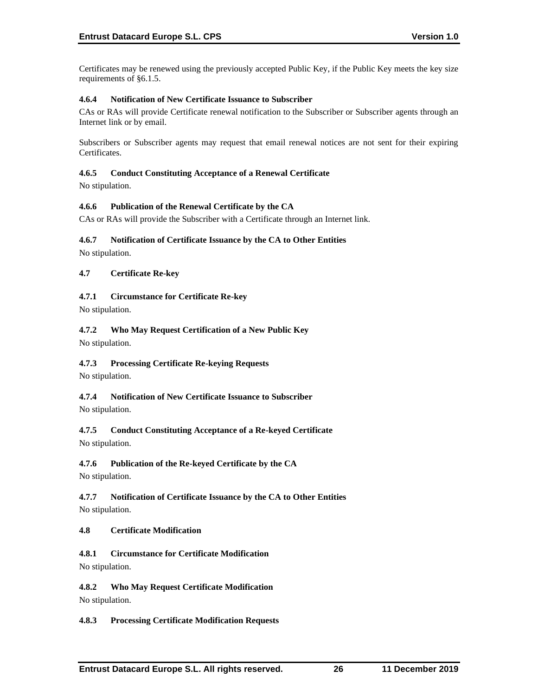Certificates may be renewed using the previously accepted Public Key, if the Public Key meets the key size requirements of §6.1.5.

# **4.6.4 Notification of New Certificate Issuance to Subscriber**

CAs or RAs will provide Certificate renewal notification to the Subscriber or Subscriber agents through an Internet link or by email.

Subscribers or Subscriber agents may request that email renewal notices are not sent for their expiring Certificates.

### **4.6.5 Conduct Constituting Acceptance of a Renewal Certificate**

No stipulation.

### **4.6.6 Publication of the Renewal Certificate by the CA**

CAs or RAs will provide the Subscriber with a Certificate through an Internet link.

### **4.6.7 Notification of Certificate Issuance by the CA to Other Entities**

No stipulation.

# **4.7 Certificate Re-key**

# **4.7.1 Circumstance for Certificate Re-key**

No stipulation.

# **4.7.2 Who May Request Certification of a New Public Key**

No stipulation.

# **4.7.3 Processing Certificate Re-keying Requests**

No stipulation.

# **4.7.4 Notification of New Certificate Issuance to Subscriber**

No stipulation.

# **4.7.5 Conduct Constituting Acceptance of a Re-keyed Certificate** No stipulation.

# **4.7.6 Publication of the Re-keyed Certificate by the CA**

No stipulation.

**4.7.7 Notification of Certificate Issuance by the CA to Other Entities** No stipulation.

# **4.8 Certificate Modification**

# **4.8.1 Circumstance for Certificate Modification** No stipulation.

# **4.8.2 Who May Request Certificate Modification**

No stipulation.

# **4.8.3 Processing Certificate Modification Requests**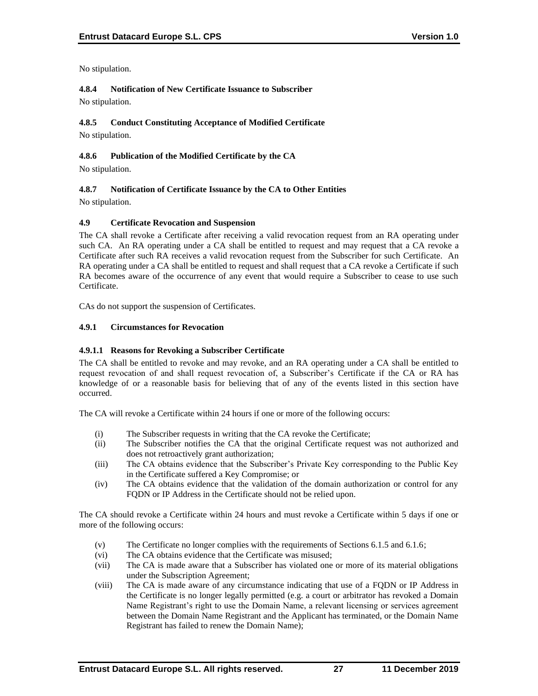No stipulation.

**4.8.4 Notification of New Certificate Issuance to Subscriber** No stipulation.

# **4.8.5 Conduct Constituting Acceptance of Modified Certificate**

No stipulation.

# **4.8.6 Publication of the Modified Certificate by the CA**

No stipulation.

# **4.8.7 Notification of Certificate Issuance by the CA to Other Entities**

No stipulation.

# **4.9 Certificate Revocation and Suspension**

The CA shall revoke a Certificate after receiving a valid revocation request from an RA operating under such CA. An RA operating under a CA shall be entitled to request and may request that a CA revoke a Certificate after such RA receives a valid revocation request from the Subscriber for such Certificate. An RA operating under a CA shall be entitled to request and shall request that a CA revoke a Certificate if such RA becomes aware of the occurrence of any event that would require a Subscriber to cease to use such Certificate.

CAs do not support the suspension of Certificates.

# **4.9.1 Circumstances for Revocation**

# **4.9.1.1 Reasons for Revoking a Subscriber Certificate**

The CA shall be entitled to revoke and may revoke, and an RA operating under a CA shall be entitled to request revocation of and shall request revocation of, a Subscriber's Certificate if the CA or RA has knowledge of or a reasonable basis for believing that of any of the events listed in this section have occurred.

The CA will revoke a Certificate within 24 hours if one or more of the following occurs:

- (i) The Subscriber requests in writing that the CA revoke the Certificate;
- (ii) The Subscriber notifies the CA that the original Certificate request was not authorized and does not retroactively grant authorization;
- (iii) The CA obtains evidence that the Subscriber's Private Key corresponding to the Public Key in the Certificate suffered a Key Compromise; or
- (iv) The CA obtains evidence that the validation of the domain authorization or control for any FQDN or IP Address in the Certificate should not be relied upon.

The CA should revoke a Certificate within 24 hours and must revoke a Certificate within 5 days if one or more of the following occurs:

- (v) The Certificate no longer complies with the requirements of Sections 6.1.5 and 6.1.6;
- (vi) The CA obtains evidence that the Certificate was misused;
- (vii) The CA is made aware that a Subscriber has violated one or more of its material obligations under the Subscription Agreement;
- (viii) The CA is made aware of any circumstance indicating that use of a FQDN or IP Address in the Certificate is no longer legally permitted (e.g. a court or arbitrator has revoked a Domain Name Registrant's right to use the Domain Name, a relevant licensing or services agreement between the Domain Name Registrant and the Applicant has terminated, or the Domain Name Registrant has failed to renew the Domain Name);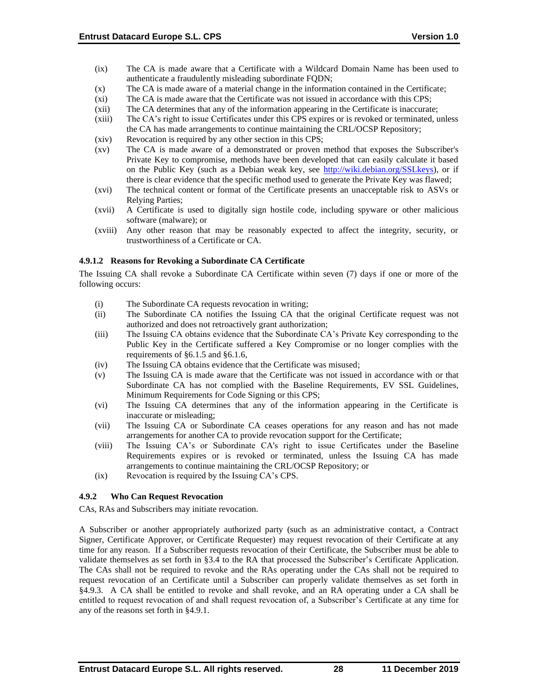- (ix) The CA is made aware that a Certificate with a Wildcard Domain Name has been used to authenticate a fraudulently misleading subordinate FODN:
- (x) The CA is made aware of a material change in the information contained in the Certificate;
- (xi) The CA is made aware that the Certificate was not issued in accordance with this CPS;
- (xii) The CA determines that any of the information appearing in the Certificate is inaccurate;
- (xiii) The CA's right to issue Certificates under this CPS expires or is revoked or terminated, unless the CA has made arrangements to continue maintaining the CRL/OCSP Repository;
- (xiv) Revocation is required by any other section in this CPS;
- (xv) The CA is made aware of a demonstrated or proven method that exposes the Subscriber's Private Key to compromise, methods have been developed that can easily calculate it based on the Public Key (such as a Debian weak key, see [http://wiki.debian.org/SSLkeys\)](http://wiki.debian.org/SSLkeys), or if there is clear evidence that the specific method used to generate the Private Key was flawed;
- (xvi) The technical content or format of the Certificate presents an unacceptable risk to ASVs or Relying Parties;
- (xvii) A Certificate is used to digitally sign hostile code, including spyware or other malicious software (malware); or
- (xviii) Any other reason that may be reasonably expected to affect the integrity, security, or trustworthiness of a Certificate or CA.

#### **4.9.1.2 Reasons for Revoking a Subordinate CA Certificate**

The Issuing CA shall revoke a Subordinate CA Certificate within seven (7) days if one or more of the following occurs:

- (i) The Subordinate CA requests revocation in writing;
- (ii) The Subordinate CA notifies the Issuing CA that the original Certificate request was not authorized and does not retroactively grant authorization;
- (iii) The Issuing CA obtains evidence that the Subordinate CA's Private Key corresponding to the Public Key in the Certificate suffered a Key Compromise or no longer complies with the requirements of §6.1.5 and §6.1.6,
- (iv) The Issuing CA obtains evidence that the Certificate was misused;
- (v) The Issuing CA is made aware that the Certificate was not issued in accordance with or that Subordinate CA has not complied with the Baseline Requirements, EV SSL Guidelines, Minimum Requirements for Code Signing or this CPS;
- (vi) The Issuing CA determines that any of the information appearing in the Certificate is inaccurate or misleading;
- (vii) The Issuing CA or Subordinate CA ceases operations for any reason and has not made arrangements for another CA to provide revocation support for the Certificate;
- (viii) The Issuing CA's or Subordinate CA's right to issue Certificates under the Baseline Requirements expires or is revoked or terminated, unless the Issuing CA has made arrangements to continue maintaining the CRL/OCSP Repository; or
- (ix) Revocation is required by the Issuing CA's CPS.

#### **4.9.2 Who Can Request Revocation**

CAs, RAs and Subscribers may initiate revocation.

A Subscriber or another appropriately authorized party (such as an administrative contact, a Contract Signer, Certificate Approver, or Certificate Requester) may request revocation of their Certificate at any time for any reason. If a Subscriber requests revocation of their Certificate, the Subscriber must be able to validate themselves as set forth in §3.4 to the RA that processed the Subscriber's Certificate Application. The CAs shall not be required to revoke and the RAs operating under the CAs shall not be required to request revocation of an Certificate until a Subscriber can properly validate themselves as set forth in §4.9.3. A CA shall be entitled to revoke and shall revoke, and an RA operating under a CA shall be entitled to request revocation of and shall request revocation of, a Subscriber's Certificate at any time for any of the reasons set forth in §4.9.1.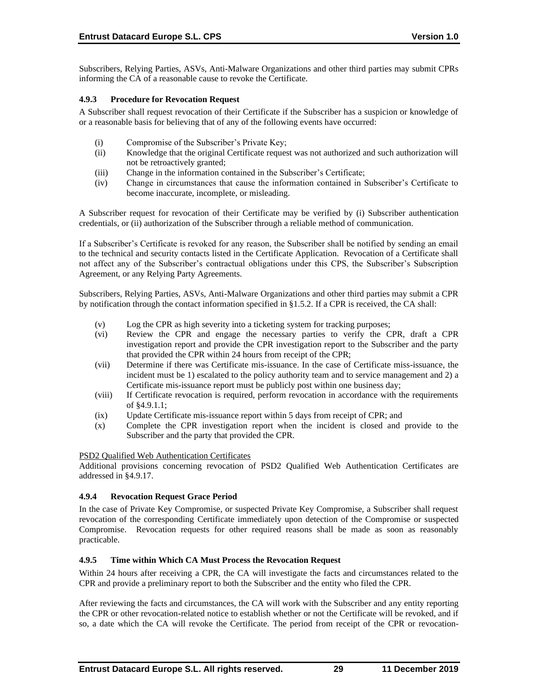Subscribers, Relying Parties, ASVs, Anti-Malware Organizations and other third parties may submit CPRs informing the CA of a reasonable cause to revoke the Certificate.

# **4.9.3 Procedure for Revocation Request**

A Subscriber shall request revocation of their Certificate if the Subscriber has a suspicion or knowledge of or a reasonable basis for believing that of any of the following events have occurred:

- (i) Compromise of the Subscriber's Private Key;
- (ii) Knowledge that the original Certificate request was not authorized and such authorization will not be retroactively granted;
- (iii) Change in the information contained in the Subscriber's Certificate;
- (iv) Change in circumstances that cause the information contained in Subscriber's Certificate to become inaccurate, incomplete, or misleading.

A Subscriber request for revocation of their Certificate may be verified by (i) Subscriber authentication credentials, or (ii) authorization of the Subscriber through a reliable method of communication.

If a Subscriber's Certificate is revoked for any reason, the Subscriber shall be notified by sending an email to the technical and security contacts listed in the Certificate Application. Revocation of a Certificate shall not affect any of the Subscriber's contractual obligations under this CPS, the Subscriber's Subscription Agreement, or any Relying Party Agreements.

Subscribers, Relying Parties, ASVs, Anti-Malware Organizations and other third parties may submit a CPR by notification through the contact information specified in §1.5.2. If a CPR is received, the CA shall:

- (v) Log the CPR as high severity into a ticketing system for tracking purposes;
- (vi) Review the CPR and engage the necessary parties to verify the CPR, draft a CPR investigation report and provide the CPR investigation report to the Subscriber and the party that provided the CPR within 24 hours from receipt of the CPR;
- (vii) Determine if there was Certificate mis-issuance. In the case of Certificate miss-issuance, the incident must be 1) escalated to the policy authority team and to service management and 2) a Certificate mis-issuance report must be publicly post within one business day;
- (viii) If Certificate revocation is required, perform revocation in accordance with the requirements of §4.9.1.1;
- (ix) Update Certificate mis-issuance report within 5 days from receipt of CPR; and
- (x) Complete the CPR investigation report when the incident is closed and provide to the Subscriber and the party that provided the CPR.

#### PSD2 Qualified Web Authentication Certificates

Additional provisions concerning revocation of PSD2 Qualified Web Authentication Certificates are addressed in §4.9.17.

# **4.9.4 Revocation Request Grace Period**

In the case of Private Key Compromise, or suspected Private Key Compromise, a Subscriber shall request revocation of the corresponding Certificate immediately upon detection of the Compromise or suspected Compromise. Revocation requests for other required reasons shall be made as soon as reasonably practicable.

# **4.9.5 Time within Which CA Must Process the Revocation Request**

Within 24 hours after receiving a CPR, the CA will investigate the facts and circumstances related to the CPR and provide a preliminary report to both the Subscriber and the entity who filed the CPR.

After reviewing the facts and circumstances, the CA will work with the Subscriber and any entity reporting the CPR or other revocation-related notice to establish whether or not the Certificate will be revoked, and if so, a date which the CA will revoke the Certificate. The period from receipt of the CPR or revocation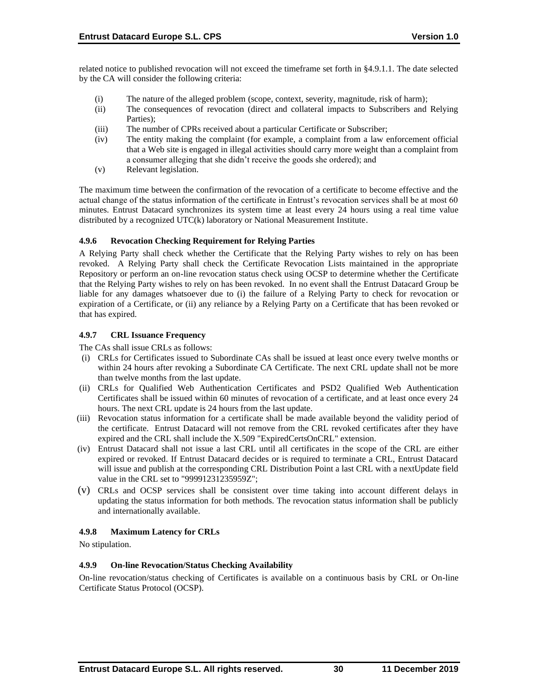related notice to published revocation will not exceed the timeframe set forth in §4.9.1.1. The date selected by the CA will consider the following criteria:

- (i) The nature of the alleged problem (scope, context, severity, magnitude, risk of harm);
- (ii) The consequences of revocation (direct and collateral impacts to Subscribers and Relying Parties);
- (iii) The number of CPRs received about a particular Certificate or Subscriber;
- (iv) The entity making the complaint (for example, a complaint from a law enforcement official that a Web site is engaged in illegal activities should carry more weight than a complaint from a consumer alleging that she didn't receive the goods she ordered); and
- (v) Relevant legislation.

The maximum time between the confirmation of the revocation of a certificate to become effective and the actual change of the status information of the certificate in Entrust's revocation services shall be at most 60 minutes. Entrust Datacard synchronizes its system time at least every 24 hours using a real time value distributed by a recognized UTC(k) laboratory or National Measurement Institute.

### **4.9.6 Revocation Checking Requirement for Relying Parties**

A Relying Party shall check whether the Certificate that the Relying Party wishes to rely on has been revoked. A Relying Party shall check the Certificate Revocation Lists maintained in the appropriate Repository or perform an on-line revocation status check using OCSP to determine whether the Certificate that the Relying Party wishes to rely on has been revoked. In no event shall the Entrust Datacard Group be liable for any damages whatsoever due to (i) the failure of a Relying Party to check for revocation or expiration of a Certificate, or (ii) any reliance by a Relying Party on a Certificate that has been revoked or that has expired.

# **4.9.7 CRL Issuance Frequency**

The CAs shall issue CRLs as follows:

- (i) CRLs for Certificates issued to Subordinate CAs shall be issued at least once every twelve months or within 24 hours after revoking a Subordinate CA Certificate. The next CRL update shall not be more than twelve months from the last update.
- (ii) CRLs for Qualified Web Authentication Certificates and PSD2 Qualified Web Authentication Certificates shall be issued within 60 minutes of revocation of a certificate, and at least once every 24 hours. The next CRL update is 24 hours from the last update.
- (iii) Revocation status information for a certificate shall be made available beyond the validity period of the certificate. Entrust Datacard will not remove from the CRL revoked certificates after they have expired and the CRL shall include the X.509 "ExpiredCertsOnCRL" extension.
- (iv) Entrust Datacard shall not issue a last CRL until all certificates in the scope of the CRL are either expired or revoked. If Entrust Datacard decides or is required to terminate a CRL, Entrust Datacard will issue and publish at the corresponding CRL Distribution Point a last CRL with a nextUpdate field value in the CRL set to "99991231235959Z";
- (v) CRLs and OCSP services shall be consistent over time taking into account different delays in updating the status information for both methods. The revocation status information shall be publicly and internationally available.

# **4.9.8 Maximum Latency for CRLs**

No stipulation.

# **4.9.9 On-line Revocation/Status Checking Availability**

On-line revocation/status checking of Certificates is available on a continuous basis by CRL or On-line Certificate Status Protocol (OCSP).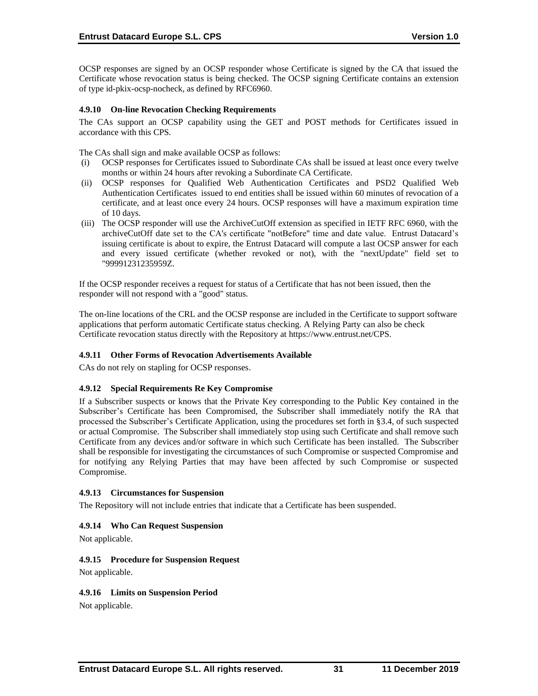OCSP responses are signed by an OCSP responder whose Certificate is signed by the CA that issued the Certificate whose revocation status is being checked. The OCSP signing Certificate contains an extension of type id-pkix-ocsp-nocheck, as defined by RFC6960.

# **4.9.10 On-line Revocation Checking Requirements**

The CAs support an OCSP capability using the GET and POST methods for Certificates issued in accordance with this CPS.

The CAs shall sign and make available OCSP as follows:

- (i) OCSP responses for Certificates issued to Subordinate CAs shall be issued at least once every twelve months or within 24 hours after revoking a Subordinate CA Certificate.
- (ii) OCSP responses for Qualified Web Authentication Certificates and PSD2 Qualified Web Authentication Certificates issued to end entities shall be issued within 60 minutes of revocation of a certificate, and at least once every 24 hours. OCSP responses will have a maximum expiration time of 10 days.
- (iii) The OCSP responder will use the ArchiveCutOff extension as specified in IETF RFC 6960, with the archiveCutOff date set to the CA's certificate "notBefore" time and date value. Entrust Datacard's issuing certificate is about to expire, the Entrust Datacard will compute a last OCSP answer for each and every issued certificate (whether revoked or not), with the "nextUpdate" field set to "99991231235959Z.

If the OCSP responder receives a request for status of a Certificate that has not been issued, then the responder will not respond with a "good" status.

The on-line locations of the CRL and the OCSP response are included in the Certificate to support software applications that perform automatic Certificate status checking. A Relying Party can also be check Certificate revocation status directly with the Repository at [https://www.entrust.net/CPS.](https://www.entrust.net/CPS) 

# **4.9.11 Other Forms of Revocation Advertisements Available**

CAs do not rely on stapling for OCSP responses.

# **4.9.12 Special Requirements Re Key Compromise**

If a Subscriber suspects or knows that the Private Key corresponding to the Public Key contained in the Subscriber's Certificate has been Compromised, the Subscriber shall immediately notify the RA that processed the Subscriber's Certificate Application, using the procedures set forth in §3.4, of such suspected or actual Compromise. The Subscriber shall immediately stop using such Certificate and shall remove such Certificate from any devices and/or software in which such Certificate has been installed. The Subscriber shall be responsible for investigating the circumstances of such Compromise or suspected Compromise and for notifying any Relying Parties that may have been affected by such Compromise or suspected Compromise.

# **4.9.13 Circumstances for Suspension**

The Repository will not include entries that indicate that a Certificate has been suspended.

# **4.9.14 Who Can Request Suspension**

Not applicable.

# **4.9.15 Procedure for Suspension Request**

Not applicable.

# **4.9.16 Limits on Suspension Period**

Not applicable.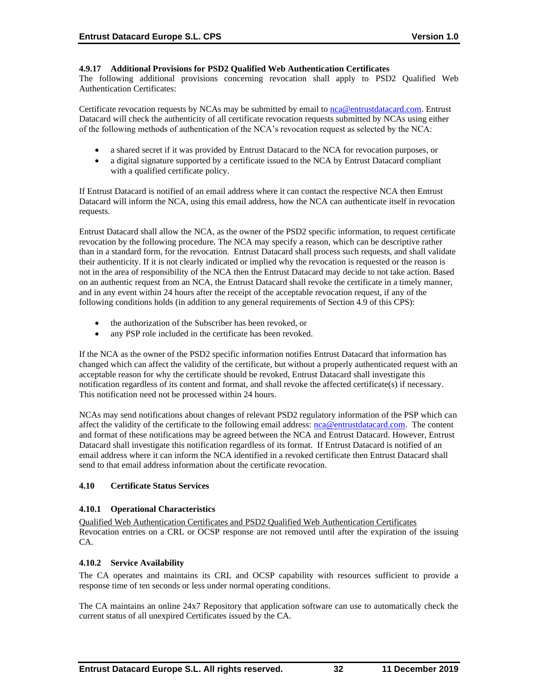### **4.9.17 Additional Provisions for PSD2 Qualified Web Authentication Certificates**

The following additional provisions concerning revocation shall apply to PSD2 Qualified Web Authentication Certificates:

Certificate revocation requests by NCAs may be submitted by email to [nca@entrustdatacard.com.](mailto:nca@entrustdatacard.com) Entrust Datacard will check the authenticity of all certificate revocation requests submitted by NCAs using either of the following methods of authentication of the NCA's revocation request as selected by the NCA:

- a shared secret if it was provided by Entrust Datacard to the NCA for revocation purposes, or
- a digital signature supported by a certificate issued to the NCA by Entrust Datacard compliant with a qualified certificate policy.

If Entrust Datacard is notified of an email address where it can contact the respective NCA then Entrust Datacard will inform the NCA, using this email address, how the NCA can authenticate itself in revocation requests.

Entrust Datacard shall allow the NCA, as the owner of the PSD2 specific information, to request certificate revocation by the following procedure. The NCA may specify a reason, which can be descriptive rather than in a standard form, for the revocation. Entrust Datacard shall process such requests, and shall validate their authenticity. If it is not clearly indicated or implied why the revocation is requested or the reason is not in the area of responsibility of the NCA then the Entrust Datacard may decide to not take action. Based on an authentic request from an NCA, the Entrust Datacard shall revoke the certificate in a timely manner, and in any event within 24 hours after the receipt of the acceptable revocation request, if any of the following conditions holds (in addition to any general requirements of Section 4.9 of this CPS):

- the authorization of the Subscriber has been revoked, or
- any PSP role included in the certificate has been revoked.

If the NCA as the owner of the PSD2 specific information notifies Entrust Datacard that information has changed which can affect the validity of the certificate, but without a properly authenticated request with an acceptable reason for why the certificate should be revoked, Entrust Datacard shall investigate this notification regardless of its content and format, and shall revoke the affected certificate(s) if necessary. This notification need not be processed within 24 hours.

NCAs may send notifications about changes of relevant PSD2 regulatory information of the PSP which can affect the validity of the certificate to the following email address: [nca@entrustdatacard.com.](mailto:nca@entrustdatacard.com) The content and format of these notifications may be agreed between the NCA and Entrust Datacard. However, Entrust Datacard shall investigate this notification regardless of its format. If Entrust Datacard is notified of an email address where it can inform the NCA identified in a revoked certificate then Entrust Datacard shall send to that email address information about the certificate revocation.

# **4.10 Certificate Status Services**

# **4.10.1 Operational Characteristics**

Qualified Web Authentication Certificates and PSD2 Qualified Web Authentication Certificates Revocation entries on a CRL or OCSP response are not removed until after the expiration of the issuing CA.

# **4.10.2 Service Availability**

The CA operates and maintains its CRL and OCSP capability with resources sufficient to provide a response time of ten seconds or less under normal operating conditions.

The CA maintains an online 24x7 Repository that application software can use to automatically check the current status of all unexpired Certificates issued by the CA.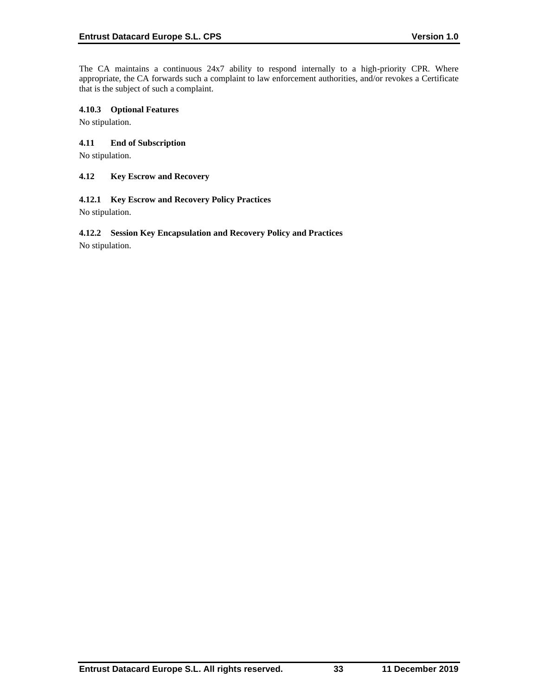The CA maintains a continuous 24x7 ability to respond internally to a high-priority CPR. Where appropriate, the CA forwards such a complaint to law enforcement authorities, and/or revokes a Certificate that is the subject of such a complaint.

## **4.10.3 Optional Features**

No stipulation.

# **4.11 End of Subscription**

No stipulation.

### **4.12 Key Escrow and Recovery**

### **4.12.1 Key Escrow and Recovery Policy Practices**

No stipulation.

# **4.12.2 Session Key Encapsulation and Recovery Policy and Practices**

No stipulation.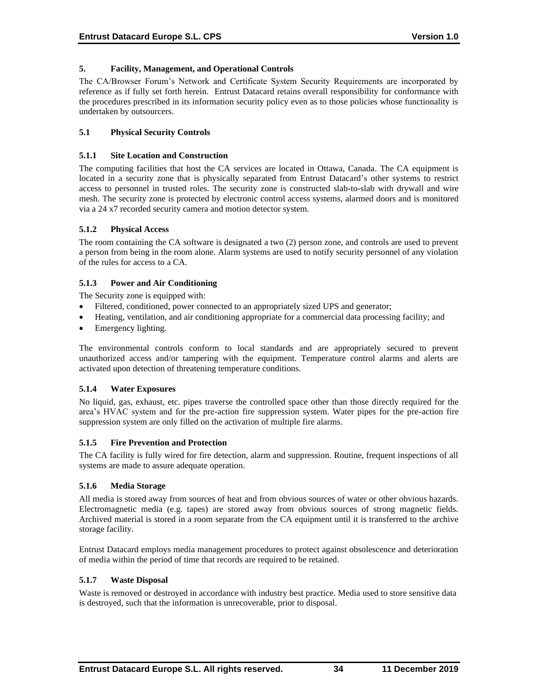### **5. Facility, Management, and Operational Controls**

The CA/Browser Forum's Network and Certificate System Security Requirements are incorporated by reference as if fully set forth herein. Entrust Datacard retains overall responsibility for conformance with the procedures prescribed in its information security policy even as to those policies whose functionality is undertaken by outsourcers.

## **5.1 Physical Security Controls**

### **5.1.1 Site Location and Construction**

The computing facilities that host the CA services are located in Ottawa, Canada. The CA equipment is located in a security zone that is physically separated from Entrust Datacard's other systems to restrict access to personnel in trusted roles. The security zone is constructed slab-to-slab with drywall and wire mesh. The security zone is protected by electronic control access systems, alarmed doors and is monitored via a 24 x7 recorded security camera and motion detector system.

### **5.1.2 Physical Access**

The room containing the CA software is designated a two (2) person zone, and controls are used to prevent a person from being in the room alone. Alarm systems are used to notify security personnel of any violation of the rules for access to a CA.

### **5.1.3 Power and Air Conditioning**

The Security zone is equipped with:

- Filtered, conditioned, power connected to an appropriately sized UPS and generator;
- Heating, ventilation, and air conditioning appropriate for a commercial data processing facility; and
- Emergency lighting.

The environmental controls conform to local standards and are appropriately secured to prevent unauthorized access and/or tampering with the equipment. Temperature control alarms and alerts are activated upon detection of threatening temperature conditions.

# **5.1.4 Water Exposures**

No liquid, gas, exhaust, etc. pipes traverse the controlled space other than those directly required for the area's HVAC system and for the pre-action fire suppression system. Water pipes for the pre-action fire suppression system are only filled on the activation of multiple fire alarms.

#### **5.1.5 Fire Prevention and Protection**

The CA facility is fully wired for fire detection, alarm and suppression. Routine, frequent inspections of all systems are made to assure adequate operation.

#### **5.1.6 Media Storage**

All media is stored away from sources of heat and from obvious sources of water or other obvious hazards. Electromagnetic media (e.g. tapes) are stored away from obvious sources of strong magnetic fields. Archived material is stored in a room separate from the CA equipment until it is transferred to the archive storage facility.

Entrust Datacard employs media management procedures to protect against obsolescence and deterioration of media within the period of time that records are required to be retained.

#### **5.1.7 Waste Disposal**

Waste is removed or destroyed in accordance with industry best practice. Media used to store sensitive data is destroyed, such that the information is unrecoverable, prior to disposal.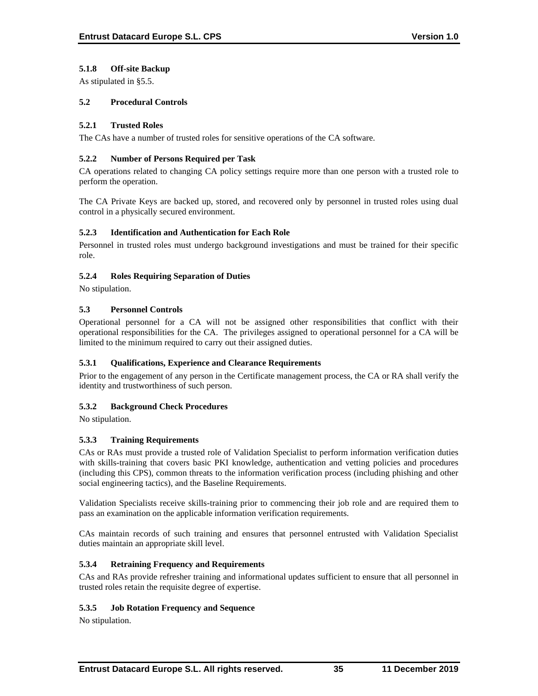# **5.1.8 Off-site Backup**

As stipulated in §5.5.

# **5.2 Procedural Controls**

## **5.2.1 Trusted Roles**

The CAs have a number of trusted roles for sensitive operations of the CA software.

### **5.2.2 Number of Persons Required per Task**

CA operations related to changing CA policy settings require more than one person with a trusted role to perform the operation.

The CA Private Keys are backed up, stored, and recovered only by personnel in trusted roles using dual control in a physically secured environment.

### **5.2.3 Identification and Authentication for Each Role**

Personnel in trusted roles must undergo background investigations and must be trained for their specific role.

# **5.2.4 Roles Requiring Separation of Duties**

No stipulation.

# **5.3 Personnel Controls**

Operational personnel for a CA will not be assigned other responsibilities that conflict with their operational responsibilities for the CA. The privileges assigned to operational personnel for a CA will be limited to the minimum required to carry out their assigned duties.

# **5.3.1 Qualifications, Experience and Clearance Requirements**

Prior to the engagement of any person in the Certificate management process, the CA or RA shall verify the identity and trustworthiness of such person.

# **5.3.2 Background Check Procedures**

No stipulation.

# **5.3.3 Training Requirements**

CAs or RAs must provide a trusted role of Validation Specialist to perform information verification duties with skills-training that covers basic PKI knowledge, authentication and vetting policies and procedures (including this CPS), common threats to the information verification process (including phishing and other social engineering tactics), and the Baseline Requirements.

Validation Specialists receive skills-training prior to commencing their job role and are required them to pass an examination on the applicable information verification requirements.

CAs maintain records of such training and ensures that personnel entrusted with Validation Specialist duties maintain an appropriate skill level.

# **5.3.4 Retraining Frequency and Requirements**

CAs and RAs provide refresher training and informational updates sufficient to ensure that all personnel in trusted roles retain the requisite degree of expertise.

# **5.3.5 Job Rotation Frequency and Sequence**

No stipulation.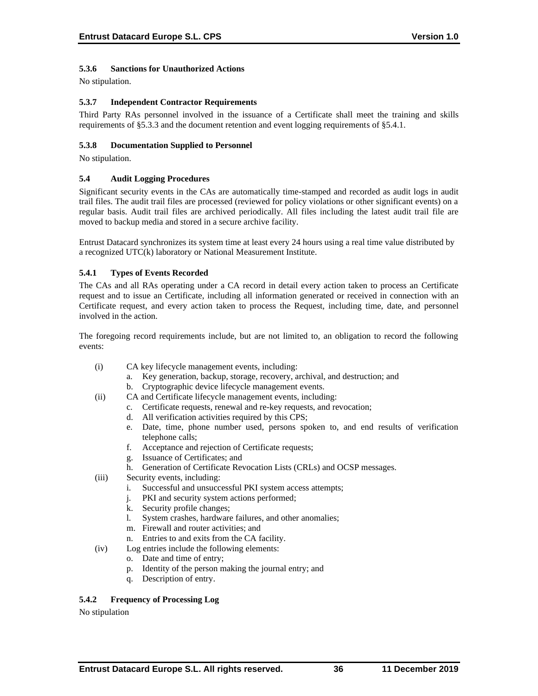# **5.3.6 Sanctions for Unauthorized Actions**

No stipulation.

## **5.3.7 Independent Contractor Requirements**

Third Party RAs personnel involved in the issuance of a Certificate shall meet the training and skills requirements of §5.3.3 and the document retention and event logging requirements of §5.4.1.

### **5.3.8 Documentation Supplied to Personnel**

No stipulation.

### **5.4 Audit Logging Procedures**

Significant security events in the CAs are automatically time-stamped and recorded as audit logs in audit trail files. The audit trail files are processed (reviewed for policy violations or other significant events) on a regular basis. Audit trail files are archived periodically. All files including the latest audit trail file are moved to backup media and stored in a secure archive facility.

Entrust Datacard synchronizes its system time at least every 24 hours using a real time value distributed by a recognized UTC(k) laboratory or National Measurement Institute.

### **5.4.1 Types of Events Recorded**

The CAs and all RAs operating under a CA record in detail every action taken to process an Certificate request and to issue an Certificate, including all information generated or received in connection with an Certificate request, and every action taken to process the Request, including time, date, and personnel involved in the action.

The foregoing record requirements include, but are not limited to, an obligation to record the following events:

- (i) CA key lifecycle management events, including:
	- a. Key generation, backup, storage, recovery, archival, and destruction; and
	- b. Cryptographic device lifecycle management events.
- (ii) CA and Certificate lifecycle management events, including:
	- c. Certificate requests, renewal and re-key requests, and revocation;
	- d. All verification activities required by this CPS;
	- e. Date, time, phone number used, persons spoken to, and end results of verification telephone calls;
	- f. Acceptance and rejection of Certificate requests;
	- g. Issuance of Certificates; and
	- Generation of Certificate Revocation Lists (CRLs) and OCSP messages.
- (iii) Security events, including:
	- i. Successful and unsuccessful PKI system access attempts;
	- j. PKI and security system actions performed;
	- k. Security profile changes;
	- l. System crashes, hardware failures, and other anomalies;
	- m. Firewall and router activities; and
	- n. Entries to and exits from the CA facility.
- (iv) Log entries include the following elements:
	- o. Date and time of entry;
	- p. Identity of the person making the journal entry; and
	- q. Description of entry.

# **5.4.2 Frequency of Processing Log**

No stipulation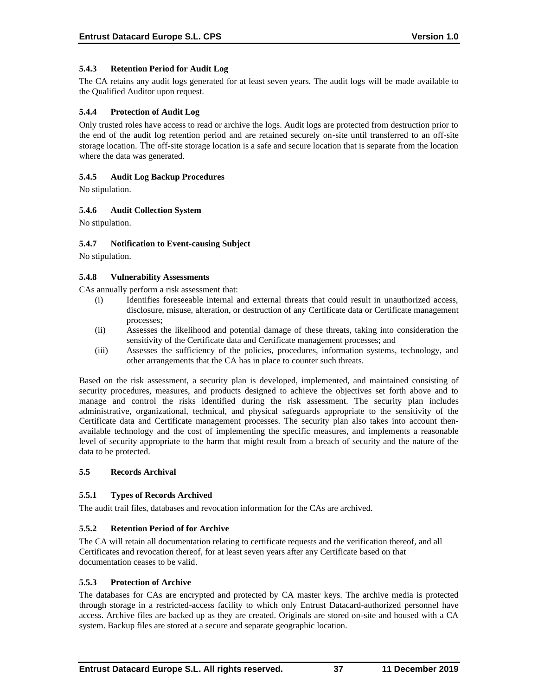## **5.4.3 Retention Period for Audit Log**

The CA retains any audit logs generated for at least seven years. The audit logs will be made available to the Qualified Auditor upon request.

### **5.4.4 Protection of Audit Log**

Only trusted roles have access to read or archive the logs. Audit logs are protected from destruction prior to the end of the audit log retention period and are retained securely on-site until transferred to an off-site storage location. The off-site storage location is a safe and secure location that is separate from the location where the data was generated.

### **5.4.5 Audit Log Backup Procedures**

No stipulation.

### **5.4.6 Audit Collection System**

No stipulation.

### **5.4.7 Notification to Event-causing Subject**

No stipulation.

### **5.4.8 Vulnerability Assessments**

CAs annually perform a risk assessment that:

- (i) Identifies foreseeable internal and external threats that could result in unauthorized access, disclosure, misuse, alteration, or destruction of any Certificate data or Certificate management processes;
- (ii) Assesses the likelihood and potential damage of these threats, taking into consideration the sensitivity of the Certificate data and Certificate management processes; and
- (iii) Assesses the sufficiency of the policies, procedures, information systems, technology, and other arrangements that the CA has in place to counter such threats.

Based on the risk assessment, a security plan is developed, implemented, and maintained consisting of security procedures, measures, and products designed to achieve the objectives set forth above and to manage and control the risks identified during the risk assessment. The security plan includes administrative, organizational, technical, and physical safeguards appropriate to the sensitivity of the Certificate data and Certificate management processes. The security plan also takes into account thenavailable technology and the cost of implementing the specific measures, and implements a reasonable level of security appropriate to the harm that might result from a breach of security and the nature of the data to be protected.

#### **5.5 Records Archival**

#### **5.5.1 Types of Records Archived**

The audit trail files, databases and revocation information for the CAs are archived.

# **5.5.2 Retention Period of for Archive**

The CA will retain all documentation relating to certificate requests and the verification thereof, and all Certificates and revocation thereof, for at least seven years after any Certificate based on that documentation ceases to be valid.

#### **5.5.3 Protection of Archive**

The databases for CAs are encrypted and protected by CA master keys. The archive media is protected through storage in a restricted-access facility to which only Entrust Datacard-authorized personnel have access. Archive files are backed up as they are created. Originals are stored on-site and housed with a CA system. Backup files are stored at a secure and separate geographic location.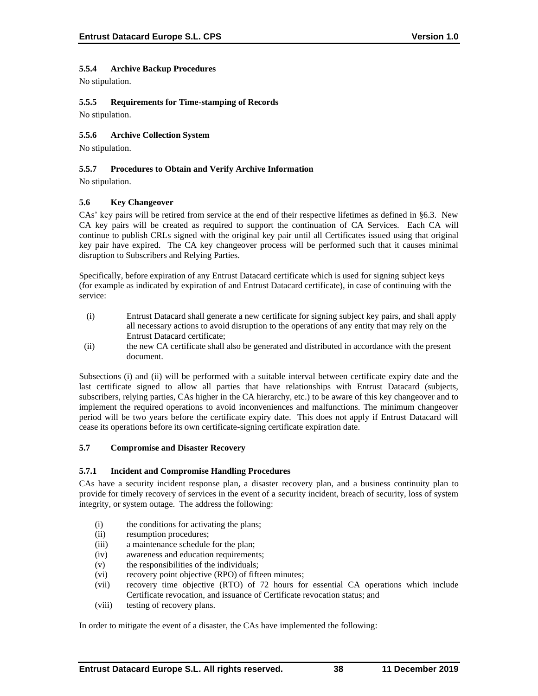# **5.5.4 Archive Backup Procedures**

No stipulation.

# **5.5.5 Requirements for Time-stamping of Records**

No stipulation.

# **5.5.6 Archive Collection System**

No stipulation.

# **5.5.7 Procedures to Obtain and Verify Archive Information**

No stipulation.

### **5.6 Key Changeover**

CAs' key pairs will be retired from service at the end of their respective lifetimes as defined in §6.3. New CA key pairs will be created as required to support the continuation of CA Services. Each CA will continue to publish CRLs signed with the original key pair until all Certificates issued using that original key pair have expired. The CA key changeover process will be performed such that it causes minimal disruption to Subscribers and Relying Parties.

Specifically, before expiration of any Entrust Datacard certificate which is used for signing subject keys (for example as indicated by expiration of and Entrust Datacard certificate), in case of continuing with the service:

- (i) Entrust Datacard shall generate a new certificate for signing subject key pairs, and shall apply all necessary actions to avoid disruption to the operations of any entity that may rely on the Entrust Datacard certificate;
- (ii) the new CA certificate shall also be generated and distributed in accordance with the present document.

Subsections (i) and (ii) will be performed with a suitable interval between certificate expiry date and the last certificate signed to allow all parties that have relationships with Entrust Datacard (subjects, subscribers, relying parties, CAs higher in the CA hierarchy, etc.) to be aware of this key changeover and to implement the required operations to avoid inconveniences and malfunctions. The minimum changeover period will be two years before the certificate expiry date. This does not apply if Entrust Datacard will cease its operations before its own certificate-signing certificate expiration date.

#### **5.7 Compromise and Disaster Recovery**

#### **5.7.1 Incident and Compromise Handling Procedures**

CAs have a security incident response plan, a disaster recovery plan, and a business continuity plan to provide for timely recovery of services in the event of a security incident, breach of security, loss of system integrity, or system outage. The address the following:

- (i) the conditions for activating the plans;
- (ii) resumption procedures;
- (iii) a maintenance schedule for the plan;
- (iv) awareness and education requirements;
- (v) the responsibilities of the individuals;
- (vi) recovery point objective (RPO) of fifteen minutes;
- (vii) recovery time objective (RTO) of 72 hours for essential CA operations which include Certificate revocation, and issuance of Certificate revocation status; and
- (viii) testing of recovery plans.

In order to mitigate the event of a disaster, the CAs have implemented the following: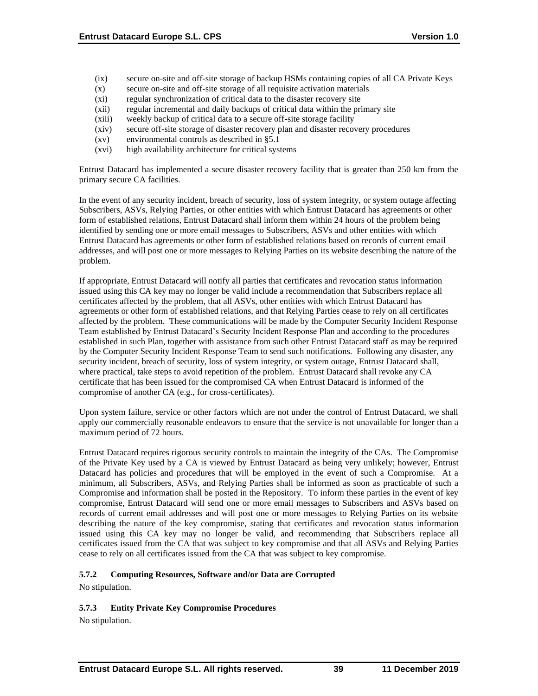- (ix) secure on-site and off-site storage of backup HSMs containing copies of all CA Private Keys
- (x) secure on-site and off-site storage of all requisite activation materials
- (xi) regular synchronization of critical data to the disaster recovery site
- (xii) regular incremental and daily backups of critical data within the primary site
- (xiii) weekly backup of critical data to a secure off-site storage facility
- (xiv) secure off-site storage of disaster recovery plan and disaster recovery procedures
- (xv) environmental controls as described in §5.1
- (xvi) high availability architecture for critical systems

Entrust Datacard has implemented a secure disaster recovery facility that is greater than 250 km from the primary secure CA facilities.

In the event of any security incident, breach of security, loss of system integrity, or system outage affecting Subscribers, ASVs, Relying Parties, or other entities with which Entrust Datacard has agreements or other form of established relations, Entrust Datacard shall inform them within 24 hours of the problem being identified by sending one or more email messages to Subscribers, ASVs and other entities with which Entrust Datacard has agreements or other form of established relations based on records of current email addresses, and will post one or more messages to Relying Parties on its website describing the nature of the problem.

If appropriate, Entrust Datacard will notify all parties that certificates and revocation status information issued using this CA key may no longer be valid include a recommendation that Subscribers replace all certificates affected by the problem, that all ASVs, other entities with which Entrust Datacard has agreements or other form of established relations, and that Relying Parties cease to rely on all certificates affected by the problem. These communications will be made by the Computer Security Incident Response Team established by Entrust Datacard's Security Incident Response Plan and according to the procedures established in such Plan, together with assistance from such other Entrust Datacard staff as may be required by the Computer Security Incident Response Team to send such notifications. Following any disaster, any security incident, breach of security, loss of system integrity, or system outage, Entrust Datacard shall, where practical, take steps to avoid repetition of the problem. Entrust Datacard shall revoke any CA certificate that has been issued for the compromised CA when Entrust Datacard is informed of the compromise of another CA (e.g., for cross-certificates).

Upon system failure, service or other factors which are not under the control of Entrust Datacard, we shall apply our commercially reasonable endeavors to ensure that the service is not unavailable for longer than a maximum period of 72 hours.

Entrust Datacard requires rigorous security controls to maintain the integrity of the CAs. The Compromise of the Private Key used by a CA is viewed by Entrust Datacard as being very unlikely; however, Entrust Datacard has policies and procedures that will be employed in the event of such a Compromise. At a minimum, all Subscribers, ASVs, and Relying Parties shall be informed as soon as practicable of such a Compromise and information shall be posted in the Repository. To inform these parties in the event of key compromise, Entrust Datacard will send one or more email messages to Subscribers and ASVs based on records of current email addresses and will post one or more messages to Relying Parties on its website describing the nature of the key compromise, stating that certificates and revocation status information issued using this CA key may no longer be valid, and recommending that Subscribers replace all certificates issued from the CA that was subject to key compromise and that all ASVs and Relying Parties cease to rely on all certificates issued from the CA that was subject to key compromise.

# **5.7.2 Computing Resources, Software and/or Data are Corrupted**

No stipulation.

# **5.7.3 Entity Private Key Compromise Procedures**

No stipulation.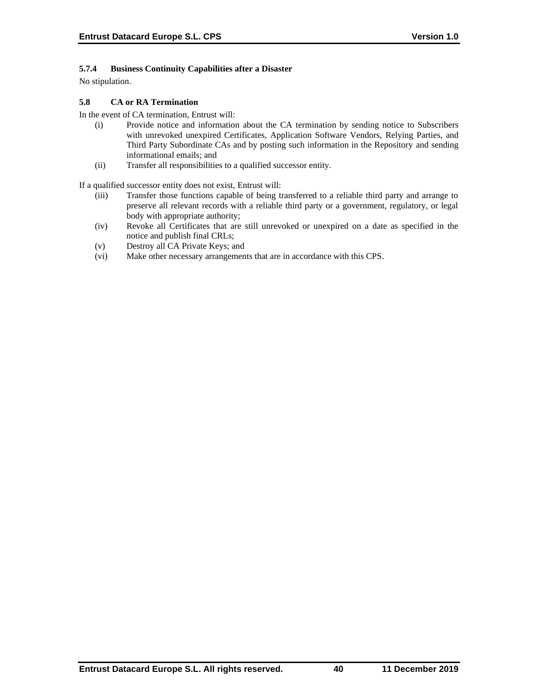# **5.7.4 Business Continuity Capabilities after a Disaster**

No stipulation.

# **5.8 CA or RA Termination**

In the event of CA termination, Entrust will:

- (i) Provide notice and information about the CA termination by sending notice to Subscribers with unrevoked unexpired Certificates, Application Software Vendors, Relying Parties, and Third Party Subordinate CAs and by posting such information in the Repository and sending informational emails; and
- (ii) Transfer all responsibilities to a qualified successor entity.

If a qualified successor entity does not exist, Entrust will:

- (iii) Transfer those functions capable of being transferred to a reliable third party and arrange to preserve all relevant records with a reliable third party or a government, regulatory, or legal body with appropriate authority;
- (iv) Revoke all Certificates that are still unrevoked or unexpired on a date as specified in the notice and publish final CRLs;
- (v) Destroy all CA Private Keys; and
- (vi) Make other necessary arrangements that are in accordance with this CPS.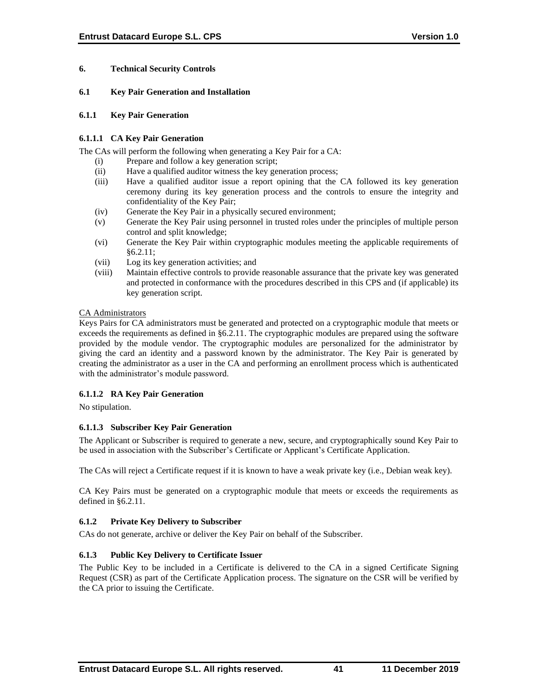# **6. Technical Security Controls**

### **6.1 Key Pair Generation and Installation**

### **6.1.1 Key Pair Generation**

## **6.1.1.1 CA Key Pair Generation**

The CAs will perform the following when generating a Key Pair for a CA:

- (i) Prepare and follow a key generation script;
- (ii) Have a qualified auditor witness the key generation process;
- (iii) Have a qualified auditor issue a report opining that the CA followed its key generation ceremony during its key generation process and the controls to ensure the integrity and confidentiality of the Key Pair;
- (iv) Generate the Key Pair in a physically secured environment;
- (v) Generate the Key Pair using personnel in trusted roles under the principles of multiple person control and split knowledge;
- (vi) Generate the Key Pair within cryptographic modules meeting the applicable requirements of §6.2.11;
- (vii) Log its key generation activities; and
- (viii) Maintain effective controls to provide reasonable assurance that the private key was generated and protected in conformance with the procedures described in this CPS and (if applicable) its key generation script.

### CA Administrators

Keys Pairs for CA administrators must be generated and protected on a cryptographic module that meets or exceeds the requirements as defined in §6.2.11. The cryptographic modules are prepared using the software provided by the module vendor. The cryptographic modules are personalized for the administrator by giving the card an identity and a password known by the administrator. The Key Pair is generated by creating the administrator as a user in the CA and performing an enrollment process which is authenticated with the administrator's module password.

# **6.1.1.2 RA Key Pair Generation**

No stipulation.

# **6.1.1.3 Subscriber Key Pair Generation**

The Applicant or Subscriber is required to generate a new, secure, and cryptographically sound Key Pair to be used in association with the Subscriber's Certificate or Applicant's Certificate Application.

The CAs will reject a Certificate request if it is known to have a weak private key (i.e., Debian weak key).

CA Key Pairs must be generated on a cryptographic module that meets or exceeds the requirements as defined in §6.2.11.

# **6.1.2 Private Key Delivery to Subscriber**

CAs do not generate, archive or deliver the Key Pair on behalf of the Subscriber.

# **6.1.3 Public Key Delivery to Certificate Issuer**

The Public Key to be included in a Certificate is delivered to the CA in a signed Certificate Signing Request (CSR) as part of the Certificate Application process. The signature on the CSR will be verified by the CA prior to issuing the Certificate.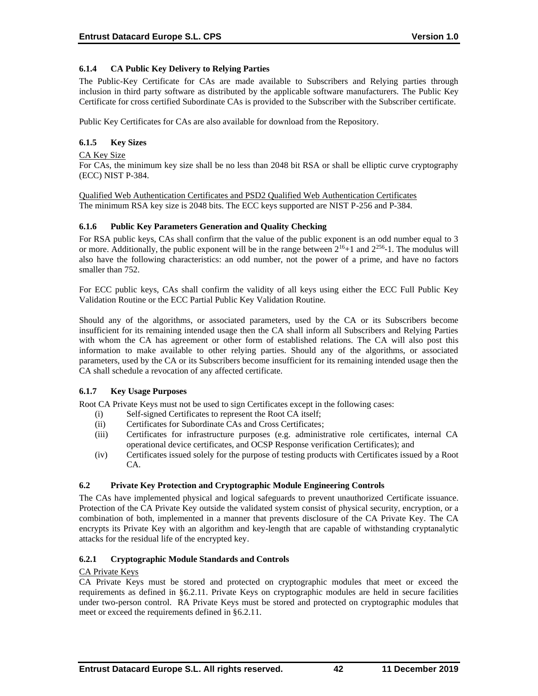# **6.1.4 CA Public Key Delivery to Relying Parties**

The Public-Key Certificate for CAs are made available to Subscribers and Relying parties through inclusion in third party software as distributed by the applicable software manufacturers. The Public Key Certificate for cross certified Subordinate CAs is provided to the Subscriber with the Subscriber certificate.

Public Key Certificates for CAs are also available for download from the Repository.

# **6.1.5 Key Sizes**

CA Key Size For CAs, the minimum key size shall be no less than 2048 bit RSA or shall be elliptic curve cryptography (ECC) NIST P-384.

Qualified Web Authentication Certificates and PSD2 Qualified Web Authentication Certificates The minimum RSA key size is 2048 bits. The ECC keys supported are NIST P-256 and P-384.

# **6.1.6 Public Key Parameters Generation and Quality Checking**

For RSA public keys, CAs shall confirm that the value of the public exponent is an odd number equal to 3 or more. Additionally, the public exponent will be in the range between  $2^{16}+1$  and  $2^{256}$ -1. The modulus will also have the following characteristics: an odd number, not the power of a prime, and have no factors smaller than 752.

For ECC public keys, CAs shall confirm the validity of all keys using either the ECC Full Public Key Validation Routine or the ECC Partial Public Key Validation Routine.

Should any of the algorithms, or associated parameters, used by the CA or its Subscribers become insufficient for its remaining intended usage then the CA shall inform all Subscribers and Relying Parties with whom the CA has agreement or other form of established relations. The CA will also post this information to make available to other relying parties. Should any of the algorithms, or associated parameters, used by the CA or its Subscribers become insufficient for its remaining intended usage then the CA shall schedule a revocation of any affected certificate.

# **6.1.7 Key Usage Purposes**

Root CA Private Keys must not be used to sign Certificates except in the following cases:

- (i) Self-signed Certificates to represent the Root CA itself;
- (ii) Certificates for Subordinate CAs and Cross Certificates;
- (iii) Certificates for infrastructure purposes (e.g. administrative role certificates, internal CA operational device certificates, and OCSP Response verification Certificates); and
- (iv) Certificates issued solely for the purpose of testing products with Certificates issued by a Root CA.

# **6.2 Private Key Protection and Cryptographic Module Engineering Controls**

The CAs have implemented physical and logical safeguards to prevent unauthorized Certificate issuance. Protection of the CA Private Key outside the validated system consist of physical security, encryption, or a combination of both, implemented in a manner that prevents disclosure of the CA Private Key. The CA encrypts its Private Key with an algorithm and key-length that are capable of withstanding cryptanalytic attacks for the residual life of the encrypted key.

# **6.2.1 Cryptographic Module Standards and Controls**

# CA Private Keys

CA Private Keys must be stored and protected on cryptographic modules that meet or exceed the requirements as defined in §6.2.11. Private Keys on cryptographic modules are held in secure facilities under two-person control. RA Private Keys must be stored and protected on cryptographic modules that meet or exceed the requirements defined in §6.2.11.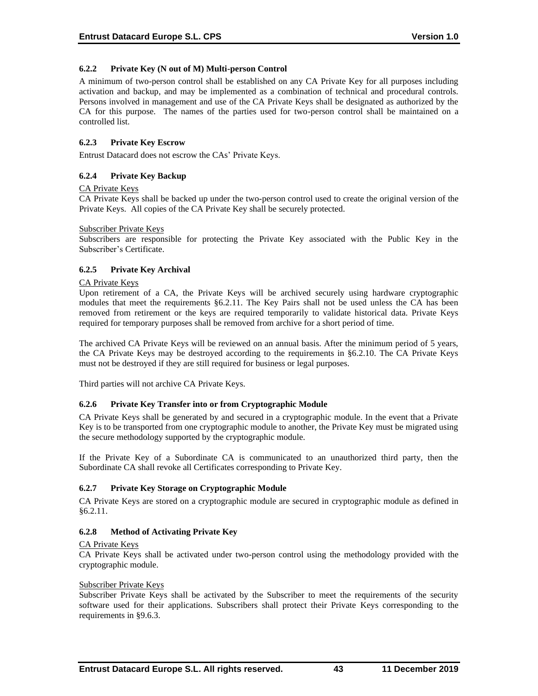### **6.2.2 Private Key (N out of M) Multi-person Control**

A minimum of two-person control shall be established on any CA Private Key for all purposes including activation and backup, and may be implemented as a combination of technical and procedural controls. Persons involved in management and use of the CA Private Keys shall be designated as authorized by the CA for this purpose. The names of the parties used for two-person control shall be maintained on a controlled list.

## **6.2.3 Private Key Escrow**

Entrust Datacard does not escrow the CAs' Private Keys.

### **6.2.4 Private Key Backup**

### CA Private Keys

CA Private Keys shall be backed up under the two-person control used to create the original version of the Private Keys. All copies of the CA Private Key shall be securely protected.

#### Subscriber Private Keys

Subscribers are responsible for protecting the Private Key associated with the Public Key in the Subscriber's Certificate.

### **6.2.5 Private Key Archival**

#### CA Private Keys

Upon retirement of a CA, the Private Keys will be archived securely using hardware cryptographic modules that meet the requirements §6.2.11. The Key Pairs shall not be used unless the CA has been removed from retirement or the keys are required temporarily to validate historical data. Private Keys required for temporary purposes shall be removed from archive for a short period of time.

The archived CA Private Keys will be reviewed on an annual basis. After the minimum period of 5 years, the CA Private Keys may be destroyed according to the requirements in §6.2.10. The CA Private Keys must not be destroyed if they are still required for business or legal purposes.

Third parties will not archive CA Private Keys.

#### **6.2.6 Private Key Transfer into or from Cryptographic Module**

CA Private Keys shall be generated by and secured in a cryptographic module. In the event that a Private Key is to be transported from one cryptographic module to another, the Private Key must be migrated using the secure methodology supported by the cryptographic module.

If the Private Key of a Subordinate CA is communicated to an unauthorized third party, then the Subordinate CA shall revoke all Certificates corresponding to Private Key.

#### **6.2.7 Private Key Storage on Cryptographic Module**

CA Private Keys are stored on a cryptographic module are secured in cryptographic module as defined in §6.2.11.

# **6.2.8 Method of Activating Private Key**

#### CA Private Keys

CA Private Keys shall be activated under two-person control using the methodology provided with the cryptographic module.

#### Subscriber Private Keys

Subscriber Private Keys shall be activated by the Subscriber to meet the requirements of the security software used for their applications. Subscribers shall protect their Private Keys corresponding to the requirements in §9.6.3.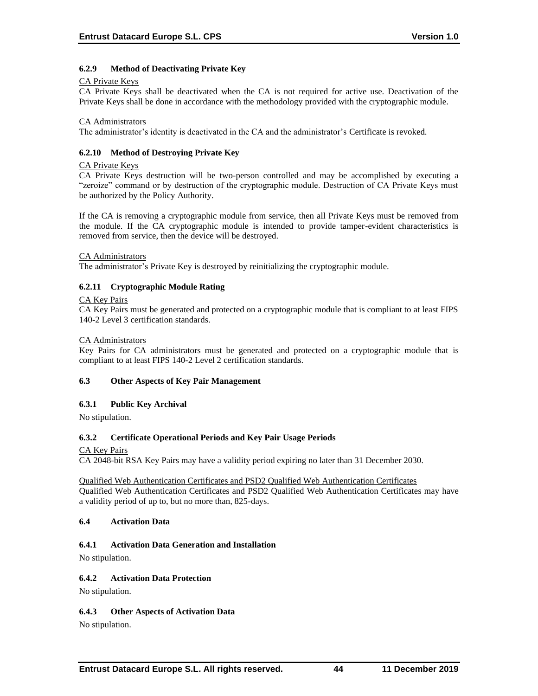## **6.2.9 Method of Deactivating Private Key**

#### CA Private Keys

CA Private Keys shall be deactivated when the CA is not required for active use. Deactivation of the Private Keys shall be done in accordance with the methodology provided with the cryptographic module.

#### CA Administrators

The administrator's identity is deactivated in the CA and the administrator's Certificate is revoked.

### **6.2.10 Method of Destroying Private Key**

#### CA Private Keys

CA Private Keys destruction will be two-person controlled and may be accomplished by executing a "zeroize" command or by destruction of the cryptographic module. Destruction of CA Private Keys must be authorized by the Policy Authority.

If the CA is removing a cryptographic module from service, then all Private Keys must be removed from the module. If the CA cryptographic module is intended to provide tamper-evident characteristics is removed from service, then the device will be destroyed.

#### CA Administrators

The administrator's Private Key is destroyed by reinitializing the cryptographic module.

### **6.2.11 Cryptographic Module Rating**

#### CA Key Pairs

CA Key Pairs must be generated and protected on a cryptographic module that is compliant to at least FIPS 140-2 Level 3 certification standards.

#### CA Administrators

Key Pairs for CA administrators must be generated and protected on a cryptographic module that is compliant to at least FIPS 140-2 Level 2 certification standards.

#### **6.3 Other Aspects of Key Pair Management**

#### **6.3.1 Public Key Archival**

No stipulation.

#### **6.3.2 Certificate Operational Periods and Key Pair Usage Periods**

#### CA Key Pairs

CA 2048-bit RSA Key Pairs may have a validity period expiring no later than 31 December 2030.

Qualified Web Authentication Certificates and PSD2 Qualified Web Authentication Certificates Qualified Web Authentication Certificates and PSD2 Qualified Web Authentication Certificates may have a validity period of up to, but no more than, 825-days.

#### **6.4 Activation Data**

#### **6.4.1 Activation Data Generation and Installation**

No stipulation.

#### **6.4.2 Activation Data Protection**

No stipulation.

#### **6.4.3 Other Aspects of Activation Data**

No stipulation.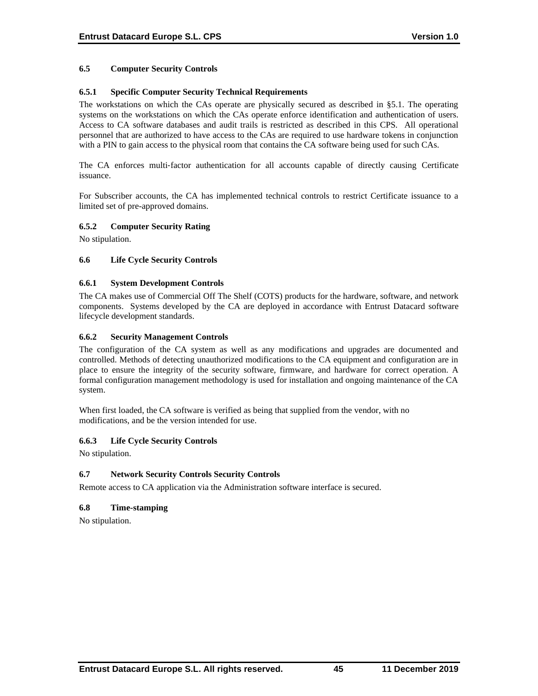### **6.5 Computer Security Controls**

### **6.5.1 Specific Computer Security Technical Requirements**

The workstations on which the CAs operate are physically secured as described in §5.1. The operating systems on the workstations on which the CAs operate enforce identification and authentication of users. Access to CA software databases and audit trails is restricted as described in this CPS. All operational personnel that are authorized to have access to the CAs are required to use hardware tokens in conjunction with a PIN to gain access to the physical room that contains the CA software being used for such CAs.

The CA enforces multi-factor authentication for all accounts capable of directly causing Certificate issuance.

For Subscriber accounts, the CA has implemented technical controls to restrict Certificate issuance to a limited set of pre-approved domains.

#### **6.5.2 Computer Security Rating**

No stipulation.

#### **6.6 Life Cycle Security Controls**

#### **6.6.1 System Development Controls**

The CA makes use of Commercial Off The Shelf (COTS) products for the hardware, software, and network components. Systems developed by the CA are deployed in accordance with Entrust Datacard software lifecycle development standards.

#### **6.6.2 Security Management Controls**

The configuration of the CA system as well as any modifications and upgrades are documented and controlled. Methods of detecting unauthorized modifications to the CA equipment and configuration are in place to ensure the integrity of the security software, firmware, and hardware for correct operation. A formal configuration management methodology is used for installation and ongoing maintenance of the CA system.

When first loaded, the CA software is verified as being that supplied from the vendor, with no modifications, and be the version intended for use.

#### **6.6.3 Life Cycle Security Controls**

No stipulation.

### **6.7 Network Security Controls Security Controls**

Remote access to CA application via the Administration software interface is secured.

#### **6.8 Time-stamping**

No stipulation.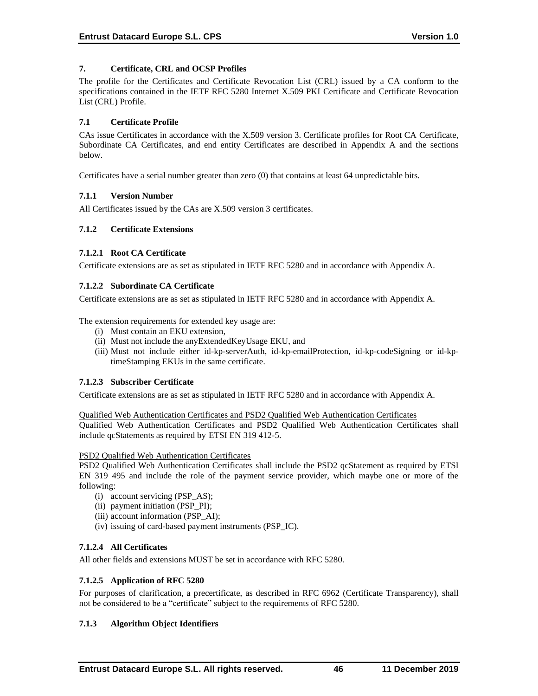# **7. Certificate, CRL and OCSP Profiles**

The profile for the Certificates and Certificate Revocation List (CRL) issued by a CA conform to the specifications contained in the IETF RFC 5280 Internet X.509 PKI Certificate and Certificate Revocation List (CRL) Profile.

### **7.1 Certificate Profile**

CAs issue Certificates in accordance with the X.509 version 3. Certificate profiles for Root CA Certificate, Subordinate CA Certificates, and end entity Certificates are described in Appendix A and the sections below.

Certificates have a serial number greater than zero (0) that contains at least 64 unpredictable bits.

# **7.1.1 Version Number**

All Certificates issued by the CAs are X.509 version 3 certificates.

### **7.1.2 Certificate Extensions**

### **7.1.2.1 Root CA Certificate**

Certificate extensions are as set as stipulated in IETF RFC 5280 and in accordance with Appendix A.

### **7.1.2.2 Subordinate CA Certificate**

Certificate extensions are as set as stipulated in IETF RFC 5280 and in accordance with Appendix A.

The extension requirements for extended key usage are:

- (i) Must contain an EKU extension,
- (ii) Must not include the anyExtendedKeyUsage EKU, and
- (iii) Must not include either id-kp-serverAuth, id-kp-emailProtection, id-kp-codeSigning or id-kptimeStamping EKUs in the same certificate.

# **7.1.2.3 Subscriber Certificate**

Certificate extensions are as set as stipulated in IETF RFC 5280 and in accordance with Appendix A.

#### Qualified Web Authentication Certificates and PSD2 Qualified Web Authentication Certificates

Qualified Web Authentication Certificates and PSD2 Qualified Web Authentication Certificates shall include qcStatements as required by ETSI EN 319 412-5.

#### PSD2 Qualified Web Authentication Certificates

PSD2 Qualified Web Authentication Certificates shall include the PSD2 qcStatement as required by ETSI EN 319 495 and include the role of the payment service provider, which maybe one or more of the following:

- (i) account servicing (PSP\_AS);
- (ii) payment initiation (PSP\_PI);
- (iii) account information (PSP\_AI);
- (iv) issuing of card-based payment instruments (PSP\_IC).

# **7.1.2.4 All Certificates**

All other fields and extensions MUST be set in accordance with RFC 5280.

# **7.1.2.5 Application of RFC 5280**

For purposes of clarification, a precertificate, as described in RFC 6962 (Certificate Transparency), shall not be considered to be a "certificate" subject to the requirements of RFC 5280.

# **7.1.3 Algorithm Object Identifiers**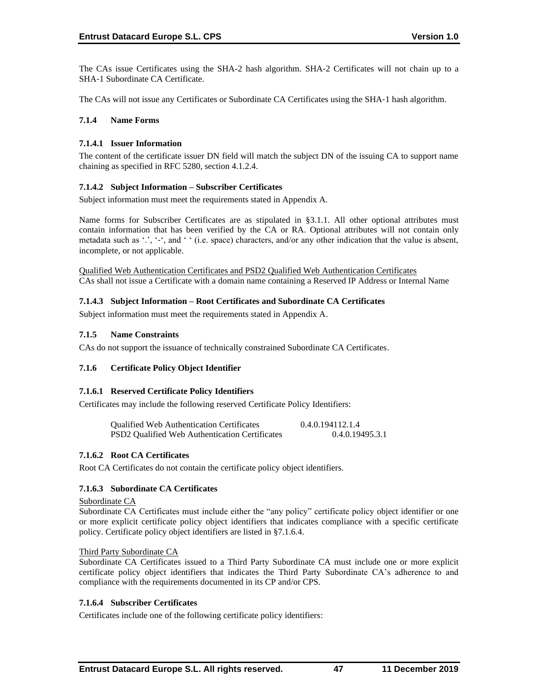The CAs issue Certificates using the SHA-2 hash algorithm. SHA‐2 Certificates will not chain up to a SHA‐1 Subordinate CA Certificate.

The CAs will not issue any Certificates or Subordinate CA Certificates using the SHA-1 hash algorithm.

## **7.1.4 Name Forms**

### **7.1.4.1 Issuer Information**

The content of the certificate issuer DN field will match the subject DN of the issuing CA to support name chaining as specified in RFC 5280, section 4.1.2.4.

### **7.1.4.2 Subject Information – Subscriber Certificates**

Subject information must meet the requirements stated in Appendix A.

Name forms for Subscriber Certificates are as stipulated in §3.1.1. All other optional attributes must contain information that has been verified by the CA or RA. Optional attributes will not contain only metadata such as '.', '-', and ' ' (i.e. space) characters, and/or any other indication that the value is absent, incomplete, or not applicable.

Qualified Web Authentication Certificates and PSD2 Qualified Web Authentication Certificates CAs shall not issue a Certificate with a domain name containing a Reserved IP Address or Internal Name

# **7.1.4.3 Subject Information – Root Certificates and Subordinate CA Certificates**

Subject information must meet the requirements stated in Appendix A.

### **7.1.5 Name Constraints**

CAs do not support the issuance of technically constrained Subordinate CA Certificates.

# **7.1.6 Certificate Policy Object Identifier**

#### **7.1.6.1 Reserved Certificate Policy Identifiers**

Certificates may include the following reserved Certificate Policy Identifiers:

| <b>Qualified Web Authentication Certificates</b> | 0.4.0.194112.1.4 |
|--------------------------------------------------|------------------|
| PSD2 Qualified Web Authentication Certificates   | 0.4.0.19495.3.1  |

#### **7.1.6.2 Root CA Certificates**

Root CA Certificates do not contain the certificate policy object identifiers.

# **7.1.6.3 Subordinate CA Certificates**

#### Subordinate CA

Subordinate CA Certificates must include either the "any policy" certificate policy object identifier or one or more explicit certificate policy object identifiers that indicates compliance with a specific certificate policy. Certificate policy object identifiers are listed in §7.1.6.4.

#### Third Party Subordinate CA

Subordinate CA Certificates issued to a Third Party Subordinate CA must include one or more explicit certificate policy object identifiers that indicates the Third Party Subordinate CA's adherence to and compliance with the requirements documented in its CP and/or CPS.

#### **7.1.6.4 Subscriber Certificates**

Certificates include one of the following certificate policy identifiers: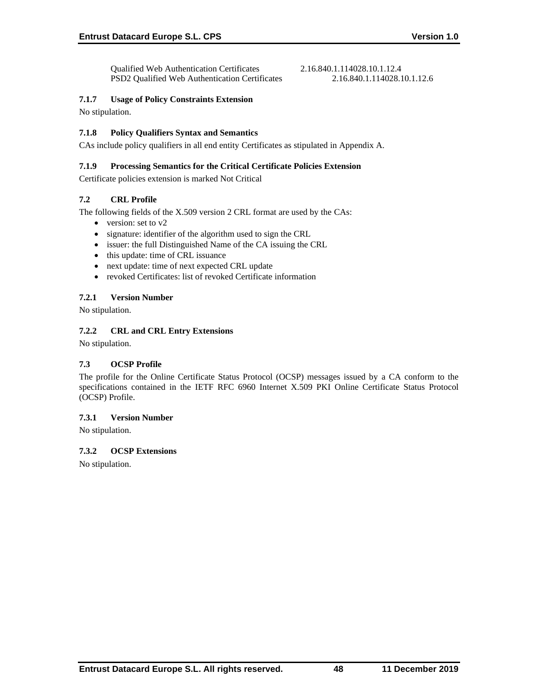# **7.1.7 Usage of Policy Constraints Extension**

No stipulation.

# **7.1.8 Policy Qualifiers Syntax and Semantics**

CAs include policy qualifiers in all end entity Certificates as stipulated in Appendix A.

## **7.1.9 Processing Semantics for the Critical Certificate Policies Extension**

Certificate policies extension is marked Not Critical

# **7.2 CRL Profile**

The following fields of the X.509 version 2 CRL format are used by the CAs:

- version: set to v2
- signature: identifier of the algorithm used to sign the CRL
- issuer: the full Distinguished Name of the CA issuing the CRL
- this update: time of CRL issuance
- next update: time of next expected CRL update
- revoked Certificates: list of revoked Certificate information

# **7.2.1 Version Number**

No stipulation.

# **7.2.2 CRL and CRL Entry Extensions**

No stipulation.

# **7.3 OCSP Profile**

The profile for the Online Certificate Status Protocol (OCSP) messages issued by a CA conform to the specifications contained in the IETF RFC 6960 Internet X.509 PKI Online Certificate Status Protocol (OCSP) Profile.

# **7.3.1 Version Number**

No stipulation.

# **7.3.2 OCSP Extensions**

No stipulation.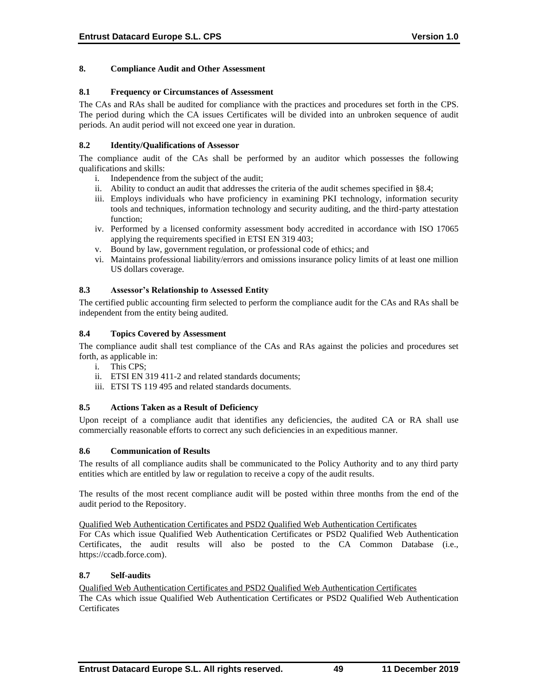### **8. Compliance Audit and Other Assessment**

### **8.1 Frequency or Circumstances of Assessment**

The CAs and RAs shall be audited for compliance with the practices and procedures set forth in the CPS. The period during which the CA issues Certificates will be divided into an unbroken sequence of audit periods. An audit period will not exceed one year in duration.

### **8.2 Identity/Qualifications of Assessor**

The compliance audit of the CAs shall be performed by an auditor which possesses the following qualifications and skills:

- i. Independence from the subject of the audit;
- ii. Ability to conduct an audit that addresses the criteria of the audit schemes specified in §8.4;
- iii. Employs individuals who have proficiency in examining PKI technology, information security tools and techniques, information technology and security auditing, and the third-party attestation function;
- iv. Performed by a licensed conformity assessment body accredited in accordance with ISO 17065 applying the requirements specified in ETSI EN 319 403;
- v. Bound by law, government regulation, or professional code of ethics; and
- vi. Maintains professional liability/errors and omissions insurance policy limits of at least one million US dollars coverage.

### **8.3 Assessor's Relationship to Assessed Entity**

The certified public accounting firm selected to perform the compliance audit for the CAs and RAs shall be independent from the entity being audited.

### **8.4 Topics Covered by Assessment**

The compliance audit shall test compliance of the CAs and RAs against the policies and procedures set forth, as applicable in:

- i. This CPS;
- ii. ETSI EN 319 411-2 and related standards documents;
- iii. ETSI TS 119 495 and related standards documents.

### **8.5 Actions Taken as a Result of Deficiency**

Upon receipt of a compliance audit that identifies any deficiencies, the audited CA or RA shall use commercially reasonable efforts to correct any such deficiencies in an expeditious manner.

#### **8.6 Communication of Results**

The results of all compliance audits shall be communicated to the Policy Authority and to any third party entities which are entitled by law or regulation to receive a copy of the audit results.

The results of the most recent compliance audit will be posted within three months from the end of the audit period to the Repository.

Qualified Web Authentication Certificates and PSD2 Qualified Web Authentication Certificates

For CAs which issue Qualified Web Authentication Certificates or PSD2 Qualified Web Authentication Certificates, the audit results will also be posted to the CA Common Database (i.e., https://ccadb.force.com).

### **8.7 Self-audits**

# Qualified Web Authentication Certificates and PSD2 Qualified Web Authentication Certificates

The CAs which issue Qualified Web Authentication Certificates or PSD2 Qualified Web Authentication **Certificates**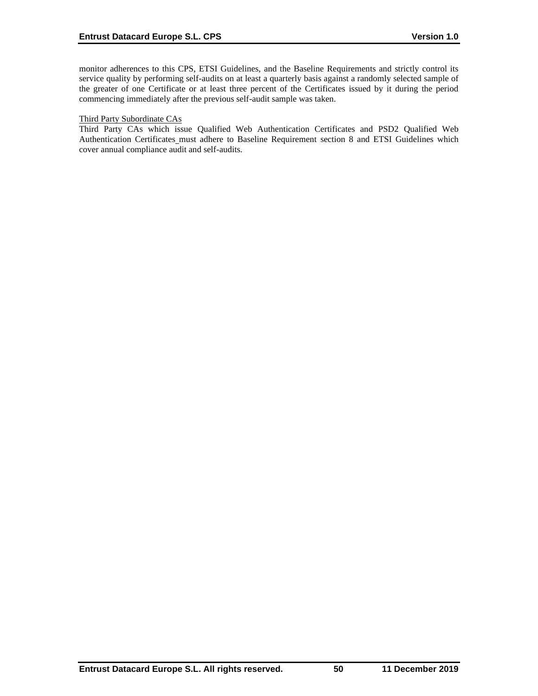monitor adherences to this CPS, ETSI Guidelines, and the Baseline Requirements and strictly control its service quality by performing self-audits on at least a quarterly basis against a randomly selected sample of the greater of one Certificate or at least three percent of the Certificates issued by it during the period commencing immediately after the previous self-audit sample was taken.

#### Third Party Subordinate CAs

Third Party CAs which issue Qualified Web Authentication Certificates and PSD2 Qualified Web Authentication Certificates\_must adhere to Baseline Requirement section 8 and ETSI Guidelines which cover annual compliance audit and self-audits.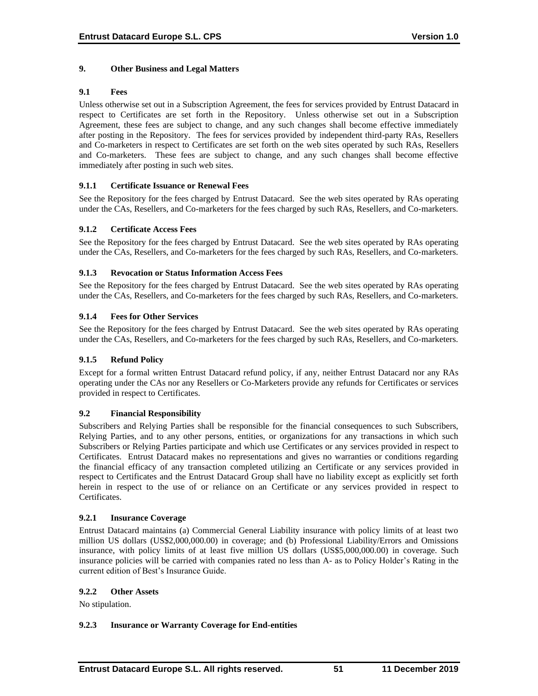## **9. Other Business and Legal Matters**

### **9.1 Fees**

Unless otherwise set out in a Subscription Agreement, the fees for services provided by Entrust Datacard in respect to Certificates are set forth in the Repository. Unless otherwise set out in a Subscription Agreement, these fees are subject to change, and any such changes shall become effective immediately after posting in the Repository. The fees for services provided by independent third-party RAs, Resellers and Co-marketers in respect to Certificates are set forth on the web sites operated by such RAs, Resellers and Co-marketers. These fees are subject to change, and any such changes shall become effective immediately after posting in such web sites.

### **9.1.1 Certificate Issuance or Renewal Fees**

See the Repository for the fees charged by Entrust Datacard. See the web sites operated by RAs operating under the CAs, Resellers, and Co-marketers for the fees charged by such RAs, Resellers, and Co-marketers.

### **9.1.2 Certificate Access Fees**

See the Repository for the fees charged by Entrust Datacard. See the web sites operated by RAs operating under the CAs, Resellers, and Co-marketers for the fees charged by such RAs, Resellers, and Co-marketers.

### **9.1.3 Revocation or Status Information Access Fees**

See the Repository for the fees charged by Entrust Datacard. See the web sites operated by RAs operating under the CAs, Resellers, and Co-marketers for the fees charged by such RAs, Resellers, and Co-marketers.

### **9.1.4 Fees for Other Services**

See the Repository for the fees charged by Entrust Datacard. See the web sites operated by RAs operating under the CAs, Resellers, and Co-marketers for the fees charged by such RAs, Resellers, and Co-marketers.

#### **9.1.5 Refund Policy**

Except for a formal written Entrust Datacard refund policy, if any, neither Entrust Datacard nor any RAs operating under the CAs nor any Resellers or Co-Marketers provide any refunds for Certificates or services provided in respect to Certificates.

#### **9.2 Financial Responsibility**

Subscribers and Relying Parties shall be responsible for the financial consequences to such Subscribers, Relying Parties, and to any other persons, entities, or organizations for any transactions in which such Subscribers or Relying Parties participate and which use Certificates or any services provided in respect to Certificates. Entrust Datacard makes no representations and gives no warranties or conditions regarding the financial efficacy of any transaction completed utilizing an Certificate or any services provided in respect to Certificates and the Entrust Datacard Group shall have no liability except as explicitly set forth herein in respect to the use of or reliance on an Certificate or any services provided in respect to Certificates.

#### **9.2.1 Insurance Coverage**

Entrust Datacard maintains (a) Commercial General Liability insurance with policy limits of at least two million US dollars (US\$2,000,000.00) in coverage; and (b) Professional Liability/Errors and Omissions insurance, with policy limits of at least five million US dollars (US\$5,000,000.00) in coverage. Such insurance policies will be carried with companies rated no less than A- as to Policy Holder's Rating in the current edition of Best's Insurance Guide.

#### **9.2.2 Other Assets**

No stipulation.

# **9.2.3 Insurance or Warranty Coverage for End-entities**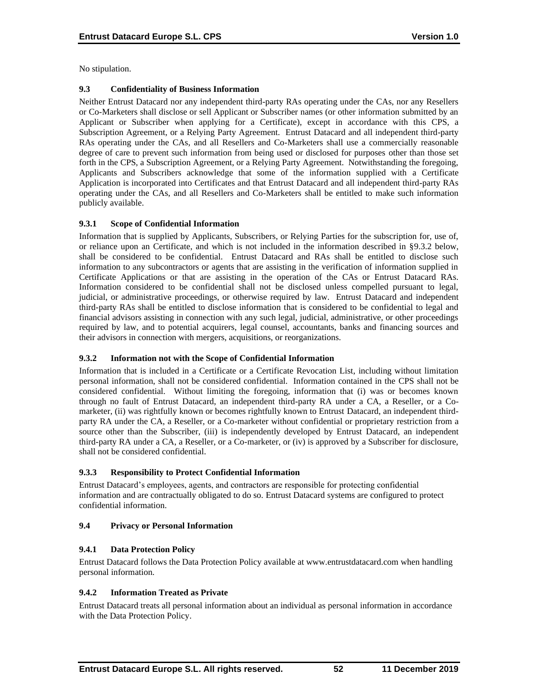No stipulation.

### **9.3 Confidentiality of Business Information**

Neither Entrust Datacard nor any independent third-party RAs operating under the CAs, nor any Resellers or Co-Marketers shall disclose or sell Applicant or Subscriber names (or other information submitted by an Applicant or Subscriber when applying for a Certificate), except in accordance with this CPS, a Subscription Agreement, or a Relying Party Agreement. Entrust Datacard and all independent third-party RAs operating under the CAs, and all Resellers and Co-Marketers shall use a commercially reasonable degree of care to prevent such information from being used or disclosed for purposes other than those set forth in the CPS, a Subscription Agreement, or a Relying Party Agreement. Notwithstanding the foregoing, Applicants and Subscribers acknowledge that some of the information supplied with a Certificate Application is incorporated into Certificates and that Entrust Datacard and all independent third-party RAs operating under the CAs, and all Resellers and Co-Marketers shall be entitled to make such information publicly available.

### **9.3.1 Scope of Confidential Information**

Information that is supplied by Applicants, Subscribers, or Relying Parties for the subscription for, use of, or reliance upon an Certificate, and which is not included in the information described in §9.3.2 below, shall be considered to be confidential. Entrust Datacard and RAs shall be entitled to disclose such information to any subcontractors or agents that are assisting in the verification of information supplied in Certificate Applications or that are assisting in the operation of the CAs or Entrust Datacard RAs. Information considered to be confidential shall not be disclosed unless compelled pursuant to legal, judicial, or administrative proceedings, or otherwise required by law. Entrust Datacard and independent third-party RAs shall be entitled to disclose information that is considered to be confidential to legal and financial advisors assisting in connection with any such legal, judicial, administrative, or other proceedings required by law, and to potential acquirers, legal counsel, accountants, banks and financing sources and their advisors in connection with mergers, acquisitions, or reorganizations.

# **9.3.2 Information not with the Scope of Confidential Information**

Information that is included in a Certificate or a Certificate Revocation List, including without limitation personal information, shall not be considered confidential. Information contained in the CPS shall not be considered confidential. Without limiting the foregoing, information that (i) was or becomes known through no fault of Entrust Datacard, an independent third-party RA under a CA, a Reseller, or a Comarketer, (ii) was rightfully known or becomes rightfully known to Entrust Datacard, an independent thirdparty RA under the CA, a Reseller, or a Co-marketer without confidential or proprietary restriction from a source other than the Subscriber, (iii) is independently developed by Entrust Datacard, an independent third-party RA under a CA, a Reseller, or a Co-marketer, or (iv) is approved by a Subscriber for disclosure, shall not be considered confidential.

#### **9.3.3 Responsibility to Protect Confidential Information**

Entrust Datacard's employees, agents, and contractors are responsible for protecting confidential information and are contractually obligated to do so. Entrust Datacard systems are configured to protect confidential information.

#### **9.4 Privacy or Personal Information**

# **9.4.1 Data Protection Policy**

Entrust Datacard follows the Data Protection Policy available at www.entrustdatacard.com when handling personal information.

# **9.4.2 Information Treated as Private**

Entrust Datacard treats all personal information about an individual as personal information in accordance with the Data Protection Policy.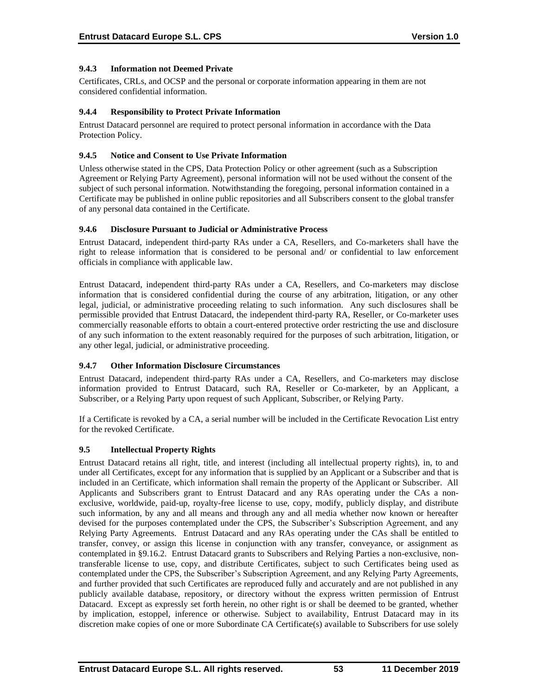# **9.4.3 Information not Deemed Private**

Certificates, CRLs, and OCSP and the personal or corporate information appearing in them are not considered confidential information.

#### **9.4.4 Responsibility to Protect Private Information**

Entrust Datacard personnel are required to protect personal information in accordance with the Data Protection Policy.

### **9.4.5 Notice and Consent to Use Private Information**

Unless otherwise stated in the CPS, Data Protection Policy or other agreement (such as a Subscription Agreement or Relying Party Agreement), personal information will not be used without the consent of the subject of such personal information. Notwithstanding the foregoing, personal information contained in a Certificate may be published in online public repositories and all Subscribers consent to the global transfer of any personal data contained in the Certificate.

### **9.4.6 Disclosure Pursuant to Judicial or Administrative Process**

Entrust Datacard, independent third-party RAs under a CA, Resellers, and Co-marketers shall have the right to release information that is considered to be personal and/ or confidential to law enforcement officials in compliance with applicable law.

Entrust Datacard, independent third-party RAs under a CA, Resellers, and Co-marketers may disclose information that is considered confidential during the course of any arbitration, litigation, or any other legal, judicial, or administrative proceeding relating to such information. Any such disclosures shall be permissible provided that Entrust Datacard, the independent third-party RA, Reseller, or Co-marketer uses commercially reasonable efforts to obtain a court-entered protective order restricting the use and disclosure of any such information to the extent reasonably required for the purposes of such arbitration, litigation, or any other legal, judicial, or administrative proceeding.

#### **9.4.7 Other Information Disclosure Circumstances**

Entrust Datacard, independent third-party RAs under a CA, Resellers, and Co-marketers may disclose information provided to Entrust Datacard, such RA, Reseller or Co-marketer, by an Applicant, a Subscriber, or a Relying Party upon request of such Applicant, Subscriber, or Relying Party.

If a Certificate is revoked by a CA, a serial number will be included in the Certificate Revocation List entry for the revoked Certificate.

# **9.5 Intellectual Property Rights**

Entrust Datacard retains all right, title, and interest (including all intellectual property rights), in, to and under all Certificates, except for any information that is supplied by an Applicant or a Subscriber and that is included in an Certificate, which information shall remain the property of the Applicant or Subscriber. All Applicants and Subscribers grant to Entrust Datacard and any RAs operating under the CAs a nonexclusive, worldwide, paid-up, royalty-free license to use, copy, modify, publicly display, and distribute such information, by any and all means and through any and all media whether now known or hereafter devised for the purposes contemplated under the CPS, the Subscriber's Subscription Agreement, and any Relying Party Agreements. Entrust Datacard and any RAs operating under the CAs shall be entitled to transfer, convey, or assign this license in conjunction with any transfer, conveyance, or assignment as contemplated in §9.16.2. Entrust Datacard grants to Subscribers and Relying Parties a non-exclusive, nontransferable license to use, copy, and distribute Certificates, subject to such Certificates being used as contemplated under the CPS, the Subscriber's Subscription Agreement, and any Relying Party Agreements, and further provided that such Certificates are reproduced fully and accurately and are not published in any publicly available database, repository, or directory without the express written permission of Entrust Datacard. Except as expressly set forth herein, no other right is or shall be deemed to be granted, whether by implication, estoppel, inference or otherwise. Subject to availability, Entrust Datacard may in its discretion make copies of one or more Subordinate CA Certificate(s) available to Subscribers for use solely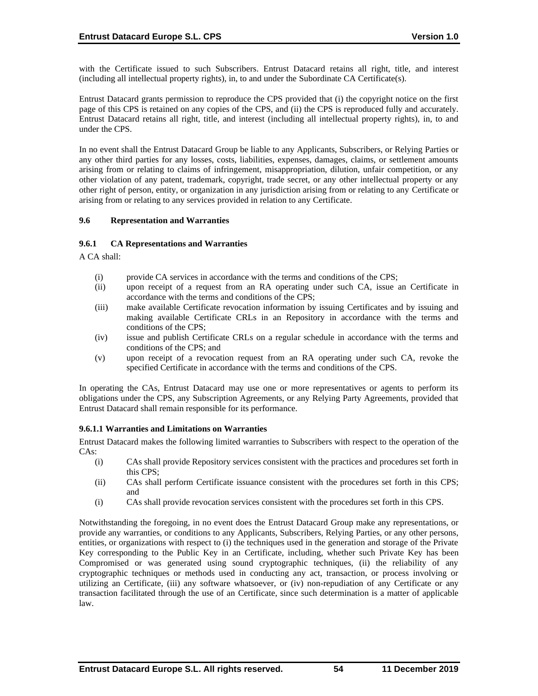with the Certificate issued to such Subscribers. Entrust Datacard retains all right, title, and interest (including all intellectual property rights), in, to and under the Subordinate CA Certificate(s).

Entrust Datacard grants permission to reproduce the CPS provided that (i) the copyright notice on the first page of this CPS is retained on any copies of the CPS, and (ii) the CPS is reproduced fully and accurately. Entrust Datacard retains all right, title, and interest (including all intellectual property rights), in, to and under the CPS.

In no event shall the Entrust Datacard Group be liable to any Applicants, Subscribers, or Relying Parties or any other third parties for any losses, costs, liabilities, expenses, damages, claims, or settlement amounts arising from or relating to claims of infringement, misappropriation, dilution, unfair competition, or any other violation of any patent, trademark, copyright, trade secret, or any other intellectual property or any other right of person, entity, or organization in any jurisdiction arising from or relating to any Certificate or arising from or relating to any services provided in relation to any Certificate.

### **9.6 Representation and Warranties**

### **9.6.1 CA Representations and Warranties**

A CA shall:

- (i) provide CA services in accordance with the terms and conditions of the CPS;
- (ii) upon receipt of a request from an RA operating under such CA, issue an Certificate in accordance with the terms and conditions of the CPS;
- (iii) make available Certificate revocation information by issuing Certificates and by issuing and making available Certificate CRLs in an Repository in accordance with the terms and conditions of the CPS;
- (iv) issue and publish Certificate CRLs on a regular schedule in accordance with the terms and conditions of the CPS; and
- (v) upon receipt of a revocation request from an RA operating under such CA, revoke the specified Certificate in accordance with the terms and conditions of the CPS.

In operating the CAs, Entrust Datacard may use one or more representatives or agents to perform its obligations under the CPS, any Subscription Agreements, or any Relying Party Agreements, provided that Entrust Datacard shall remain responsible for its performance.

#### **9.6.1.1 Warranties and Limitations on Warranties**

Entrust Datacard makes the following limited warranties to Subscribers with respect to the operation of the CAs:

- (i) CAs shall provide Repository services consistent with the practices and procedures set forth in this CPS;
- (ii) CAs shall perform Certificate issuance consistent with the procedures set forth in this CPS; and
- (i) CAs shall provide revocation services consistent with the procedures set forth in this CPS.

Notwithstanding the foregoing, in no event does the Entrust Datacard Group make any representations, or provide any warranties, or conditions to any Applicants, Subscribers, Relying Parties, or any other persons, entities, or organizations with respect to (i) the techniques used in the generation and storage of the Private Key corresponding to the Public Key in an Certificate, including, whether such Private Key has been Compromised or was generated using sound cryptographic techniques, (ii) the reliability of any cryptographic techniques or methods used in conducting any act, transaction, or process involving or utilizing an Certificate, (iii) any software whatsoever, or (iv) non-repudiation of any Certificate or any transaction facilitated through the use of an Certificate, since such determination is a matter of applicable law.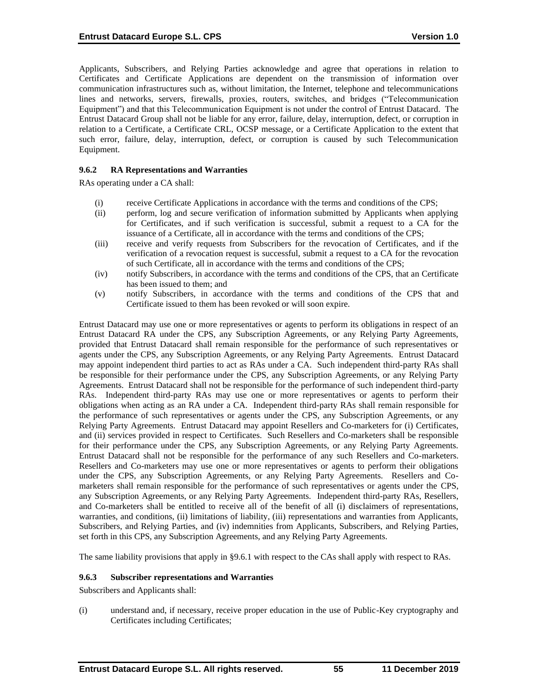Applicants, Subscribers, and Relying Parties acknowledge and agree that operations in relation to Certificates and Certificate Applications are dependent on the transmission of information over communication infrastructures such as, without limitation, the Internet, telephone and telecommunications lines and networks, servers, firewalls, proxies, routers, switches, and bridges ("Telecommunication Equipment") and that this Telecommunication Equipment is not under the control of Entrust Datacard. The Entrust Datacard Group shall not be liable for any error, failure, delay, interruption, defect, or corruption in relation to a Certificate, a Certificate CRL, OCSP message, or a Certificate Application to the extent that such error, failure, delay, interruption, defect, or corruption is caused by such Telecommunication Equipment.

### **9.6.2 RA Representations and Warranties**

RAs operating under a CA shall:

- (i) receive Certificate Applications in accordance with the terms and conditions of the CPS;
- (ii) perform, log and secure verification of information submitted by Applicants when applying for Certificates, and if such verification is successful, submit a request to a CA for the issuance of a Certificate, all in accordance with the terms and conditions of the CPS;
- (iii) receive and verify requests from Subscribers for the revocation of Certificates, and if the verification of a revocation request is successful, submit a request to a CA for the revocation of such Certificate, all in accordance with the terms and conditions of the CPS;
- (iv) notify Subscribers, in accordance with the terms and conditions of the CPS, that an Certificate has been issued to them; and
- (v) notify Subscribers, in accordance with the terms and conditions of the CPS that and Certificate issued to them has been revoked or will soon expire.

Entrust Datacard may use one or more representatives or agents to perform its obligations in respect of an Entrust Datacard RA under the CPS, any Subscription Agreements, or any Relying Party Agreements, provided that Entrust Datacard shall remain responsible for the performance of such representatives or agents under the CPS, any Subscription Agreements, or any Relying Party Agreements. Entrust Datacard may appoint independent third parties to act as RAs under a CA. Such independent third-party RAs shall be responsible for their performance under the CPS, any Subscription Agreements, or any Relying Party Agreements. Entrust Datacard shall not be responsible for the performance of such independent third-party RAs. Independent third-party RAs may use one or more representatives or agents to perform their obligations when acting as an RA under a CA. Independent third-party RAs shall remain responsible for the performance of such representatives or agents under the CPS, any Subscription Agreements, or any Relying Party Agreements. Entrust Datacard may appoint Resellers and Co-marketers for (i) Certificates, and (ii) services provided in respect to Certificates. Such Resellers and Co-marketers shall be responsible for their performance under the CPS, any Subscription Agreements, or any Relying Party Agreements. Entrust Datacard shall not be responsible for the performance of any such Resellers and Co-marketers. Resellers and Co-marketers may use one or more representatives or agents to perform their obligations under the CPS, any Subscription Agreements, or any Relying Party Agreements. Resellers and Comarketers shall remain responsible for the performance of such representatives or agents under the CPS, any Subscription Agreements, or any Relying Party Agreements. Independent third-party RAs, Resellers, and Co-marketers shall be entitled to receive all of the benefit of all (i) disclaimers of representations, warranties, and conditions, (ii) limitations of liability, (iii) representations and warranties from Applicants, Subscribers, and Relying Parties, and (iv) indemnities from Applicants, Subscribers, and Relying Parties, set forth in this CPS, any Subscription Agreements, and any Relying Party Agreements.

The same liability provisions that apply in §9.6.1 with respect to the CAs shall apply with respect to RAs.

# **9.6.3 Subscriber representations and Warranties**

Subscribers and Applicants shall:

(i) understand and, if necessary, receive proper education in the use of Public-Key cryptography and Certificates including Certificates;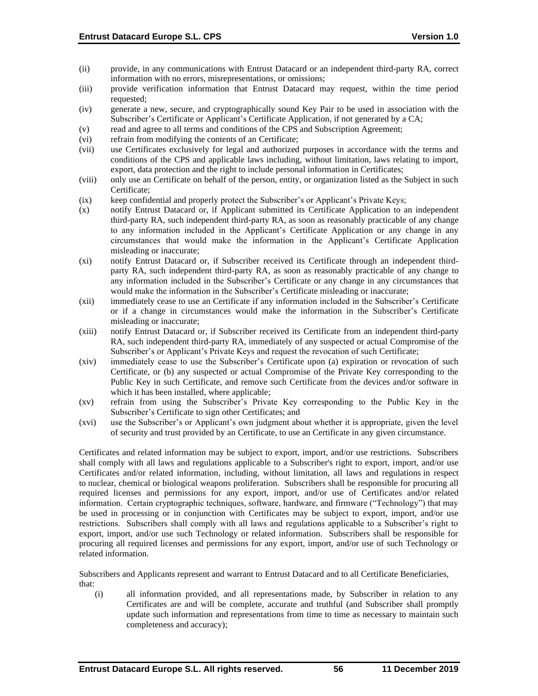- (ii) provide, in any communications with Entrust Datacard or an independent third-party RA, correct information with no errors, misrepresentations, or omissions;
- (iii) provide verification information that Entrust Datacard may request, within the time period requested;
- (iv) generate a new, secure, and cryptographically sound Key Pair to be used in association with the Subscriber's Certificate or Applicant's Certificate Application, if not generated by a CA;
- (v) read and agree to all terms and conditions of the CPS and Subscription Agreement;
- (vi) refrain from modifying the contents of an Certificate;
- (vii) use Certificates exclusively for legal and authorized purposes in accordance with the terms and conditions of the CPS and applicable laws including, without limitation, laws relating to import, export, data protection and the right to include personal information in Certificates;
- (viii) only use an Certificate on behalf of the person, entity, or organization listed as the Subject in such Certificate;
- (ix) keep confidential and properly protect the Subscriber's or Applicant's Private Keys;
- (x) notify Entrust Datacard or, if Applicant submitted its Certificate Application to an independent third-party RA, such independent third-party RA, as soon as reasonably practicable of any change to any information included in the Applicant's Certificate Application or any change in any circumstances that would make the information in the Applicant's Certificate Application misleading or inaccurate;
- (xi) notify Entrust Datacard or, if Subscriber received its Certificate through an independent thirdparty RA, such independent third-party RA, as soon as reasonably practicable of any change to any information included in the Subscriber's Certificate or any change in any circumstances that would make the information in the Subscriber's Certificate misleading or inaccurate;
- (xii) immediately cease to use an Certificate if any information included in the Subscriber's Certificate or if a change in circumstances would make the information in the Subscriber's Certificate misleading or inaccurate;
- (xiii) notify Entrust Datacard or, if Subscriber received its Certificate from an independent third-party RA, such independent third-party RA, immediately of any suspected or actual Compromise of the Subscriber's or Applicant's Private Keys and request the revocation of such Certificate;
- (xiv) immediately cease to use the Subscriber's Certificate upon (a) expiration or revocation of such Certificate, or (b) any suspected or actual Compromise of the Private Key corresponding to the Public Key in such Certificate, and remove such Certificate from the devices and/or software in which it has been installed, where applicable;
- (xv) refrain from using the Subscriber's Private Key corresponding to the Public Key in the Subscriber's Certificate to sign other Certificates; and
- (xvi) use the Subscriber's or Applicant's own judgment about whether it is appropriate, given the level of security and trust provided by an Certificate, to use an Certificate in any given circumstance.

Certificates and related information may be subject to export, import, and/or use restrictions. Subscribers shall comply with all laws and regulations applicable to a Subscriber's right to export, import, and/or use Certificates and/or related information, including, without limitation, all laws and regulations in respect to nuclear, chemical or biological weapons proliferation. Subscribers shall be responsible for procuring all required licenses and permissions for any export, import, and/or use of Certificates and/or related information. Certain cryptographic techniques, software, hardware, and firmware ("Technology") that may be used in processing or in conjunction with Certificates may be subject to export, import, and/or use restrictions. Subscribers shall comply with all laws and regulations applicable to a Subscriber's right to export, import, and/or use such Technology or related information. Subscribers shall be responsible for procuring all required licenses and permissions for any export, import, and/or use of such Technology or related information.

Subscribers and Applicants represent and warrant to Entrust Datacard and to all Certificate Beneficiaries, that:

(i) all information provided, and all representations made, by Subscriber in relation to any Certificates are and will be complete, accurate and truthful (and Subscriber shall promptly update such information and representations from time to time as necessary to maintain such completeness and accuracy);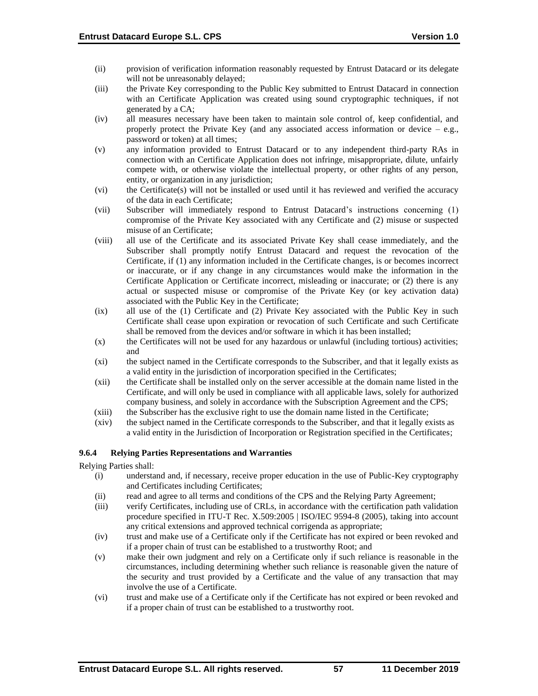- (ii) provision of verification information reasonably requested by Entrust Datacard or its delegate will not be unreasonably delayed;
- (iii) the Private Key corresponding to the Public Key submitted to Entrust Datacard in connection with an Certificate Application was created using sound cryptographic techniques, if not generated by a CA;
- (iv) all measures necessary have been taken to maintain sole control of, keep confidential, and properly protect the Private Key (and any associated access information or device  $-$  e.g., password or token) at all times;
- (v) any information provided to Entrust Datacard or to any independent third-party RAs in connection with an Certificate Application does not infringe, misappropriate, dilute, unfairly compete with, or otherwise violate the intellectual property, or other rights of any person, entity, or organization in any jurisdiction;
- (vi) the Certificate(s) will not be installed or used until it has reviewed and verified the accuracy of the data in each Certificate;
- (vii) Subscriber will immediately respond to Entrust Datacard's instructions concerning (1) compromise of the Private Key associated with any Certificate and (2) misuse or suspected misuse of an Certificate;
- (viii) all use of the Certificate and its associated Private Key shall cease immediately, and the Subscriber shall promptly notify Entrust Datacard and request the revocation of the Certificate, if (1) any information included in the Certificate changes, is or becomes incorrect or inaccurate, or if any change in any circumstances would make the information in the Certificate Application or Certificate incorrect, misleading or inaccurate; or (2) there is any actual or suspected misuse or compromise of the Private Key (or key activation data) associated with the Public Key in the Certificate;
- (ix) all use of the (1) Certificate and (2) Private Key associated with the Public Key in such Certificate shall cease upon expiration or revocation of such Certificate and such Certificate shall be removed from the devices and/or software in which it has been installed;
- (x) the Certificates will not be used for any hazardous or unlawful (including tortious) activities; and
- (xi) the subject named in the Certificate corresponds to the Subscriber, and that it legally exists as a valid entity in the jurisdiction of incorporation specified in the Certificates;
- (xii) the Certificate shall be installed only on the server accessible at the domain name listed in the Certificate, and will only be used in compliance with all applicable laws, solely for authorized company business, and solely in accordance with the Subscription Agreement and the CPS;
- (xiii) the Subscriber has the exclusive right to use the domain name listed in the Certificate;
- (xiv) the subject named in the Certificate corresponds to the Subscriber, and that it legally exists as a valid entity in the Jurisdiction of Incorporation or Registration specified in the Certificates;

# **9.6.4 Relying Parties Representations and Warranties**

Relying Parties shall:

- (i) understand and, if necessary, receive proper education in the use of Public-Key cryptography and Certificates including Certificates;
- (ii) read and agree to all terms and conditions of the CPS and the Relying Party Agreement;
- (iii) verify Certificates, including use of CRLs, in accordance with the certification path validation procedure specified in ITU-T Rec. X.509:2005 | ISO/IEC 9594-8 (2005), taking into account any critical extensions and approved technical corrigenda as appropriate;
- (iv) trust and make use of a Certificate only if the Certificate has not expired or been revoked and if a proper chain of trust can be established to a trustworthy Root; and
- (v) make their own judgment and rely on a Certificate only if such reliance is reasonable in the circumstances, including determining whether such reliance is reasonable given the nature of the security and trust provided by a Certificate and the value of any transaction that may involve the use of a Certificate.
- (vi) trust and make use of a Certificate only if the Certificate has not expired or been revoked and if a proper chain of trust can be established to a trustworthy root.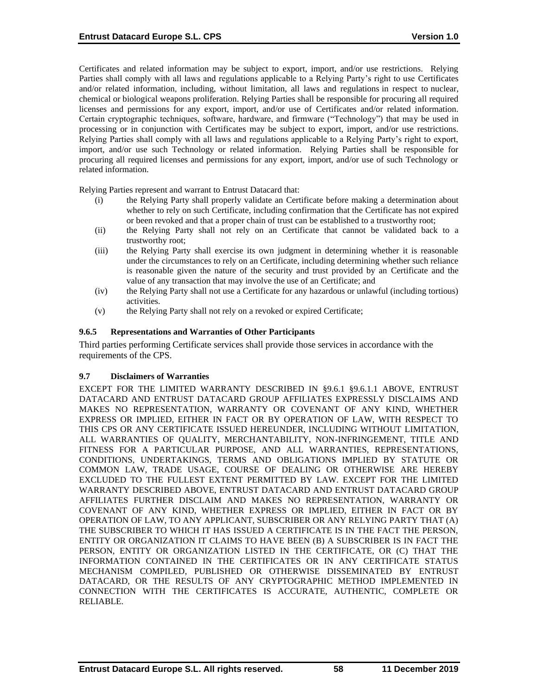Certificates and related information may be subject to export, import, and/or use restrictions. Relying Parties shall comply with all laws and regulations applicable to a Relying Party's right to use Certificates and/or related information, including, without limitation, all laws and regulations in respect to nuclear, chemical or biological weapons proliferation. Relying Parties shall be responsible for procuring all required licenses and permissions for any export, import, and/or use of Certificates and/or related information. Certain cryptographic techniques, software, hardware, and firmware ("Technology") that may be used in processing or in conjunction with Certificates may be subject to export, import, and/or use restrictions. Relying Parties shall comply with all laws and regulations applicable to a Relying Party's right to export, import, and/or use such Technology or related information. Relying Parties shall be responsible for procuring all required licenses and permissions for any export, import, and/or use of such Technology or related information.

Relying Parties represent and warrant to Entrust Datacard that:

- (i) the Relying Party shall properly validate an Certificate before making a determination about whether to rely on such Certificate, including confirmation that the Certificate has not expired or been revoked and that a proper chain of trust can be established to a trustworthy root;
- (ii) the Relying Party shall not rely on an Certificate that cannot be validated back to a trustworthy root;
- (iii) the Relying Party shall exercise its own judgment in determining whether it is reasonable under the circumstances to rely on an Certificate, including determining whether such reliance is reasonable given the nature of the security and trust provided by an Certificate and the value of any transaction that may involve the use of an Certificate; and
- (iv) the Relying Party shall not use a Certificate for any hazardous or unlawful (including tortious) activities.
- (v) the Relying Party shall not rely on a revoked or expired Certificate;

# **9.6.5 Representations and Warranties of Other Participants**

Third parties performing Certificate services shall provide those services in accordance with the requirements of the CPS.

#### **9.7 Disclaimers of Warranties**

EXCEPT FOR THE LIMITED WARRANTY DESCRIBED IN §9.6.1 §9.6.1.1 ABOVE, ENTRUST DATACARD AND ENTRUST DATACARD GROUP AFFILIATES EXPRESSLY DISCLAIMS AND MAKES NO REPRESENTATION, WARRANTY OR COVENANT OF ANY KIND, WHETHER EXPRESS OR IMPLIED, EITHER IN FACT OR BY OPERATION OF LAW, WITH RESPECT TO THIS CPS OR ANY CERTIFICATE ISSUED HEREUNDER, INCLUDING WITHOUT LIMITATION, ALL WARRANTIES OF QUALITY, MERCHANTABILITY, NON-INFRINGEMENT, TITLE AND FITNESS FOR A PARTICULAR PURPOSE, AND ALL WARRANTIES, REPRESENTATIONS, CONDITIONS, UNDERTAKINGS, TERMS AND OBLIGATIONS IMPLIED BY STATUTE OR COMMON LAW, TRADE USAGE, COURSE OF DEALING OR OTHERWISE ARE HEREBY EXCLUDED TO THE FULLEST EXTENT PERMITTED BY LAW. EXCEPT FOR THE LIMITED WARRANTY DESCRIBED ABOVE, ENTRUST DATACARD AND ENTRUST DATACARD GROUP AFFILIATES FURTHER DISCLAIM AND MAKES NO REPRESENTATION, WARRANTY OR COVENANT OF ANY KIND, WHETHER EXPRESS OR IMPLIED, EITHER IN FACT OR BY OPERATION OF LAW, TO ANY APPLICANT, SUBSCRIBER OR ANY RELYING PARTY THAT (A) THE SUBSCRIBER TO WHICH IT HAS ISSUED A CERTIFICATE IS IN THE FACT THE PERSON, ENTITY OR ORGANIZATION IT CLAIMS TO HAVE BEEN (B) A SUBSCRIBER IS IN FACT THE PERSON, ENTITY OR ORGANIZATION LISTED IN THE CERTIFICATE, OR (C) THAT THE INFORMATION CONTAINED IN THE CERTIFICATES OR IN ANY CERTIFICATE STATUS MECHANISM COMPILED, PUBLISHED OR OTHERWISE DISSEMINATED BY ENTRUST DATACARD, OR THE RESULTS OF ANY CRYPTOGRAPHIC METHOD IMPLEMENTED IN CONNECTION WITH THE CERTIFICATES IS ACCURATE, AUTHENTIC, COMPLETE OR RELIABLE.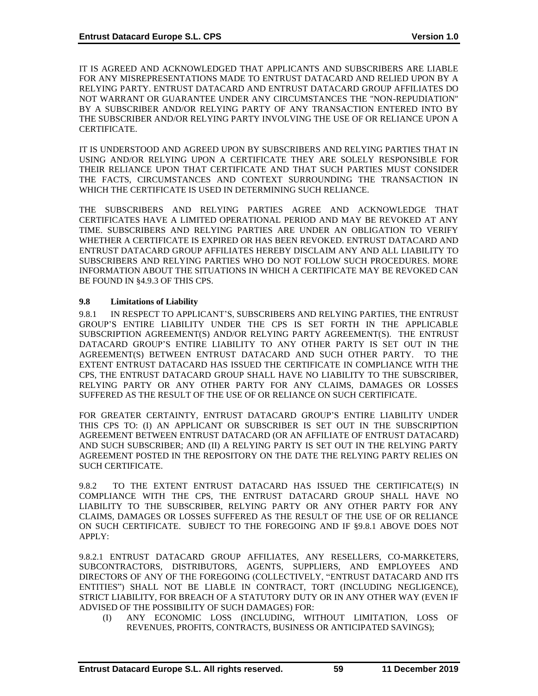IT IS AGREED AND ACKNOWLEDGED THAT APPLICANTS AND SUBSCRIBERS ARE LIABLE FOR ANY MISREPRESENTATIONS MADE TO ENTRUST DATACARD AND RELIED UPON BY A RELYING PARTY. ENTRUST DATACARD AND ENTRUST DATACARD GROUP AFFILIATES DO NOT WARRANT OR GUARANTEE UNDER ANY CIRCUMSTANCES THE "NON-REPUDIATION" BY A SUBSCRIBER AND/OR RELYING PARTY OF ANY TRANSACTION ENTERED INTO BY THE SUBSCRIBER AND/OR RELYING PARTY INVOLVING THE USE OF OR RELIANCE UPON A CERTIFICATE.

IT IS UNDERSTOOD AND AGREED UPON BY SUBSCRIBERS AND RELYING PARTIES THAT IN USING AND/OR RELYING UPON A CERTIFICATE THEY ARE SOLELY RESPONSIBLE FOR THEIR RELIANCE UPON THAT CERTIFICATE AND THAT SUCH PARTIES MUST CONSIDER THE FACTS, CIRCUMSTANCES AND CONTEXT SURROUNDING THE TRANSACTION IN WHICH THE CERTIFICATE IS USED IN DETERMINING SUCH RELIANCE.

THE SUBSCRIBERS AND RELYING PARTIES AGREE AND ACKNOWLEDGE THAT CERTIFICATES HAVE A LIMITED OPERATIONAL PERIOD AND MAY BE REVOKED AT ANY TIME. SUBSCRIBERS AND RELYING PARTIES ARE UNDER AN OBLIGATION TO VERIFY WHETHER A CERTIFICATE IS EXPIRED OR HAS BEEN REVOKED. ENTRUST DATACARD AND ENTRUST DATACARD GROUP AFFILIATES HEREBY DISCLAIM ANY AND ALL LIABILITY TO SUBSCRIBERS AND RELYING PARTIES WHO DO NOT FOLLOW SUCH PROCEDURES. MORE INFORMATION ABOUT THE SITUATIONS IN WHICH A CERTIFICATE MAY BE REVOKED CAN BE FOUND IN §4.9.3 OF THIS CPS.

# **9.8 Limitations of Liability**

9.8.1 IN RESPECT TO APPLICANT'S, SUBSCRIBERS AND RELYING PARTIES, THE ENTRUST GROUP'S ENTIRE LIABILITY UNDER THE CPS IS SET FORTH IN THE APPLICABLE SUBSCRIPTION AGREEMENT(S) AND/OR RELYING PARTY AGREEMENT(S). THE ENTRUST DATACARD GROUP'S ENTIRE LIABILITY TO ANY OTHER PARTY IS SET OUT IN THE AGREEMENT(S) BETWEEN ENTRUST DATACARD AND SUCH OTHER PARTY. TO THE EXTENT ENTRUST DATACARD HAS ISSUED THE CERTIFICATE IN COMPLIANCE WITH THE CPS, THE ENTRUST DATACARD GROUP SHALL HAVE NO LIABILITY TO THE SUBSCRIBER, RELYING PARTY OR ANY OTHER PARTY FOR ANY CLAIMS, DAMAGES OR LOSSES SUFFERED AS THE RESULT OF THE USE OF OR RELIANCE ON SUCH CERTIFICATE.

FOR GREATER CERTAINTY, ENTRUST DATACARD GROUP'S ENTIRE LIABILITY UNDER THIS CPS TO: (I) AN APPLICANT OR SUBSCRIBER IS SET OUT IN THE SUBSCRIPTION AGREEMENT BETWEEN ENTRUST DATACARD (OR AN AFFILIATE OF ENTRUST DATACARD) AND SUCH SUBSCRIBER; AND (II) A RELYING PARTY IS SET OUT IN THE RELYING PARTY AGREEMENT POSTED IN THE REPOSITORY ON THE DATE THE RELYING PARTY RELIES ON SUCH CERTIFICATE.

9.8.2 TO THE EXTENT ENTRUST DATACARD HAS ISSUED THE CERTIFICATE(S) IN COMPLIANCE WITH THE CPS, THE ENTRUST DATACARD GROUP SHALL HAVE NO LIABILITY TO THE SUBSCRIBER, RELYING PARTY OR ANY OTHER PARTY FOR ANY CLAIMS, DAMAGES OR LOSSES SUFFERED AS THE RESULT OF THE USE OF OR RELIANCE ON SUCH CERTIFICATE. SUBJECT TO THE FOREGOING AND IF §9.8.1 ABOVE DOES NOT APPLY:

9.8.2.1 ENTRUST DATACARD GROUP AFFILIATES, ANY RESELLERS, CO-MARKETERS, SUBCONTRACTORS, DISTRIBUTORS, AGENTS, SUPPLIERS, AND EMPLOYEES AND DIRECTORS OF ANY OF THE FOREGOING (COLLECTIVELY, "ENTRUST DATACARD AND ITS ENTITIES") SHALL NOT BE LIABLE IN CONTRACT, TORT (INCLUDING NEGLIGENCE), STRICT LIABILITY, FOR BREACH OF A STATUTORY DUTY OR IN ANY OTHER WAY (EVEN IF ADVISED OF THE POSSIBILITY OF SUCH DAMAGES) FOR:

(I) ANY ECONOMIC LOSS (INCLUDING, WITHOUT LIMITATION, LOSS OF REVENUES, PROFITS, CONTRACTS, BUSINESS OR ANTICIPATED SAVINGS);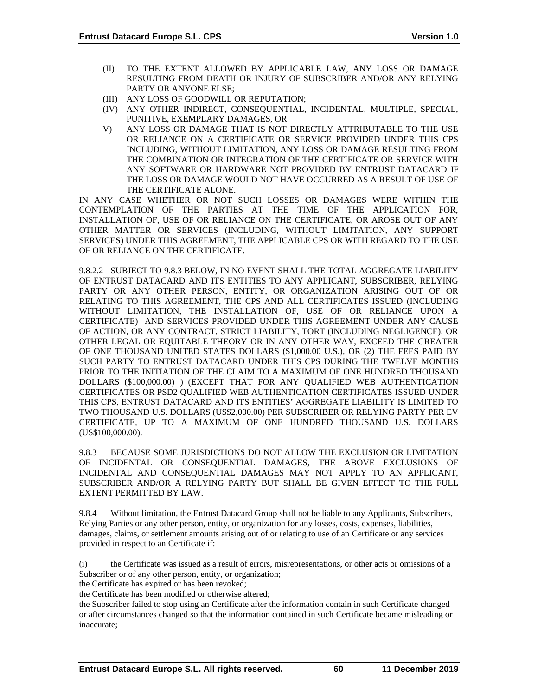- (II) TO THE EXTENT ALLOWED BY APPLICABLE LAW, ANY LOSS OR DAMAGE RESULTING FROM DEATH OR INJURY OF SUBSCRIBER AND/OR ANY RELYING PARTY OR ANYONE ELSE;
- (III) ANY LOSS OF GOODWILL OR REPUTATION;
- (IV) ANY OTHER INDIRECT, CONSEQUENTIAL, INCIDENTAL, MULTIPLE, SPECIAL, PUNITIVE, EXEMPLARY DAMAGES, OR
- V) ANY LOSS OR DAMAGE THAT IS NOT DIRECTLY ATTRIBUTABLE TO THE USE OR RELIANCE ON A CERTIFICATE OR SERVICE PROVIDED UNDER THIS CPS INCLUDING, WITHOUT LIMITATION, ANY LOSS OR DAMAGE RESULTING FROM THE COMBINATION OR INTEGRATION OF THE CERTIFICATE OR SERVICE WITH ANY SOFTWARE OR HARDWARE NOT PROVIDED BY ENTRUST DATACARD IF THE LOSS OR DAMAGE WOULD NOT HAVE OCCURRED AS A RESULT OF USE OF THE CERTIFICATE ALONE.

IN ANY CASE WHETHER OR NOT SUCH LOSSES OR DAMAGES WERE WITHIN THE CONTEMPLATION OF THE PARTIES AT THE TIME OF THE APPLICATION FOR, INSTALLATION OF, USE OF OR RELIANCE ON THE CERTIFICATE, OR AROSE OUT OF ANY OTHER MATTER OR SERVICES (INCLUDING, WITHOUT LIMITATION, ANY SUPPORT SERVICES) UNDER THIS AGREEMENT, THE APPLICABLE CPS OR WITH REGARD TO THE USE OF OR RELIANCE ON THE CERTIFICATE.

9.8.2.2 SUBJECT TO 9.8.3 BELOW, IN NO EVENT SHALL THE TOTAL AGGREGATE LIABILITY OF ENTRUST DATACARD AND ITS ENTITIES TO ANY APPLICANT, SUBSCRIBER, RELYING PARTY OR ANY OTHER PERSON, ENTITY, OR ORGANIZATION ARISING OUT OF OR RELATING TO THIS AGREEMENT, THE CPS AND ALL CERTIFICATES ISSUED (INCLUDING WITHOUT LIMITATION, THE INSTALLATION OF, USE OF OR RELIANCE UPON A CERTIFICATE) AND SERVICES PROVIDED UNDER THIS AGREEMENT UNDER ANY CAUSE OF ACTION, OR ANY CONTRACT, STRICT LIABILITY, TORT (INCLUDING NEGLIGENCE), OR OTHER LEGAL OR EQUITABLE THEORY OR IN ANY OTHER WAY, EXCEED THE GREATER OF ONE THOUSAND UNITED STATES DOLLARS (\$1,000.00 U.S.), OR (2) THE FEES PAID BY SUCH PARTY TO ENTRUST DATACARD UNDER THIS CPS DURING THE TWELVE MONTHS PRIOR TO THE INITIATION OF THE CLAIM TO A MAXIMUM OF ONE HUNDRED THOUSAND DOLLARS (\$100,000.00) ) (EXCEPT THAT FOR ANY QUALIFIED WEB AUTHENTICATION CERTIFICATES OR PSD2 QUALIFIED WEB AUTHENTICATION CERTIFICATES ISSUED UNDER THIS CPS, ENTRUST DATACARD AND ITS ENTITIES' AGGREGATE LIABILITY IS LIMITED TO TWO THOUSAND U.S. DOLLARS (US\$2,000.00) PER SUBSCRIBER OR RELYING PARTY PER EV CERTIFICATE, UP TO A MAXIMUM OF ONE HUNDRED THOUSAND U.S. DOLLARS (US\$100,000.00).

9.8.3 BECAUSE SOME JURISDICTIONS DO NOT ALLOW THE EXCLUSION OR LIMITATION OF INCIDENTAL OR CONSEQUENTIAL DAMAGES, THE ABOVE EXCLUSIONS OF INCIDENTAL AND CONSEQUENTIAL DAMAGES MAY NOT APPLY TO AN APPLICANT, SUBSCRIBER AND/OR A RELYING PARTY BUT SHALL BE GIVEN EFFECT TO THE FULL EXTENT PERMITTED BY LAW.

9.8.4 Without limitation, the Entrust Datacard Group shall not be liable to any Applicants, Subscribers, Relying Parties or any other person, entity, or organization for any losses, costs, expenses, liabilities, damages, claims, or settlement amounts arising out of or relating to use of an Certificate or any services provided in respect to an Certificate if:

(i) the Certificate was issued as a result of errors, misrepresentations, or other acts or omissions of a Subscriber or of any other person, entity, or organization;

the Certificate has expired or has been revoked;

the Certificate has been modified or otherwise altered;

the Subscriber failed to stop using an Certificate after the information contain in such Certificate changed or after circumstances changed so that the information contained in such Certificate became misleading or inaccurate;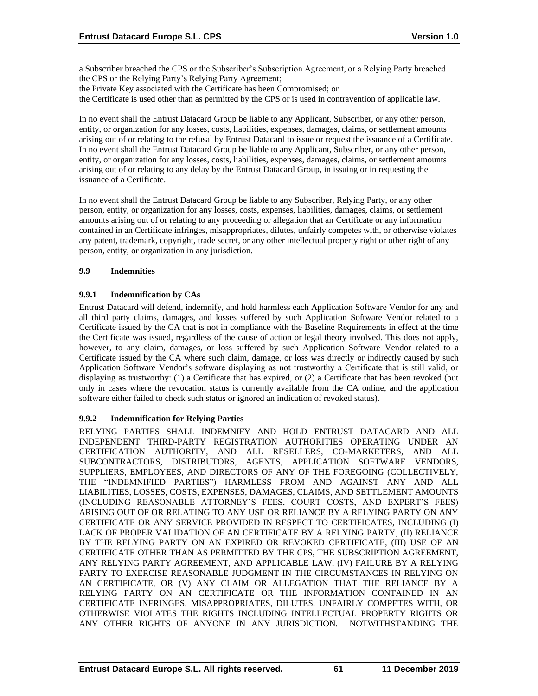a Subscriber breached the CPS or the Subscriber's Subscription Agreement, or a Relying Party breached the CPS or the Relying Party's Relying Party Agreement;

the Private Key associated with the Certificate has been Compromised; or

the Certificate is used other than as permitted by the CPS or is used in contravention of applicable law.

In no event shall the Entrust Datacard Group be liable to any Applicant, Subscriber, or any other person, entity, or organization for any losses, costs, liabilities, expenses, damages, claims, or settlement amounts arising out of or relating to the refusal by Entrust Datacard to issue or request the issuance of a Certificate. In no event shall the Entrust Datacard Group be liable to any Applicant, Subscriber, or any other person, entity, or organization for any losses, costs, liabilities, expenses, damages, claims, or settlement amounts arising out of or relating to any delay by the Entrust Datacard Group, in issuing or in requesting the issuance of a Certificate.

In no event shall the Entrust Datacard Group be liable to any Subscriber, Relying Party, or any other person, entity, or organization for any losses, costs, expenses, liabilities, damages, claims, or settlement amounts arising out of or relating to any proceeding or allegation that an Certificate or any information contained in an Certificate infringes, misappropriates, dilutes, unfairly competes with, or otherwise violates any patent, trademark, copyright, trade secret, or any other intellectual property right or other right of any person, entity, or organization in any jurisdiction.

#### **9.9 Indemnities**

### **9.9.1 Indemnification by CAs**

Entrust Datacard will defend, indemnify, and hold harmless each Application Software Vendor for any and all third party claims, damages, and losses suffered by such Application Software Vendor related to a Certificate issued by the CA that is not in compliance with the Baseline Requirements in effect at the time the Certificate was issued, regardless of the cause of action or legal theory involved. This does not apply, however, to any claim, damages, or loss suffered by such Application Software Vendor related to a Certificate issued by the CA where such claim, damage, or loss was directly or indirectly caused by such Application Software Vendor's software displaying as not trustworthy a Certificate that is still valid, or displaying as trustworthy: (1) a Certificate that has expired, or (2) a Certificate that has been revoked (but only in cases where the revocation status is currently available from the CA online, and the application software either failed to check such status or ignored an indication of revoked status).

# **9.9.2 Indemnification for Relying Parties**

RELYING PARTIES SHALL INDEMNIFY AND HOLD ENTRUST DATACARD AND ALL INDEPENDENT THIRD-PARTY REGISTRATION AUTHORITIES OPERATING UNDER AN CERTIFICATION AUTHORITY, AND ALL RESELLERS, CO-MARKETERS, AND ALL SUBCONTRACTORS, DISTRIBUTORS, AGENTS, APPLICATION SOFTWARE VENDORS, SUPPLIERS, EMPLOYEES, AND DIRECTORS OF ANY OF THE FOREGOING (COLLECTIVELY, THE "INDEMNIFIED PARTIES") HARMLESS FROM AND AGAINST ANY AND ALL LIABILITIES, LOSSES, COSTS, EXPENSES, DAMAGES, CLAIMS, AND SETTLEMENT AMOUNTS (INCLUDING REASONABLE ATTORNEY'S FEES, COURT COSTS, AND EXPERT'S FEES) ARISING OUT OF OR RELATING TO ANY USE OR RELIANCE BY A RELYING PARTY ON ANY CERTIFICATE OR ANY SERVICE PROVIDED IN RESPECT TO CERTIFICATES, INCLUDING (I) LACK OF PROPER VALIDATION OF AN CERTIFICATE BY A RELYING PARTY, (II) RELIANCE BY THE RELYING PARTY ON AN EXPIRED OR REVOKED CERTIFICATE, (III) USE OF AN CERTIFICATE OTHER THAN AS PERMITTED BY THE CPS, THE SUBSCRIPTION AGREEMENT, ANY RELYING PARTY AGREEMENT, AND APPLICABLE LAW, (IV) FAILURE BY A RELYING PARTY TO EXERCISE REASONABLE JUDGMENT IN THE CIRCUMSTANCES IN RELYING ON AN CERTIFICATE, OR (V) ANY CLAIM OR ALLEGATION THAT THE RELIANCE BY A RELYING PARTY ON AN CERTIFICATE OR THE INFORMATION CONTAINED IN AN CERTIFICATE INFRINGES, MISAPPROPRIATES, DILUTES, UNFAIRLY COMPETES WITH, OR OTHERWISE VIOLATES THE RIGHTS INCLUDING INTELLECTUAL PROPERTY RIGHTS OR ANY OTHER RIGHTS OF ANYONE IN ANY JURISDICTION. NOTWITHSTANDING THE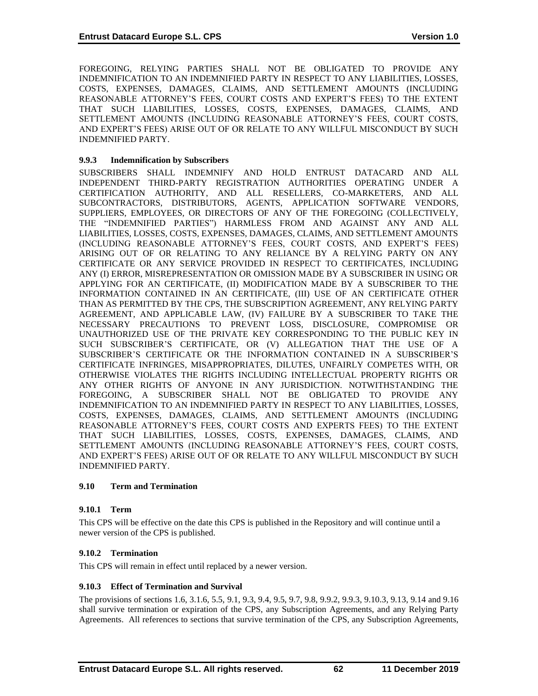FOREGOING, RELYING PARTIES SHALL NOT BE OBLIGATED TO PROVIDE ANY INDEMNIFICATION TO AN INDEMNIFIED PARTY IN RESPECT TO ANY LIABILITIES, LOSSES, COSTS, EXPENSES, DAMAGES, CLAIMS, AND SETTLEMENT AMOUNTS (INCLUDING REASONABLE ATTORNEY'S FEES, COURT COSTS AND EXPERT'S FEES) TO THE EXTENT THAT SUCH LIABILITIES, LOSSES, COSTS, EXPENSES, DAMAGES, CLAIMS, AND SETTLEMENT AMOUNTS (INCLUDING REASONABLE ATTORNEY'S FEES, COURT COSTS, AND EXPERT'S FEES) ARISE OUT OF OR RELATE TO ANY WILLFUL MISCONDUCT BY SUCH INDEMNIFIED PARTY.

# **9.9.3 Indemnification by Subscribers**

SUBSCRIBERS SHALL INDEMNIFY AND HOLD ENTRUST DATACARD AND ALL INDEPENDENT THIRD-PARTY REGISTRATION AUTHORITIES OPERATING UNDER A CERTIFICATION AUTHORITY, AND ALL RESELLERS, CO-MARKETERS, AND ALL SUBCONTRACTORS, DISTRIBUTORS, AGENTS, APPLICATION SOFTWARE VENDORS, SUPPLIERS, EMPLOYEES, OR DIRECTORS OF ANY OF THE FOREGOING (COLLECTIVELY, THE "INDEMNIFIED PARTIES") HARMLESS FROM AND AGAINST ANY AND ALL LIABILITIES, LOSSES, COSTS, EXPENSES, DAMAGES, CLAIMS, AND SETTLEMENT AMOUNTS (INCLUDING REASONABLE ATTORNEY'S FEES, COURT COSTS, AND EXPERT'S FEES) ARISING OUT OF OR RELATING TO ANY RELIANCE BY A RELYING PARTY ON ANY CERTIFICATE OR ANY SERVICE PROVIDED IN RESPECT TO CERTIFICATES, INCLUDING ANY (I) ERROR, MISREPRESENTATION OR OMISSION MADE BY A SUBSCRIBER IN USING OR APPLYING FOR AN CERTIFICATE, (II) MODIFICATION MADE BY A SUBSCRIBER TO THE INFORMATION CONTAINED IN AN CERTIFICATE, (III) USE OF AN CERTIFICATE OTHER THAN AS PERMITTED BY THE CPS, THE SUBSCRIPTION AGREEMENT, ANY RELYING PARTY AGREEMENT, AND APPLICABLE LAW, (IV) FAILURE BY A SUBSCRIBER TO TAKE THE NECESSARY PRECAUTIONS TO PREVENT LOSS, DISCLOSURE, COMPROMISE OR UNAUTHORIZED USE OF THE PRIVATE KEY CORRESPONDING TO THE PUBLIC KEY IN SUCH SUBSCRIBER'S CERTIFICATE, OR (V) ALLEGATION THAT THE USE OF A SUBSCRIBER'S CERTIFICATE OR THE INFORMATION CONTAINED IN A SUBSCRIBER'S CERTIFICATE INFRINGES, MISAPPROPRIATES, DILUTES, UNFAIRLY COMPETES WITH, OR OTHERWISE VIOLATES THE RIGHTS INCLUDING INTELLECTUAL PROPERTY RIGHTS OR ANY OTHER RIGHTS OF ANYONE IN ANY JURISDICTION. NOTWITHSTANDING THE FOREGOING, A SUBSCRIBER SHALL NOT BE OBLIGATED TO PROVIDE ANY INDEMNIFICATION TO AN INDEMNIFIED PARTY IN RESPECT TO ANY LIABILITIES, LOSSES, COSTS, EXPENSES, DAMAGES, CLAIMS, AND SETTLEMENT AMOUNTS (INCLUDING REASONABLE ATTORNEY'S FEES, COURT COSTS AND EXPERTS FEES) TO THE EXTENT THAT SUCH LIABILITIES, LOSSES, COSTS, EXPENSES, DAMAGES, CLAIMS, AND SETTLEMENT AMOUNTS (INCLUDING REASONABLE ATTORNEY'S FEES, COURT COSTS, AND EXPERT'S FEES) ARISE OUT OF OR RELATE TO ANY WILLFUL MISCONDUCT BY SUCH INDEMNIFIED PARTY.

# **9.10 Term and Termination**

# **9.10.1 Term**

This CPS will be effective on the date this CPS is published in the Repository and will continue until a newer version of the CPS is published.

# **9.10.2 Termination**

This CPS will remain in effect until replaced by a newer version.

# **9.10.3 Effect of Termination and Survival**

The provisions of sections 1.6, 3.1.6, 5.5, 9.1, 9.3, 9.4, 9.5, 9.7, 9.8, 9.9.2, 9.9.3, 9.10.3, 9.13, 9.14 and 9.16 shall survive termination or expiration of the CPS, any Subscription Agreements, and any Relying Party Agreements. All references to sections that survive termination of the CPS, any Subscription Agreements,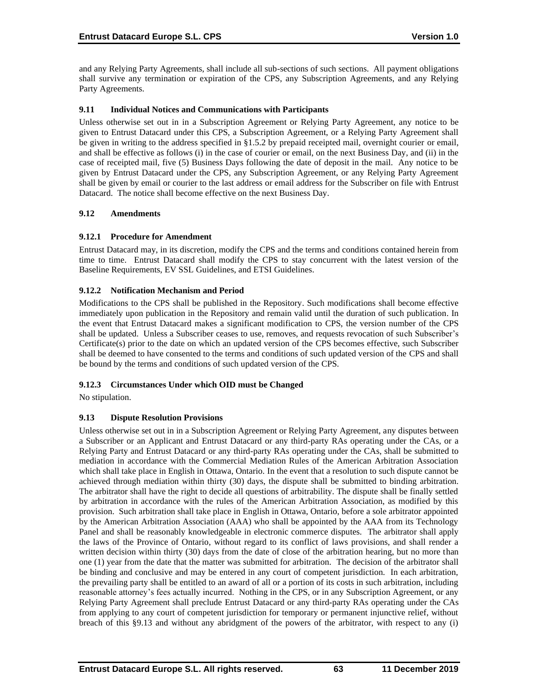and any Relying Party Agreements, shall include all sub-sections of such sections. All payment obligations shall survive any termination or expiration of the CPS, any Subscription Agreements, and any Relying Party Agreements.

## **9.11 Individual Notices and Communications with Participants**

Unless otherwise set out in in a Subscription Agreement or Relying Party Agreement, any notice to be given to Entrust Datacard under this CPS, a Subscription Agreement, or a Relying Party Agreement shall be given in writing to the address specified in §1.5.2 by prepaid receipted mail, overnight courier or email, and shall be effective as follows (i) in the case of courier or email, on the next Business Day, and (ii) in the case of receipted mail, five (5) Business Days following the date of deposit in the mail. Any notice to be given by Entrust Datacard under the CPS, any Subscription Agreement, or any Relying Party Agreement shall be given by email or courier to the last address or email address for the Subscriber on file with Entrust Datacard. The notice shall become effective on the next Business Day.

#### **9.12 Amendments**

### **9.12.1 Procedure for Amendment**

Entrust Datacard may, in its discretion, modify the CPS and the terms and conditions contained herein from time to time. Entrust Datacard shall modify the CPS to stay concurrent with the latest version of the Baseline Requirements, EV SSL Guidelines, and ETSI Guidelines.

### **9.12.2 Notification Mechanism and Period**

Modifications to the CPS shall be published in the Repository. Such modifications shall become effective immediately upon publication in the Repository and remain valid until the duration of such publication. In the event that Entrust Datacard makes a significant modification to CPS, the version number of the CPS shall be updated. Unless a Subscriber ceases to use, removes, and requests revocation of such Subscriber's Certificate(s) prior to the date on which an updated version of the CPS becomes effective, such Subscriber shall be deemed to have consented to the terms and conditions of such updated version of the CPS and shall be bound by the terms and conditions of such updated version of the CPS.

# **9.12.3 Circumstances Under which OID must be Changed**

No stipulation.

# **9.13 Dispute Resolution Provisions**

Unless otherwise set out in in a Subscription Agreement or Relying Party Agreement, any disputes between a Subscriber or an Applicant and Entrust Datacard or any third-party RAs operating under the CAs, or a Relying Party and Entrust Datacard or any third-party RAs operating under the CAs, shall be submitted to mediation in accordance with the Commercial Mediation Rules of the American Arbitration Association which shall take place in English in Ottawa, Ontario. In the event that a resolution to such dispute cannot be achieved through mediation within thirty (30) days, the dispute shall be submitted to binding arbitration. The arbitrator shall have the right to decide all questions of arbitrability. The dispute shall be finally settled by arbitration in accordance with the rules of the American Arbitration Association, as modified by this provision. Such arbitration shall take place in English in Ottawa, Ontario, before a sole arbitrator appointed by the American Arbitration Association (AAA) who shall be appointed by the AAA from its Technology Panel and shall be reasonably knowledgeable in electronic commerce disputes. The arbitrator shall apply the laws of the Province of Ontario, without regard to its conflict of laws provisions, and shall render a written decision within thirty (30) days from the date of close of the arbitration hearing, but no more than one (1) year from the date that the matter was submitted for arbitration. The decision of the arbitrator shall be binding and conclusive and may be entered in any court of competent jurisdiction. In each arbitration, the prevailing party shall be entitled to an award of all or a portion of its costs in such arbitration, including reasonable attorney's fees actually incurred. Nothing in the CPS, or in any Subscription Agreement, or any Relying Party Agreement shall preclude Entrust Datacard or any third-party RAs operating under the CAs from applying to any court of competent jurisdiction for temporary or permanent injunctive relief, without breach of this §9.13 and without any abridgment of the powers of the arbitrator, with respect to any (i)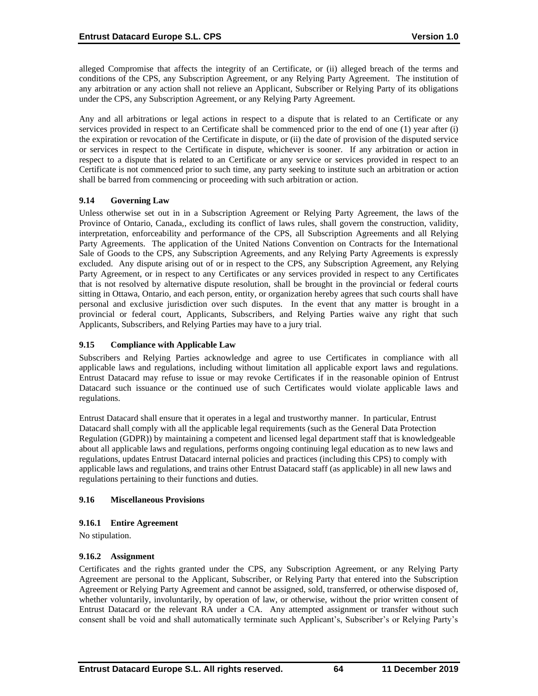alleged Compromise that affects the integrity of an Certificate, or (ii) alleged breach of the terms and conditions of the CPS, any Subscription Agreement, or any Relying Party Agreement. The institution of any arbitration or any action shall not relieve an Applicant, Subscriber or Relying Party of its obligations under the CPS, any Subscription Agreement, or any Relying Party Agreement.

Any and all arbitrations or legal actions in respect to a dispute that is related to an Certificate or any services provided in respect to an Certificate shall be commenced prior to the end of one (1) year after (i) the expiration or revocation of the Certificate in dispute, or (ii) the date of provision of the disputed service or services in respect to the Certificate in dispute, whichever is sooner. If any arbitration or action in respect to a dispute that is related to an Certificate or any service or services provided in respect to an Certificate is not commenced prior to such time, any party seeking to institute such an arbitration or action shall be barred from commencing or proceeding with such arbitration or action.

### **9.14 Governing Law**

Unless otherwise set out in in a Subscription Agreement or Relying Party Agreement, the laws of the Province of Ontario, Canada,, excluding its conflict of laws rules, shall govern the construction, validity, interpretation, enforceability and performance of the CPS, all Subscription Agreements and all Relying Party Agreements. The application of the United Nations Convention on Contracts for the International Sale of Goods to the CPS, any Subscription Agreements, and any Relying Party Agreements is expressly excluded. Any dispute arising out of or in respect to the CPS, any Subscription Agreement, any Relying Party Agreement, or in respect to any Certificates or any services provided in respect to any Certificates that is not resolved by alternative dispute resolution, shall be brought in the provincial or federal courts sitting in Ottawa, Ontario, and each person, entity, or organization hereby agrees that such courts shall have personal and exclusive jurisdiction over such disputes. In the event that any matter is brought in a provincial or federal court, Applicants, Subscribers, and Relying Parties waive any right that such Applicants, Subscribers, and Relying Parties may have to a jury trial.

# **9.15 Compliance with Applicable Law**

Subscribers and Relying Parties acknowledge and agree to use Certificates in compliance with all applicable laws and regulations, including without limitation all applicable export laws and regulations. Entrust Datacard may refuse to issue or may revoke Certificates if in the reasonable opinion of Entrust Datacard such issuance or the continued use of such Certificates would violate applicable laws and regulations.

Entrust Datacard shall ensure that it operates in a legal and trustworthy manner. In particular, Entrust Datacard shall comply with all the applicable legal requirements (such as the General Data Protection Regulation (GDPR)) by maintaining a competent and licensed legal department staff that is knowledgeable about all applicable laws and regulations, performs ongoing continuing legal education as to new laws and regulations, updates Entrust Datacard internal policies and practices (including this CPS) to comply with applicable laws and regulations, and trains other Entrust Datacard staff (as applicable) in all new laws and regulations pertaining to their functions and duties.

### **9.16 Miscellaneous Provisions**

### **9.16.1 Entire Agreement**

No stipulation.

### **9.16.2 Assignment**

Certificates and the rights granted under the CPS, any Subscription Agreement, or any Relying Party Agreement are personal to the Applicant, Subscriber, or Relying Party that entered into the Subscription Agreement or Relying Party Agreement and cannot be assigned, sold, transferred, or otherwise disposed of, whether voluntarily, involuntarily, by operation of law, or otherwise, without the prior written consent of Entrust Datacard or the relevant RA under a CA. Any attempted assignment or transfer without such consent shall be void and shall automatically terminate such Applicant's, Subscriber's or Relying Party's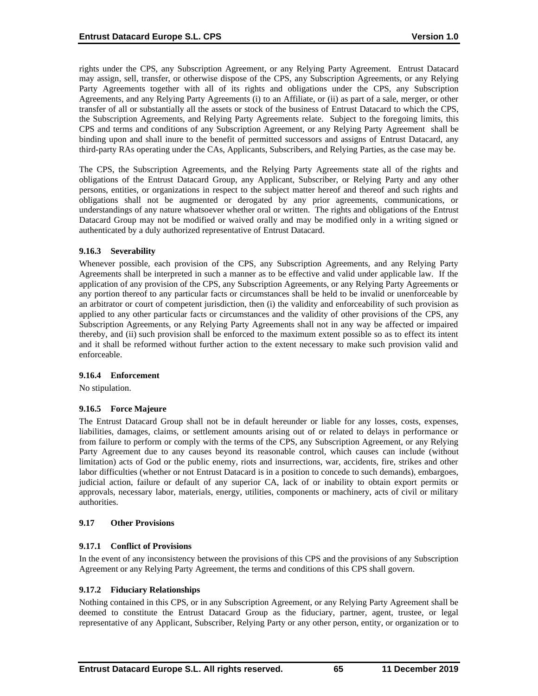rights under the CPS, any Subscription Agreement, or any Relying Party Agreement. Entrust Datacard may assign, sell, transfer, or otherwise dispose of the CPS, any Subscription Agreements, or any Relying Party Agreements together with all of its rights and obligations under the CPS, any Subscription Agreements, and any Relying Party Agreements (i) to an Affiliate, or (ii) as part of a sale, merger, or other transfer of all or substantially all the assets or stock of the business of Entrust Datacard to which the CPS, the Subscription Agreements, and Relying Party Agreements relate. Subject to the foregoing limits, this CPS and terms and conditions of any Subscription Agreement, or any Relying Party Agreement shall be binding upon and shall inure to the benefit of permitted successors and assigns of Entrust Datacard, any third-party RAs operating under the CAs, Applicants, Subscribers, and Relying Parties, as the case may be.

The CPS, the Subscription Agreements, and the Relying Party Agreements state all of the rights and obligations of the Entrust Datacard Group, any Applicant, Subscriber, or Relying Party and any other persons, entities, or organizations in respect to the subject matter hereof and thereof and such rights and obligations shall not be augmented or derogated by any prior agreements, communications, or understandings of any nature whatsoever whether oral or written. The rights and obligations of the Entrust Datacard Group may not be modified or waived orally and may be modified only in a writing signed or authenticated by a duly authorized representative of Entrust Datacard.

### **9.16.3 Severability**

Whenever possible, each provision of the CPS, any Subscription Agreements, and any Relying Party Agreements shall be interpreted in such a manner as to be effective and valid under applicable law. If the application of any provision of the CPS, any Subscription Agreements, or any Relying Party Agreements or any portion thereof to any particular facts or circumstances shall be held to be invalid or unenforceable by an arbitrator or court of competent jurisdiction, then (i) the validity and enforceability of such provision as applied to any other particular facts or circumstances and the validity of other provisions of the CPS, any Subscription Agreements, or any Relying Party Agreements shall not in any way be affected or impaired thereby, and (ii) such provision shall be enforced to the maximum extent possible so as to effect its intent and it shall be reformed without further action to the extent necessary to make such provision valid and enforceable.

#### **9.16.4 Enforcement**

No stipulation.

#### **9.16.5 Force Majeure**

The Entrust Datacard Group shall not be in default hereunder or liable for any losses, costs, expenses, liabilities, damages, claims, or settlement amounts arising out of or related to delays in performance or from failure to perform or comply with the terms of the CPS, any Subscription Agreement, or any Relying Party Agreement due to any causes beyond its reasonable control, which causes can include (without limitation) acts of God or the public enemy, riots and insurrections, war, accidents, fire, strikes and other labor difficulties (whether or not Entrust Datacard is in a position to concede to such demands), embargoes, judicial action, failure or default of any superior CA, lack of or inability to obtain export permits or approvals, necessary labor, materials, energy, utilities, components or machinery, acts of civil or military authorities.

#### **9.17 Other Provisions**

### **9.17.1 Conflict of Provisions**

In the event of any inconsistency between the provisions of this CPS and the provisions of any Subscription Agreement or any Relying Party Agreement, the terms and conditions of this CPS shall govern.

#### **9.17.2 Fiduciary Relationships**

Nothing contained in this CPS, or in any Subscription Agreement, or any Relying Party Agreement shall be deemed to constitute the Entrust Datacard Group as the fiduciary, partner, agent, trustee, or legal representative of any Applicant, Subscriber, Relying Party or any other person, entity, or organization or to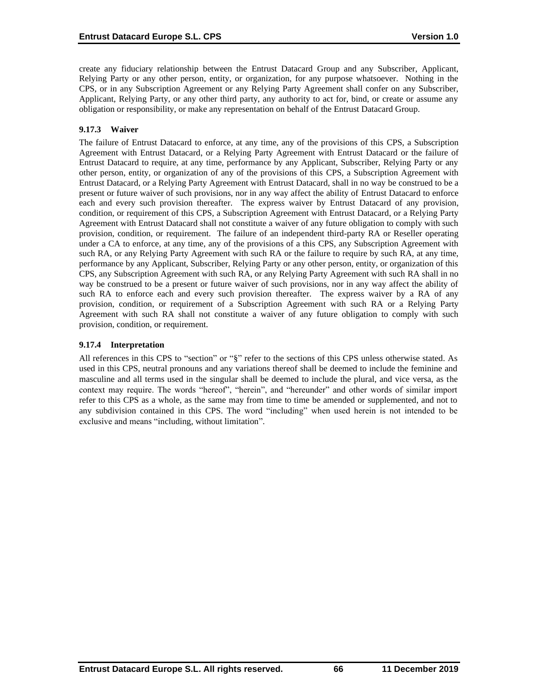create any fiduciary relationship between the Entrust Datacard Group and any Subscriber, Applicant, Relying Party or any other person, entity, or organization, for any purpose whatsoever. Nothing in the CPS, or in any Subscription Agreement or any Relying Party Agreement shall confer on any Subscriber, Applicant, Relying Party, or any other third party, any authority to act for, bind, or create or assume any obligation or responsibility, or make any representation on behalf of the Entrust Datacard Group.

# **9.17.3 Waiver**

The failure of Entrust Datacard to enforce, at any time, any of the provisions of this CPS, a Subscription Agreement with Entrust Datacard, or a Relying Party Agreement with Entrust Datacard or the failure of Entrust Datacard to require, at any time, performance by any Applicant, Subscriber, Relying Party or any other person, entity, or organization of any of the provisions of this CPS, a Subscription Agreement with Entrust Datacard, or a Relying Party Agreement with Entrust Datacard, shall in no way be construed to be a present or future waiver of such provisions, nor in any way affect the ability of Entrust Datacard to enforce each and every such provision thereafter. The express waiver by Entrust Datacard of any provision, condition, or requirement of this CPS, a Subscription Agreement with Entrust Datacard, or a Relying Party Agreement with Entrust Datacard shall not constitute a waiver of any future obligation to comply with such provision, condition, or requirement. The failure of an independent third-party RA or Reseller operating under a CA to enforce, at any time, any of the provisions of a this CPS, any Subscription Agreement with such RA, or any Relying Party Agreement with such RA or the failure to require by such RA, at any time, performance by any Applicant, Subscriber, Relying Party or any other person, entity, or organization of this CPS, any Subscription Agreement with such RA, or any Relying Party Agreement with such RA shall in no way be construed to be a present or future waiver of such provisions, nor in any way affect the ability of such RA to enforce each and every such provision thereafter. The express waiver by a RA of any provision, condition, or requirement of a Subscription Agreement with such RA or a Relying Party Agreement with such RA shall not constitute a waiver of any future obligation to comply with such provision, condition, or requirement.

### **9.17.4 Interpretation**

All references in this CPS to "section" or "§" refer to the sections of this CPS unless otherwise stated. As used in this CPS, neutral pronouns and any variations thereof shall be deemed to include the feminine and masculine and all terms used in the singular shall be deemed to include the plural, and vice versa, as the context may require. The words "hereof", "herein", and "hereunder" and other words of similar import refer to this CPS as a whole, as the same may from time to time be amended or supplemented, and not to any subdivision contained in this CPS. The word "including" when used herein is not intended to be exclusive and means "including, without limitation".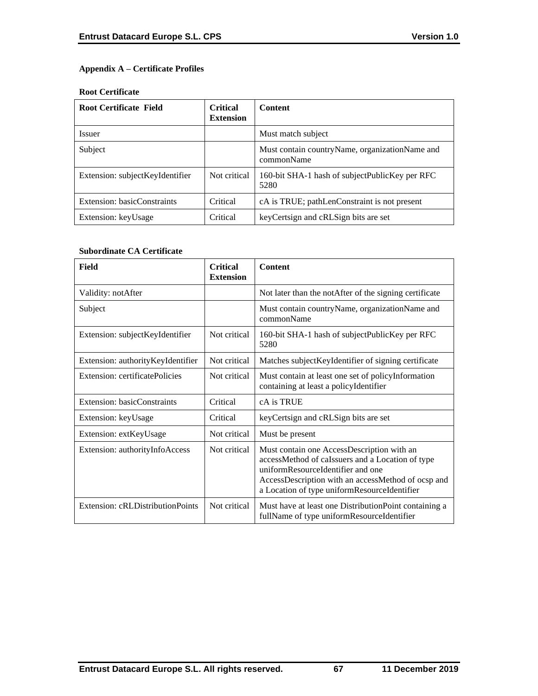# **Appendix A – Certificate Profiles**

### **Root Certificate**

| <b>Root Certificate Field</b>   | <b>Critical</b><br><b>Extension</b> | <b>Content</b>                                                 |
|---------------------------------|-------------------------------------|----------------------------------------------------------------|
| <i>Issuer</i>                   |                                     | Must match subject                                             |
| Subject                         |                                     | Must contain country Name, organization Name and<br>commonName |
| Extension: subjectKeyIdentifier | Not critical                        | 160-bit SHA-1 hash of subjectPublicKey per RFC<br>5280         |
| Extension: basicConstraints     | Critical                            | cA is TRUE; pathLenConstraint is not present                   |
| Extension: keyUsage             | Critical                            | key Certsign and cRLSign bits are set                          |

### **Subordinate CA Certificate**

| Field                             | <b>Critical</b><br><b>Extension</b> | <b>Content</b>                                                                                                                                                                                                                            |
|-----------------------------------|-------------------------------------|-------------------------------------------------------------------------------------------------------------------------------------------------------------------------------------------------------------------------------------------|
| Validity: notAfter                |                                     | Not later than the notAfter of the signing certificate                                                                                                                                                                                    |
| Subject                           |                                     | Must contain countryName, organizationName and<br>commonName                                                                                                                                                                              |
| Extension: subjectKeyIdentifier   | Not critical                        | 160-bit SHA-1 hash of subjectPublicKey per RFC<br>5280                                                                                                                                                                                    |
| Extension: authorityKeyIdentifier | Not critical                        | Matches subject Keyl dentifier of signing certificate                                                                                                                                                                                     |
| Extension: certificatePolicies    | Not critical                        | Must contain at least one set of policyInformation<br>containing at least a policyIdentifier                                                                                                                                              |
| Extension: basicConstraints       | Critical                            | cA is TRUE                                                                                                                                                                                                                                |
| Extension: keyUsage               | Critical                            | keyCertsign and cRLSign bits are set                                                                                                                                                                                                      |
| Extension: extKeyUsage            | Not critical                        | Must be present                                                                                                                                                                                                                           |
| Extension: authorityInfoAccess    | Not critical                        | Must contain one AccessDescription with an<br>accessMethod of caIssuers and a Location of type<br>uniformResourceIdentifier and one<br>AccessDescription with an accessMethod of ocsp and<br>a Location of type uniformResourceIdentifier |
| Extension: cRLDistributionPoints  | Not critical                        | Must have at least one Distribution Point containing a<br>fullName of type uniformResourceIdentifier                                                                                                                                      |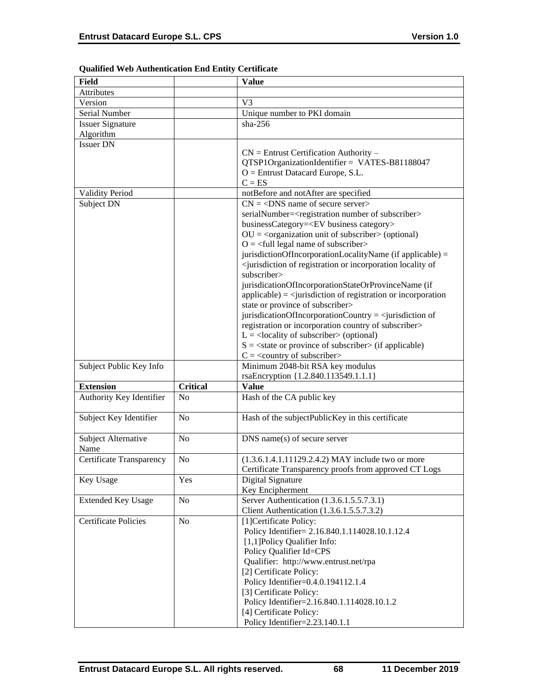| Field                           |                 | <b>Value</b>                                                                                        |
|---------------------------------|-----------------|-----------------------------------------------------------------------------------------------------|
| Attributes                      |                 |                                                                                                     |
| Version                         |                 | V <sub>3</sub>                                                                                      |
| Serial Number                   |                 | Unique number to PKI domain                                                                         |
| <b>Issuer Signature</b>         |                 | $sha-256$                                                                                           |
| Algorithm                       |                 |                                                                                                     |
| <b>Issuer DN</b>                |                 |                                                                                                     |
|                                 |                 | $CN =$ Entrust Certification Authority –                                                            |
|                                 |                 | QTSP1OrganizationIdentifier = VATES-B81188047                                                       |
|                                 |                 | $O =$ Entrust Datacard Europe, S.L.                                                                 |
|                                 |                 | $C = ES$                                                                                            |
| <b>Validity Period</b>          |                 | notBefore and notAfter are specified                                                                |
| Subject DN                      |                 | $CN = <$ DNS name of secure server>                                                                 |
|                                 |                 | serialNumber= <registration number="" of="" subscriber=""></registration>                           |
|                                 |                 | businessCategory= <ev business="" category=""></ev>                                                 |
|                                 |                 | $OU = coganization unit of subscripter > (optional)$                                                |
|                                 |                 | $O = \left\langle \text{full legal name of subscripter} \right\rangle$                              |
|                                 |                 | jurisdictionOfIncorporationLocalityName (if applicable) =                                           |
|                                 |                 | <jurisdiction incorporation="" locality="" of="" of<="" or="" registration="" td=""></jurisdiction> |
|                                 |                 | subscriber>                                                                                         |
|                                 |                 | jurisdicationOfIncorporationStateOrProvinceName (if                                                 |
|                                 |                 | $applicable) = \langle$ jurisdiction of registration or incorporation                               |
|                                 |                 | state or province of subscriber>                                                                    |
|                                 |                 | jurisdicationOfIncorporationCountry = $\le$ jurisdiction of                                         |
|                                 |                 | registration or incorporation country of subscriber>                                                |
|                                 |                 | $L =$ <locality of="" subscriber=""> (optional)</locality>                                          |
|                                 |                 | $S = \text{state}$ or province of subscriber $\text{in}$ (if applicable)                            |
|                                 |                 | $C = \langle$ country of subscriber>                                                                |
| Subject Public Key Info         |                 | Minimum 2048-bit RSA key modulus                                                                    |
|                                 |                 | rsaEncryption {1.2.840.113549.1.1.1}                                                                |
| <b>Extension</b>                | <b>Critical</b> | <b>Value</b>                                                                                        |
| Authority Key Identifier        | N <sub>o</sub>  | Hash of the CA public key                                                                           |
|                                 |                 |                                                                                                     |
| Subject Key Identifier          | N <sub>o</sub>  | Hash of the subjectPublicKey in this certificate                                                    |
|                                 |                 |                                                                                                     |
| Subject Alternative             | No              | $DNS$ name(s) of secure server                                                                      |
| Name                            |                 |                                                                                                     |
| <b>Certificate Transparency</b> | N <sub>o</sub>  | $(1.3.6.1.4.1.11129.2.4.2)$ MAY include two or more                                                 |
|                                 |                 | Certificate Transparency proofs from approved CT Logs                                               |
| Key Usage                       | Yes             | Digital Signature                                                                                   |
|                                 |                 | Key Encipherment                                                                                    |
| <b>Extended Key Usage</b>       | N <sub>0</sub>  | Server Authentication (1.3.6.1.5.5.7.3.1)                                                           |
|                                 |                 | Client Authentication (1.3.6.1.5.5.7.3.2)                                                           |
| <b>Certificate Policies</b>     | No              | [1] Certificate Policy:                                                                             |
|                                 |                 | Policy Identifier= 2.16.840.1.114028.10.1.12.4                                                      |
|                                 |                 | [1,1] Policy Qualifier Info:                                                                        |
|                                 |                 | Policy Qualifier Id=CPS                                                                             |
|                                 |                 | Qualifier: http://www.entrust.net/rpa                                                               |
|                                 |                 | [2] Certificate Policy:                                                                             |
|                                 |                 | Policy Identifier=0.4.0.194112.1.4                                                                  |
|                                 |                 | [3] Certificate Policy:                                                                             |
|                                 |                 | Policy Identifier=2.16.840.1.114028.10.1.2                                                          |
|                                 |                 | [4] Certificate Policy:                                                                             |
|                                 |                 | Policy Identifier=2.23.140.1.1                                                                      |

# **Qualified Web Authentication End Entity Certificate**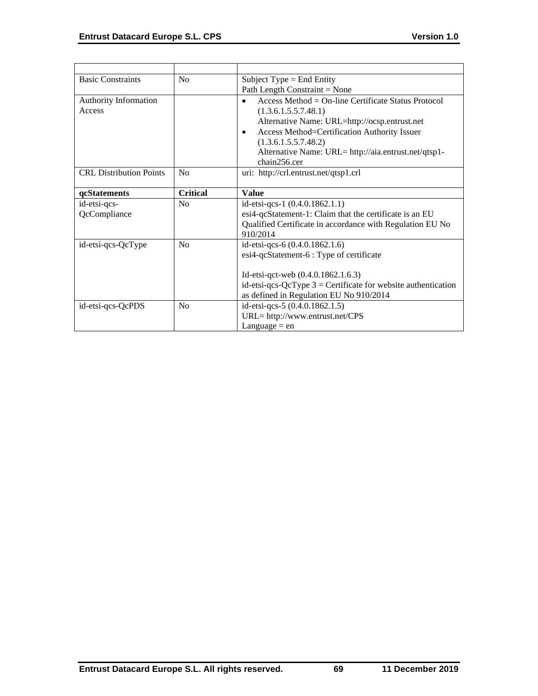| <b>Basic Constraints</b>        | No              | Subject Type $=$ End Entity                                                                                                                                                                                                                                                                |
|---------------------------------|-----------------|--------------------------------------------------------------------------------------------------------------------------------------------------------------------------------------------------------------------------------------------------------------------------------------------|
|                                 |                 | Path Length Constraint = None                                                                                                                                                                                                                                                              |
| Authority Information<br>Access |                 | $Access Method = On-line Centlicate Status Protocol$<br>(1.3.6.1.5.5.7.48.1)<br>Alternative Name: URL=http://ocsp.entrust.net<br>Access Method=Certification Authority Issuer<br>$\bullet$<br>(1.3.6.1.5.5.7.48.2)<br>Alternative Name: URL= http://aia.entrust.net/qtsp1-<br>chain256.cer |
| <b>CRL</b> Distribution Points  | No              | uri: http://crl.entrust.net/qtsp1.crl                                                                                                                                                                                                                                                      |
| qcStatements                    | <b>Critical</b> | <b>Value</b>                                                                                                                                                                                                                                                                               |
| id-etsi-qcs-<br>QcCompliance    | No              | id-etsi-qcs-1 (0.4.0.1862.1.1)<br>esi4-qcStatement-1: Claim that the certificate is an EU<br>Qualified Certificate in accordance with Regulation EU No<br>910/2014                                                                                                                         |
| id-etsi-qcs-QcType              | N <sub>o</sub>  | id-etsi-qcs-6 (0.4.0.1862.1.6)<br>esi4-qcStatement-6 : Type of certificate<br>Id-etsi-qct-web (0.4.0.1862.1.6.3)<br>id-etsi-qcs-QcType $3$ = Certificate for website authentication<br>as defined in Regulation EU No 910/2014                                                             |
| id-etsi-qcs-QcPDS               | No              | id-etsi-qcs-5 (0.4.0.1862.1.5)<br>URL= http://www.entrust.net/CPS<br>Language $=$ en                                                                                                                                                                                                       |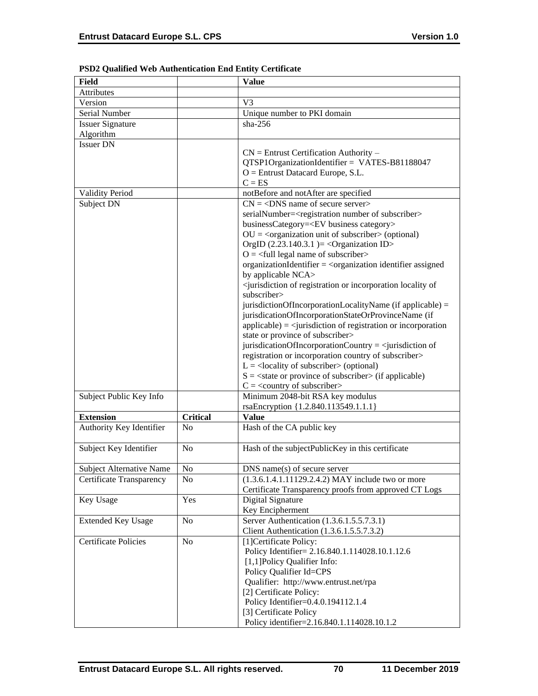| Field                       |                 | <b>Value</b>                                                                                        |
|-----------------------------|-----------------|-----------------------------------------------------------------------------------------------------|
| Attributes                  |                 |                                                                                                     |
| Version                     |                 | V <sub>3</sub>                                                                                      |
| Serial Number               |                 | Unique number to PKI domain                                                                         |
| <b>Issuer Signature</b>     |                 | $sha-256$                                                                                           |
| Algorithm                   |                 |                                                                                                     |
| <b>Issuer DN</b>            |                 |                                                                                                     |
|                             |                 | $CN =$ Entrust Certification Authority –                                                            |
|                             |                 | QTSP1OrganizationIdentifier = VATES-B81188047                                                       |
|                             |                 | $O =$ Entrust Datacard Europe, S.L.                                                                 |
|                             |                 | $C = ES$                                                                                            |
| <b>Validity Period</b>      |                 | notBefore and notAfter are specified                                                                |
| Subject DN                  |                 | $CN = <$ DNS name of secure server>                                                                 |
|                             |                 | serialNumber= <registration number="" of="" subscriber=""></registration>                           |
|                             |                 | businessCategory= <ev business="" category=""></ev>                                                 |
|                             |                 | $OU = corganization unit of subscripter > (optional)$                                               |
|                             |                 | OrgID $(2.23.140.3.1)$ = < Organization ID>                                                         |
|                             |                 | $O = \left\langle \text{full legal name of subscripter} \right\rangle$                              |
|                             |                 | organizationIdentifier = <organization assigned<="" identifier="" td=""></organization>             |
|                             |                 | by applicable NCA>                                                                                  |
|                             |                 | <jurisdiction incorporation="" locality="" of="" of<="" or="" registration="" td=""></jurisdiction> |
|                             |                 | subscriber>                                                                                         |
|                             |                 | jurisdictionOfIncorporationLocalityName (if applicable) =                                           |
|                             |                 | jurisdicationOfIncorporationStateOrProvinceName (if                                                 |
|                             |                 | $applicable) = \langle$ invisible in of registration or incorporation                               |
|                             |                 | state or province of subscriber>                                                                    |
|                             |                 | jurisdicationOfIncorporationCountry = $\le$ jurisdiction of                                         |
|                             |                 | registration or incorporation country of subscriber>                                                |
|                             |                 | $L =$ <locality of="" subscriber=""> (optional)</locality>                                          |
|                             |                 | $S = \text{state}$ or province of subscriber $\text{in}$ (if applicable)                            |
|                             |                 | $C = \langle$ country of subscriber>                                                                |
| Subject Public Key Info     |                 | Minimum 2048-bit RSA key modulus                                                                    |
|                             |                 | rsaEncryption {1.2.840.113549.1.1.1}                                                                |
| <b>Extension</b>            | <b>Critical</b> | <b>Value</b>                                                                                        |
| Authority Key Identifier    | N <sub>0</sub>  | Hash of the CA public key                                                                           |
|                             |                 |                                                                                                     |
| Subject Key Identifier      | N <sub>o</sub>  | Hash of the subjectPublicKey in this certificate                                                    |
|                             |                 |                                                                                                     |
| Subject Alternative Name    | $\rm No$        | DNS name(s) of secure server                                                                        |
| Certificate Transparency    | No.             | $(1.3.6.1.4.1.11129.2.4.2)$ MAY include two or more                                                 |
|                             |                 | Certificate Transparency proofs from approved CT Logs                                               |
| Key Usage                   | Yes             | Digital Signature                                                                                   |
|                             |                 | Key Encipherment                                                                                    |
| <b>Extended Key Usage</b>   | No              | Server Authentication (1.3.6.1.5.5.7.3.1)                                                           |
|                             |                 | Client Authentication (1.3.6.1.5.5.7.3.2)                                                           |
| <b>Certificate Policies</b> | N <sub>o</sub>  | [1] Certificate Policy:                                                                             |
|                             |                 | Policy Identifier= 2.16.840.1.114028.10.1.12.6                                                      |
|                             |                 | [1,1] Policy Qualifier Info:                                                                        |
|                             |                 | Policy Qualifier Id=CPS                                                                             |
|                             |                 | Qualifier: http://www.entrust.net/rpa                                                               |
|                             |                 | [2] Certificate Policy:                                                                             |
|                             |                 | Policy Identifier=0.4.0.194112.1.4                                                                  |
|                             |                 | [3] Certificate Policy                                                                              |
|                             |                 | Policy identifier=2.16.840.1.114028.10.1.2                                                          |

# **PSD2 Qualified Web Authentication End Entity Certificate**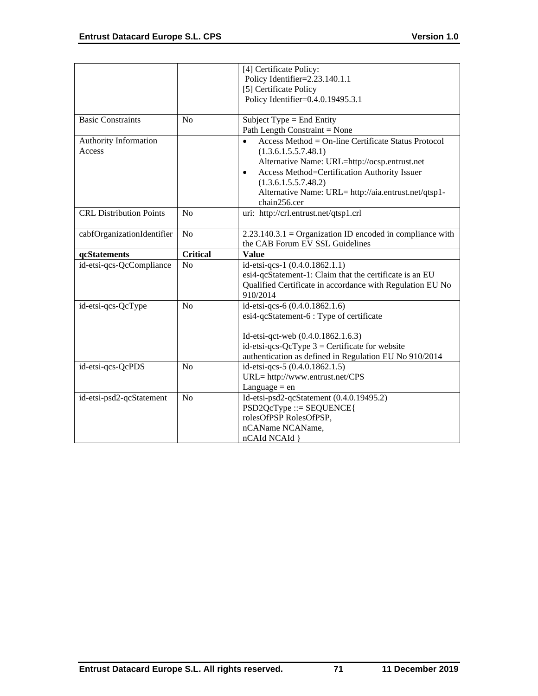|                                |                 | [4] Certificate Policy:                                          |
|--------------------------------|-----------------|------------------------------------------------------------------|
|                                |                 | Policy Identifier=2.23.140.1.1                                   |
|                                |                 | [5] Certificate Policy                                           |
|                                |                 | Policy Identifier=0.4.0.19495.3.1                                |
|                                |                 |                                                                  |
| <b>Basic Constraints</b>       | N <sub>0</sub>  | Subject Type = End Entity                                        |
|                                |                 | Path Length Constraint = None                                    |
| Authority Information          |                 | Access Method = On-line Certificate Status Protocol<br>$\bullet$ |
| Access                         |                 | (1.3.6.1.5.5.7.48.1)                                             |
|                                |                 | Alternative Name: URL=http://ocsp.entrust.net                    |
|                                |                 | Access Method=Certification Authority Issuer<br>$\bullet$        |
|                                |                 | (1.3.6.1.5.5.7.48.2)                                             |
|                                |                 | Alternative Name: URL= http://aia.entrust.net/qtsp1-             |
|                                |                 | chain256.cer                                                     |
| <b>CRL Distribution Points</b> | No              | uri: http://crl.entrust.net/qtsp1.crl                            |
|                                |                 |                                                                  |
| cabfOrganizationIdentifier     | N <sub>o</sub>  | $2.23.140.3.1 =$ Organization ID encoded in compliance with      |
|                                |                 | the CAB Forum EV SSL Guidelines                                  |
| qcStatements                   | <b>Critical</b> | <b>Value</b>                                                     |
| id-etsi-qcs-QcCompliance       | No              | id-etsi-qcs-1 (0.4.0.1862.1.1)                                   |
|                                |                 | esi4-qcStatement-1: Claim that the certificate is an EU          |
|                                |                 | Qualified Certificate in accordance with Regulation EU No        |
|                                |                 |                                                                  |
|                                |                 | 910/2014                                                         |
| id-etsi-qcs-QcType             | No              | id-etsi-qcs-6 (0.4.0.1862.1.6)                                   |
|                                |                 | esi4-qcStatement-6 : Type of certificate                         |
|                                |                 |                                                                  |
|                                |                 | Id-etsi-qct-web (0.4.0.1862.1.6.3)                               |
|                                |                 | id-etsi-qcs-QcType $3$ = Certificate for website                 |
|                                |                 | authentication as defined in Regulation EU No 910/2014           |
| id-etsi-qcs-QcPDS              | No              | id-etsi-qcs-5 (0.4.0.1862.1.5)                                   |
|                                |                 | URL= http://www.entrust.net/CPS                                  |
|                                |                 | Language $=$ en                                                  |
| id-etsi-psd2-qcStatement       | No              | Id-etsi-psd2-qcStatement (0.4.0.19495.2)                         |
|                                |                 | $PSD2QcType ::= SEQUENCE$                                        |
|                                |                 | rolesOfPSP RolesOfPSP,                                           |
|                                |                 | nCAName NCAName,                                                 |